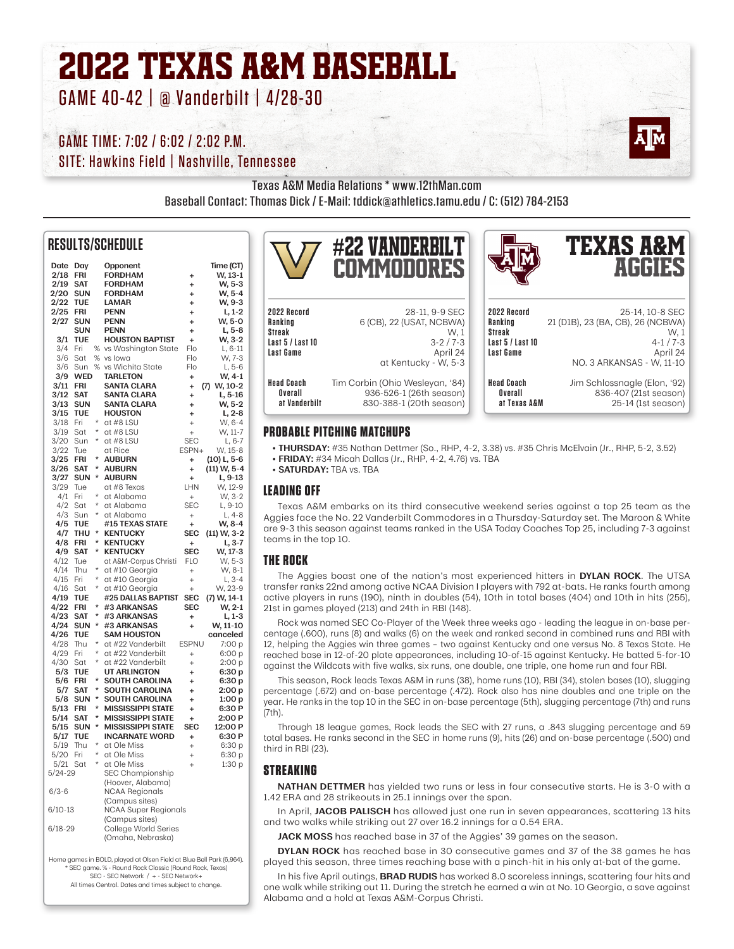## 2022 TEXAS A&M BASEBALL GAME 40-42 | @ Vanderbilt | 4/28-30

## GAME TIME: 7:02 / 6:02 / 2:02 P.M.

SITE: Hawkins Field | Nashville, Tennessee

Texas A&M Media Relations \* www.12thMan.com

Baseball Contact: Thomas Dick / E-Mail: tddick@athletics.tamu.edu / C: (512) 784-2153

## **RESULTS/SCHEDULE**

| Date        | Day                      |         | Opponent                                       |                 | Time (CT)                 |
|-------------|--------------------------|---------|------------------------------------------------|-----------------|---------------------------|
| 2/18        | FRI                      |         | <b>FORDHAM</b>                                 | ÷               | W, 13-1                   |
| 2/19        | <b>SAT</b>               |         | <b>FORDHAM</b>                                 | ÷               | W, 5-3                    |
| 2/20        | <b>SUN</b>               |         | <b>FORDHAM</b>                                 | ÷               | W, 5-4                    |
| 2/22        | TUE                      |         | <b>LAMAR</b>                                   | ÷               | W, 9-3                    |
| 2/25        | FRI                      |         | PENN                                           | ÷               | L, 1-2                    |
| 2/27        | <b>SUN</b>               |         | <b>PENN</b>                                    | ÷               | W, 5-0                    |
|             | <b>SUN</b>               |         | <b>PENN</b>                                    | ÷               | L, 5-8                    |
| 3/1         | TUE                      |         | <b>HOUSTON BAPTIST</b>                         | $\ddot{}$       | W, 3-2                    |
| 3/4         | Fri                      | %       | vs Washington State                            | Flo             | L, 6-11                   |
| 3/6         | Sat                      | %       | vs lowa                                        | Flo             | W, 7-3                    |
| 3/6         | Sun                      | $\%$    | vs Wichita State                               | Flo             | $L, 5-6$                  |
| 3/9<br>3/11 | <b>WED</b><br><b>FRI</b> |         | <b>TARLETON</b>                                | $\ddot{}$       | W, 4-1                    |
| 3/12        | SAT                      |         | <b>SANTA CLARA</b><br><b>SANTA CLARA</b>       | ÷               | W, 10-2<br>(7)<br>L, 5-16 |
| 3/13        | SUN                      |         | <b>SANTA CLARA</b>                             | ÷               | W, 5-2                    |
| 3/15        | TUE                      |         | <b>HOUSTON</b>                                 | $\ddot{}$<br>÷  | $L, 2-8$                  |
| 3/18        | Fri                      | $\star$ | at #8 LSU                                      | $\ddot{}$       | W, 6-4                    |
| 3/19        | Sat                      | $\star$ | at #8 LSU                                      | $^{+}$          | W, 11-7                   |
| 3/20        | Sun                      | $\star$ | at #8 LSU                                      | <b>SEC</b>      | L, 6-7                    |
| 3/22        | Tue                      |         | at Rice                                        | ESPN+           | W, 15-8                   |
| 3/25        | FRI                      | *       | <b>AUBURN</b>                                  | ÷               | $(10)$ L, 5-6             |
| 3/26        | SAT                      | *       | AUBURN                                         | ÷               | (11) W, 5-4               |
| 3/27        | <b>SUN</b>               | *       | <b>AUBURN</b>                                  | $\ddot{}$       | L, 9-13                   |
| 3/29        | Tue                      |         | at #8 Texas                                    | LHN             | W, 12-9                   |
| 4/1         | Fri                      | $\star$ | at Alabama                                     | $^{+}$          | W, 3-2                    |
| 4/2         | Sat                      | $\star$ | at Alabama                                     | <b>SEC</b>      | L, 9-10                   |
| 4/3         | Sun                      | $\star$ | at Alabama                                     | $^{+}$          | L, 4-8                    |
| 4/5         | TUE                      |         | #15 TEXAS STATE                                | ÷               | W, 8-4                    |
| 4/7         | THU                      | $\star$ | <b>KENTUCKY</b>                                | <b>SEC</b>      | (11) W, 3-2               |
| 4/8         | FRI                      | $\star$ | <b>KENTUCKY</b>                                | $\ddot{}$       | L, 3-7                    |
| 4/9         | SAT                      | ×       | <b>KENTUCKY</b>                                | <b>SEC</b>      | W, 17-3                   |
| 4/12        | Tue                      |         | at A&M-Corpus Christi                          | <b>FLO</b>      | W, 5-3                    |
| 4/14        | Thu                      | $\star$ | at #10 Georgia                                 | $\ddot{}$       | W, 8-1                    |
| 4/15        | Fri                      | $\star$ | at #10 Georgia                                 | $\ddot{}$       | L, 3-4                    |
| 4/16        | Sat                      | $\star$ | at #10 Georgia                                 | $^{+}$          | W, 23-9                   |
| 4/19        | TUE                      |         | #25 DALLAS BAPTIST                             | <b>SEC</b>      | (7) W, 14-1               |
| 4/22        | FRI                      | *       | #3 ARKANSAS                                    | <b>SEC</b>      | W, 2-1                    |
| 4/23        | SAT                      | *       | #3 ARKANSAS                                    | $\ddot{}$       | L, 1-3                    |
| 4/24        | <b>SUN</b>               | *       | #3 ARKANSAS                                    | ÷               | W, 11-10                  |
| 4/26        | TUE                      |         | <b>SAM HOUSTON</b>                             |                 | canceled                  |
| 4/28        | Thu                      | ×       | at #22 Vanderbilt                              | <b>ESPNU</b>    | 7:00 p                    |
| 4/29        | Fri                      | ×       | at #22 Vanderbilt                              | $^{+}$          | 6:00 p                    |
| 4/30        | Sat                      | $\star$ | at #22 Vanderbilt                              | $\ddot{}$       | 2:00 p                    |
| 5/3         | TUE                      | ×       | UT ARLINGTON                                   | ÷               | 6:30 p                    |
| 5/6         | FRI                      | *       | <b>SOUTH CAROLINA</b>                          | ÷               | 6:30 p                    |
| 5/7<br>5/8  | <b>SAT</b><br><b>SUN</b> | *       | <b>SOUTH CAROLINA</b><br><b>SOUTH CAROLINA</b> | ÷               | 2:00 p                    |
| 5/13        | FRI                      | $\star$ | <b>MISSISSIPPI STATE</b>                       | $\ddot{}$       | 1:00 p                    |
| 5/14        | <b>SAT</b>               | *       | <b>MISSISSIPPI STATE</b>                       | ÷               | 6:30 P<br>2:00 P          |
| 5/15        | <b>SUN</b>               | *       | <b>MISSISSIPPI STATE</b>                       | ÷<br><b>SEC</b> | 12:00 P                   |
| 5/17        | TUE                      |         | <b>INCARNATE WORD</b>                          | ÷               | 6:30 P                    |
| 5/19        | Thu                      | $\star$ | at Ole Miss                                    | $^{+}$          | 6:30 p                    |
| 5/20        | Fri                      | $\star$ | at Ole Miss                                    | $\ddot{}$       | 6:30 p                    |
| 5/21        | Sat                      | $\star$ | at Ole Miss                                    | $\ddot{}$       | 1:30 p                    |
| 5/24-29     |                          |         | SEC Championship                               |                 |                           |
|             |                          |         | (Hoover, Alabama)                              |                 |                           |
| $6/3 - 6$   |                          |         | <b>NCAA Regionals</b>                          |                 |                           |
|             |                          |         | (Campus sites)                                 |                 |                           |
| $6/10-13$   |                          |         | <b>NCAA Super Regionals</b>                    |                 |                           |
|             |                          |         | (Campus sites)                                 |                 |                           |
| $6/18 - 29$ |                          |         | College World Series                           |                 |                           |
|             |                          |         | (Omaha, Nebraska)                              |                 |                           |
|             |                          |         |                                                |                 |                           |

Home games in BOLD, played at Olsen Field at Blue Bell Park (6,964). \* SEC game. % - Round Rock Classic (Round Rock, Texas) SEC - SEC Network / + - SEC Network+ All times Central. Dates and times subject to change.

|                                                                   | <b>#22 VANDERBILT</b><br>COMMODORES                                                                       |                                                                          | <b>TEXAS A&amp;M</b><br>AGGIES                                                                                     |
|-------------------------------------------------------------------|-----------------------------------------------------------------------------------------------------------|--------------------------------------------------------------------------|--------------------------------------------------------------------------------------------------------------------|
| 2022 Record<br>Ranking<br>Streak<br>Last 5 / Last 10<br>Last Game | 28-11, 9-9 SEC<br>6 (CB), 22 (USAT, NCBWA)<br>W. 1<br>$3 - 2 / 7 - 3$<br>April 24<br>at Kentucky - W, 5-3 | 2022 Record<br>Ranking<br>Streak<br>Last 5 / Last 10<br><b>Last Game</b> | 25-14, 10-8 SEC<br>21 (D1B), 23 (BA, CB), 26 (NCBWA)<br>W. 1<br>$4-1/7-3$<br>April 24<br>NO. 3 ARKANSAS - W. 11-10 |
| <b>Head Coach</b><br>Overall<br>at Vanderbilt                     | Tim Corbin (Ohio Wesleyan, '84)<br>936-526-1 (26th season)<br>830-388-1 (20th season)                     | <b>Head Coach</b><br>Overall<br>at Texas A&M                             | Jim Schlossnagle (Elon, '92)<br>836-407 (21st season)<br>25-14 (1st season)                                        |

 $\equiv$ 

#### **PROBABLE PITCHING MATCHUPS**

**• THURSDAY:** #35 Nathan Dettmer (So., RHP, 4-2, 3.38) vs. #35 Chris McElvain (Jr., RHP, 5-2, 3.52) **• FRIDAY:** #34 Micah Dallas (Jr., RHP, 4-2, 4.76) vs. TBA

**• SATURDAY:** TBA vs. TBA

#### **LEADING OFF**

Texas A&M embarks on its third consecutive weekend series against a top 25 team as the Aggies face the No. 22 Vanderbilt Commodores in a Thursday-Saturday set. The Maroon & White are 9-3 this season against teams ranked in the USA Today Coaches Top 25, including 7-3 against teams in the top 10.

### **THE ROCK**

The Aggies boast one of the nation's most experienced hitters in **DYLAN ROCK**. The UTSA transfer ranks 22nd among active NCAA Division I players with 792 at-bats. He ranks fourth among active players in runs (190), ninth in doubles (54), 10th in total bases (404) and 10th in hits (255), 21st in games played (213) and 24th in RBI (148).

Rock was named SEC Co-Player of the Week three weeks ago - leading the league in on-base percentage (.600), runs (8) and walks (6) on the week and ranked second in combined runs and RBI with 12, helping the Aggies win three games – two against Kentucky and one versus No. 8 Texas State. He reached base in 12-of-20 plate appearances, including 10-of-15 against Kentucky. He batted 5-for-10 against the Wildcats with five walks, six runs, one double, one triple, one home run and four RBI.

This season, Rock leads Texas A&M in runs (38), home runs (10), RBI (34), stolen bases (10), slugging percentage (.672) and on-base percentage (.472). Rock also has nine doubles and one triple on the year. He ranks in the top 10 in the SEC in on-base percentage (5th), slugging percentage (7th) and runs (7th).

Through 18 league games, Rock leads the SEC with 27 runs, a .843 slugging percentage and 59 total bases. He ranks second in the SEC in home runs (9), hits (26) and on-base percentage (.500) and third in RBI (23).

## **STREAKING**

**NATHAN DETTMER** has yielded two runs or less in four consecutive starts. He is 3-0 with a 1.42 ERA and 28 strikeouts in 25.1 innings over the span.

In April, **JACOB PALISCH** has allowed just one run in seven appearances, scattering 13 hits and two walks while striking out 27 over 16.2 innings for a 0.54 ERA.

**JACK MOSS** has reached base in 37 of the Aggies' 39 games on the season.

**DYLAN ROCK** has reached base in 30 consecutive games and 37 of the 38 games he has played this season, three times reaching base with a pinch-hit in his only at-bat of the game.

In his five April outings, **BRAD RUDIS** has worked 8.0 scoreless innings, scattering four hits and one walk while striking out 11. During the stretch he earned a win at No. 10 Georgia, a save against Alabama and a hold at Texas A&M-Corpus Christi.

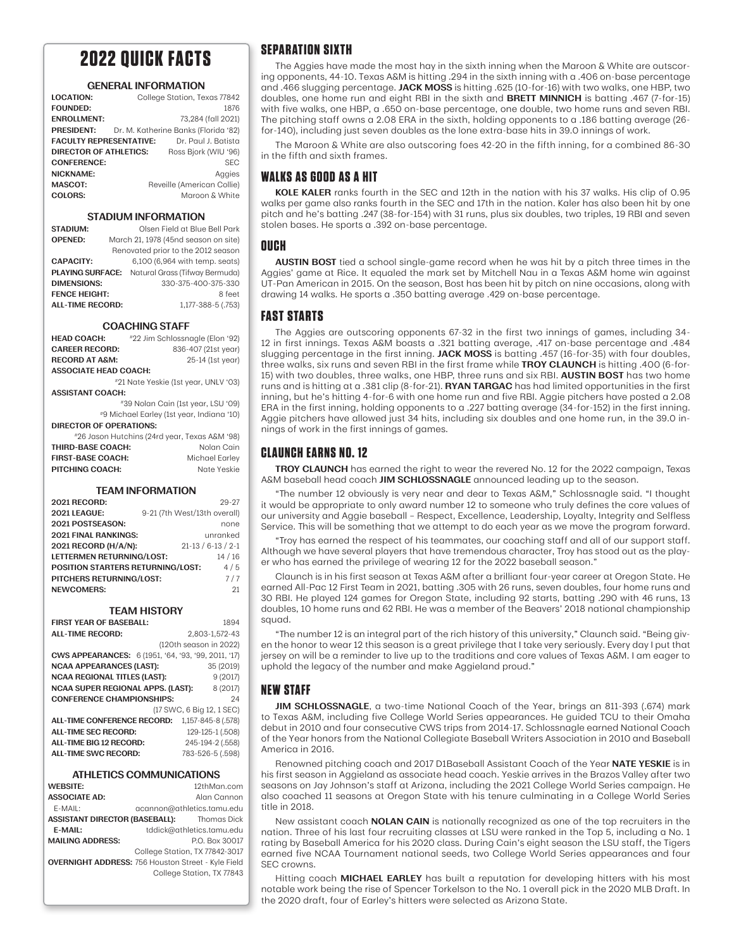## **2022 QUICK FACTS**

#### **GENERAL INFORMATION**

| <b>LOCATION:</b>               | College Station, Texas 77842         |
|--------------------------------|--------------------------------------|
| <b>FOUNDED:</b>                | 1876                                 |
| <b>ENROLLMENT:</b>             | 73,284 (fall 2021)                   |
| <b>PRESIDENT:</b>              | Dr. M. Katherine Banks (Florida '82) |
| <b>FACULTY REPRESENTATIVE:</b> | Dr. Paul J. Batista                  |
| <b>DIRECTOR OF ATHLETICS:</b>  | Ross Bjork (WIU '96)                 |
| <b>CONFERENCE:</b>             | <b>SEC</b>                           |
| <b>NICKNAME:</b>               | Aggies                               |
| MASCOT:                        | Reveille (American Collie)           |
| COLORS:                        | Maroon & White                       |

#### **STADIUM INFORMATION**

| <b>STADIUM:</b>         | Olsen Field at Blue Bell Park        |
|-------------------------|--------------------------------------|
| <b>OPENED:</b>          | March 21, 1978 (45nd season on site) |
|                         | Renovated prior to the 2012 season   |
| <b>CAPACITY:</b>        | 6,100 (6,964 with temp. seats)       |
| <b>PLAYING SURFACE:</b> | Natural Grass (Tifway Bermuda)       |
| <b>DIMENSIONS:</b>      | 330-375-400-375-330                  |
| <b>FENCE HEIGHT:</b>    | 8 feet                               |
| <b>ALL-TIME RECORD:</b> | 1,177-388-5 (.753)                   |

#### **COACHING STAFF**

| <b>HEAD COACH:</b>                        | #22 Jim Schlossnagle (Elon '92)               |  |  |  |
|-------------------------------------------|-----------------------------------------------|--|--|--|
| <b>CAREER RECORD:</b>                     | 836-407 (21st year)                           |  |  |  |
| <b>RECORD AT A&amp;M:</b>                 | 25-14 (1st year)                              |  |  |  |
| <b>ASSOCIATE HEAD COACH:</b>              |                                               |  |  |  |
|                                           | #21 Nate Yeskie (1st year, UNLV '03)          |  |  |  |
| <b>ASSISTANT COACH:</b>                   |                                               |  |  |  |
| #39 Nolan Cain (1st year, LSU '09)        |                                               |  |  |  |
| #9 Michael Earley (1st year, Indiana '10) |                                               |  |  |  |
| DIRECTOR OF OPERATIONS:                   |                                               |  |  |  |
|                                           | #26 Jason Hutchins (24rd year, Texas A&M '98) |  |  |  |
| <b>THIRD-BASE COACH:</b>                  | Nolan Cain                                    |  |  |  |
| <b>FIRST-BASE COACH:</b>                  | Michael Earley                                |  |  |  |
| PITCHING COACH:                           | Nate Yeskie                                   |  |  |  |

#### **TEAM INFORMATION**

| <b>2021 RECORD:</b>               |                              | $29 - 27$        |
|-----------------------------------|------------------------------|------------------|
| <b>2021 LEAGUE:</b>               | 9-21 (7th West/13th overall) |                  |
| 2021 POSTSEASON:                  |                              | none             |
| 2021 FINAL RANKINGS:              |                              | unranked         |
| 2021 RECORD (H/A/N):              |                              | $21-13/6-13/2-1$ |
| LETTERMEN RETURNING/LOST:         |                              | 14/16            |
| POSITION STARTERS RETURNING/LOST: |                              | 4/5              |
| PITCHERS RETURNING/LOST:          |                              | 7/7              |
| <b>NEWCOMERS:</b>                 |                              | 21               |

#### **TEAM HISTORY**

| <b>FIRST YEAR OF BASEBALL:</b>                       | 1894                      |  |  |
|------------------------------------------------------|---------------------------|--|--|
| <b>ALL-TIME RECORD:</b>                              | 2,803-1,572-43            |  |  |
|                                                      | (120th season in 2022)    |  |  |
| CWS APPEARANCES: 6 (1951, '64, '93, '99, 2011, '17)  |                           |  |  |
| <b>NCAA APPEARANCES (LAST):</b>                      | 35 (2019)                 |  |  |
| <b>NCAA REGIONAL TITLES (LAST):</b>                  | 9(2017)                   |  |  |
| <b>NCAA SUPER REGIONAL APPS. (LAST):</b><br>8 (2017) |                           |  |  |
| <b>CONFERENCE CHAMPIONSHIPS:</b>                     | 24                        |  |  |
|                                                      | (17 SWC, 6 Big 12, 1 SEC) |  |  |
| <b>ALL-TIME CONFERENCE RECORD:</b>                   | 1,157-845-8 (.578)        |  |  |
| <b>ALL-TIME SEC RECORD:</b>                          | 129-125-1 (.508)          |  |  |
| ALL-TIME BIG 12 RECORD:                              | 245-194-2 (.558)          |  |  |
| <b>ALL-TIME SWC RECORD:</b>                          | 783-526-5 (.598)          |  |  |

#### **ATHLETICS COMMUNICATIONS**

| <b>WEBSITE:</b>                                           | 12thMan.com                    |
|-----------------------------------------------------------|--------------------------------|
| <b>ASSOCIATE AD:</b>                                      | Alan Cannon                    |
| E-MAIL:                                                   | acannon@athletics.tamu.edu     |
| <b>ASSISTANT DIRECTOR (BASEBALL):</b>                     | Thomas Dick                    |
| E-MAIL:                                                   | tddick@athletics.tamu.edu      |
| <b>MAILING ADDRESS:</b>                                   | P.O. Box 30017                 |
|                                                           | College Station, TX 77842-3017 |
| <b>OVERNIGHT ADDRESS: 756 Houston Street - Kyle Field</b> |                                |
|                                                           | College Station, TX 77843      |
|                                                           |                                |

#### **SEPARATION SIXTH**

The Aggies have made the most hay in the sixth inning when the Maroon & White are outscoring opponents, 44-10. Texas A&M is hitting .294 in the sixth inning with a .406 on-base percentage and .466 slugging percentage. **JACK MOSS** is hitting .625 (10-for-16) with two walks, one HBP, two doubles, one home run and eight RBI in the sixth and **BRETT MINNICH** is batting .467 (7-for-15) with five walks, one HBP, a .650 on-base percentage, one double, two home runs and seven RBI. The pitching staff owns a 2.08 ERA in the sixth, holding opponents to a .186 batting average (26 for-140), including just seven doubles as the lone extra-base hits in 39.0 innings of work.

The Maroon & White are also outscoring foes 42-20 in the fifth inning, for a combined 86-30 in the fifth and sixth frames.

#### **WALKS AS GOOD AS A HIT**

**KOLE KALER** ranks fourth in the SEC and 12th in the nation with his 37 walks. His clip of 0.95 walks per game also ranks fourth in the SEC and 17th in the nation. Kaler has also been hit by one pitch and he's batting .247 (38-for-154) with 31 runs, plus six doubles, two triples, 19 RBI and seven stolen bases. He sports a .392 on-base percentage.

#### **OUCH**

**AUSTIN BOST** tied a school single-game record when he was hit by a pitch three times in the Aggies' game at Rice. It equaled the mark set by Mitchell Nau in a Texas A&M home win against UT-Pan American in 2015. On the season, Bost has been hit by pitch on nine occasions, along with drawing 14 walks. He sports a .350 batting average .429 on-base percentage.

#### **FAST STARTS**

The Aggies are outscoring opponents 67-32 in the first two innings of games, including 34- 12 in first innings. Texas A&M boasts a .321 batting average, .417 on-base percentage and .484 slugging percentage in the first inning. **JACK MOSS** is batting .457 (16-for-35) with four doubles, three walks, six runs and seven RBI in the first frame while **TROY CLAUNCH** is hitting .400 (6-for-15) with two doubles, three walks, one HBP, three runs and six RBI. **AUSTIN BOST** has two home runs and is hitting at a .381 clip (8-for-21). **RYAN TARGAC** has had limited opportunities in the first inning, but he's hitting 4-for-6 with one home run and five RBI. Aggie pitchers have posted a 2.08 ERA in the first inning, holding opponents to a .227 batting average (34-for-152) in the first inning. Aggie pitchers have allowed just 34 hits, including six doubles and one home run, in the 39.0 innings of work in the first innings of games.

#### **CLAUNCH EARNS NO. 12**

**TROY CLAUNCH** has earned the right to wear the revered No. 12 for the 2022 campaign, Texas A&M baseball head coach **JIM SCHLOSSNAGLE** announced leading up to the season.

"The number 12 obviously is very near and dear to Texas A&M," Schlossnagle said. "I thought it would be appropriate to only award number 12 to someone who truly defines the core values of our university and Aggie baseball – Respect, Excellence, Leadership, Loyalty, Integrity and Selfless Service. This will be something that we attempt to do each year as we move the program forward.

"Troy has earned the respect of his teammates, our coaching staff and all of our support staff. Although we have several players that have tremendous character, Troy has stood out as the player who has earned the privilege of wearing 12 for the 2022 baseball season."

Claunch is in his first season at Texas A&M after a brilliant four-year career at Oregon State. He earned All-Pac 12 First Team in 2021, batting .305 with 26 runs, seven doubles, four home runs and 30 RBI. He played 124 games for Oregon State, including 92 starts, batting .290 with 46 runs, 13 doubles, 10 home runs and 62 RBI. He was a member of the Beavers' 2018 national championship squad.

"The number 12 is an integral part of the rich history of this university," Claunch said. "Being given the honor to wear 12 this season is a great privilege that I take very seriously. Every day I put that jersey on will be a reminder to live up to the traditions and core values of Texas A&M. I am eager to uphold the legacy of the number and make Aggieland proud."

### **NEW STAFF**

**JIM SCHLOSSNAGLE**, a two-time National Coach of the Year, brings an 811-393 (.674) mark to Texas A&M, including five College World Series appearances. He guided TCU to their Omaha debut in 2010 and four consecutive CWS trips from 2014-17. Schlossnagle earned National Coach of the Year honors from the National Collegiate Baseball Writers Association in 2010 and Baseball America in 2016.

Renowned pitching coach and 2017 D1Baseball Assistant Coach of the Year **NATE YESKIE** is in his first season in Aggieland as associate head coach. Yeskie arrives in the Brazos Valley after two seasons on Jay Johnson's staff at Arizona, including the 2021 College World Series campaign. He also coached 11 seasons at Oregon State with his tenure culminating in a College World Series title in 2018.

New assistant coach **NOLAN CAIN** is nationally recognized as one of the top recruiters in the nation. Three of his last four recruiting classes at LSU were ranked in the Top 5, including a No. 1 rating by Baseball America for his 2020 class. During Cain's eight season the LSU staff, the Tigers earned five NCAA Tournament national seeds, two College World Series appearances and four SEC crowns.

Hitting coach **MICHAEL EARLEY** has built a reputation for developing hitters with his most notable work being the rise of Spencer Torkelson to the No. 1 overall pick in the 2020 MLB Draft. In the 2020 draft, four of Earley's hitters were selected as Arizona State.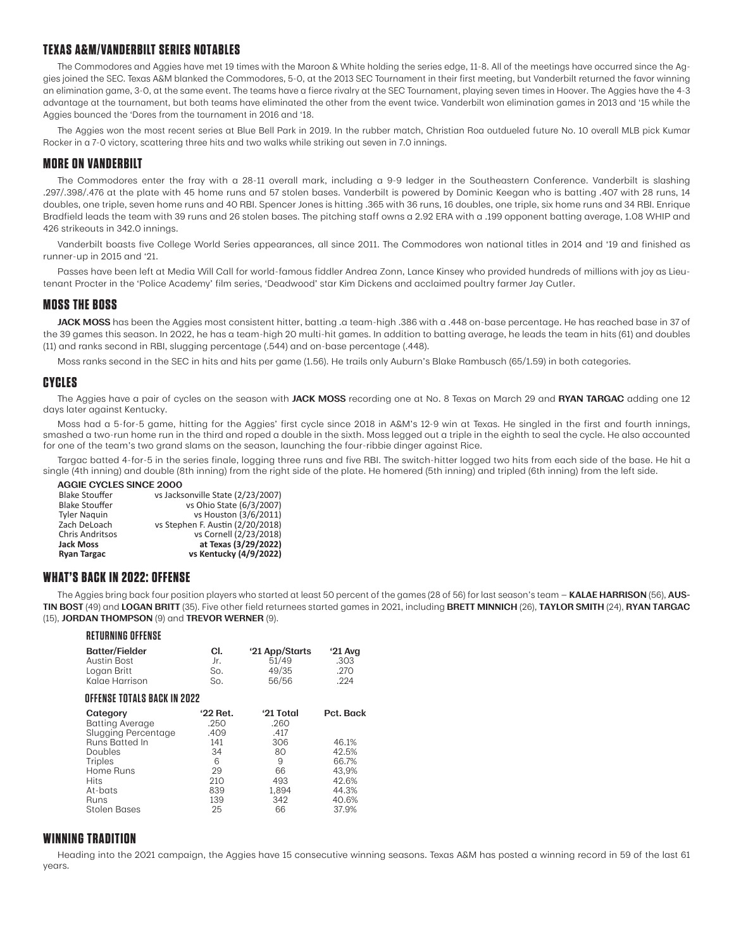## **TEXAS A&M/VANDERBILT SERIES NOTABLES**

The Commodores and Aggies have met 19 times with the Maroon & White holding the series edge, 11-8. All of the meetings have occurred since the Aggies joined the SEC. Texas A&M blanked the Commodores, 5-0, at the 2013 SEC Tournament in their first meeting, but Vanderbilt returned the favor winning an elimination game, 3-0, at the same event. The teams have a fierce rivalry at the SEC Tournament, playing seven times in Hoover. The Aggies have the 4-3 advantage at the tournament, but both teams have eliminated the other from the event twice. Vanderbilt won elimination games in 2013 and '15 while the Aggies bounced the 'Dores from the tournament in 2016 and '18.

The Aggies won the most recent series at Blue Bell Park in 2019. In the rubber match, Christian Roa outdueled future No. 10 overall MLB pick Kumar Rocker in a 7-0 victory, scattering three hits and two walks while striking out seven in 7.0 innings.

## **MORE ON VANDERBILT**

The Commodores enter the fray with a 28-11 overall mark, including a 9-9 ledger in the Southeastern Conference. Vanderbilt is slashing .297/.398/.476 at the plate with 45 home runs and 57 stolen bases. Vanderbilt is powered by Dominic Keegan who is batting .407 with 28 runs, 14 doubles, one triple, seven home runs and 40 RBI. Spencer Jones is hitting .365 with 36 runs, 16 doubles, one triple, six home runs and 34 RBI. Enrique Bradfield leads the team with 39 runs and 26 stolen bases. The pitching staff owns a 2.92 ERA with a .199 opponent batting average, 1.08 WHIP and 426 strikeouts in 342.0 innings.

Vanderbilt boasts five College World Series appearances, all since 2011. The Commodores won national titles in 2014 and '19 and finished as runner-up in 2015 and '21.

Passes have been left at Media Will Call for world-famous fiddler Andrea Zonn, Lance Kinsey who provided hundreds of millions with joy as Lieutenant Procter in the 'Police Academy' film series, 'Deadwood' star Kim Dickens and acclaimed poultry farmer Jay Cutler.

## **MOSS THE BOSS**

**JACK MOSS** has been the Aggies most consistent hitter, batting .a team-high .386 with a .448 on-base percentage. He has reached base in 37 of the 39 games this season. In 2022, he has a team-high 20 multi-hit games. In addition to batting average, he leads the team in hits (61) and doubles (11) and ranks second in RBI, slugging percentage (.544) and on-base percentage (.448).

Moss ranks second in the SEC in hits and hits per game (1.56). He trails only Auburn's Blake Rambusch (65/1.59) in both categories.

#### **CYCLES**

The Aggies have a pair of cycles on the season with **JACK MOSS** recording one at No. 8 Texas on March 29 and **RYAN TARGAC** adding one 12 days later against Kentucky.

Moss had a 5-for-5 game, hitting for the Aggies' first cycle since 2018 in A&M's 12-9 win at Texas. He singled in the first and fourth innings, smashed a two-run home run in the third and roped a double in the sixth. Moss legged out a triple in the eighth to seal the cycle. He also accounted for one of the team's two grand slams on the season, launching the four-ribbie dinger against Rice.

Targac batted 4-for-5 in the series finale, logging three runs and five RBI. The switch-hitter logged two hits from each side of the base. He hit a single (4th inning) and double (8th inning) from the right side of the plate. He homered (5th inning) and tripled (6th inning) from the left side.

**AGGIE CYCLES SINCE 2000**

| Ryan Targac           | vs Kentucky (4/9/2022)            |
|-----------------------|-----------------------------------|
| Jack Moss             | at Texas (3/29/2022)              |
| Chris Andritsos       | vs Cornell (2/23/2018)            |
| Zach DeLoach          | vs Stephen F. Austin (2/20/2018)  |
| <b>Tyler Naguin</b>   | vs Houston (3/6/2011)             |
| Blake Stouffer        | vs Ohio State (6/3/2007)          |
| <b>Blake Stouffer</b> | vs Jacksonville State (2/23/2007) |

#### **WHAT'S BACK IN 2022: OFFENSE**

The Aggies bring back four position players who started at least 50 percent of the games (28 of 56) for last season's team — **KALAE HARRISON** (56), **AUS-TIN BOST** (49) and **LOGAN BRITT** (35). Five other field returnees started games in 2021, including **BRETT MINNICH** (26), **TAYLOR SMITH** (24), **RYAN TARGAC** (15), **JORDAN THOMPSON** (9) and **TREVOR WERNER** (9).

| <b>RETURNING OFFENSE</b>                                                                                                                                                              |                                                                             |                                                                                |                                                                                   |  |  |  |  |
|---------------------------------------------------------------------------------------------------------------------------------------------------------------------------------------|-----------------------------------------------------------------------------|--------------------------------------------------------------------------------|-----------------------------------------------------------------------------------|--|--|--|--|
| <b>Batter/Fielder</b><br><b>Austin Bost</b><br>Logan Britt<br>Kalae Harrison                                                                                                          | CI.<br>Jr.<br>So.<br>So.                                                    | '21 App/Starts<br>51/49<br>49/35<br>56/56                                      | ' $21$ Avg<br>.303<br>.270<br>.224                                                |  |  |  |  |
|                                                                                                                                                                                       | OFFENSE TOTALS BACK IN 2022                                                 |                                                                                |                                                                                   |  |  |  |  |
| Category<br><b>Batting Average</b><br>Slugging Percentage<br><b>Runs Batted In</b><br>Doubles<br><b>Triples</b><br>Home Runs<br><b>Hits</b><br>At-bats<br>Runs<br><b>Stolen Bases</b> | '22 Ret.<br>.250<br>.409<br>141<br>34<br>6<br>29<br>210<br>839<br>139<br>25 | '21 Total<br>.260<br>.417<br>306<br>80<br>9<br>66<br>493<br>1.894<br>342<br>66 | Pct. Back<br>46.1%<br>42.5%<br>66.7%<br>43,9%<br>42.6%<br>44.3%<br>40.6%<br>37.9% |  |  |  |  |

## **WINNING TRADITION**

Heading into the 2021 campaign, the Aggies have 15 consecutive winning seasons. Texas A&M has posted a winning record in 59 of the last 61 years.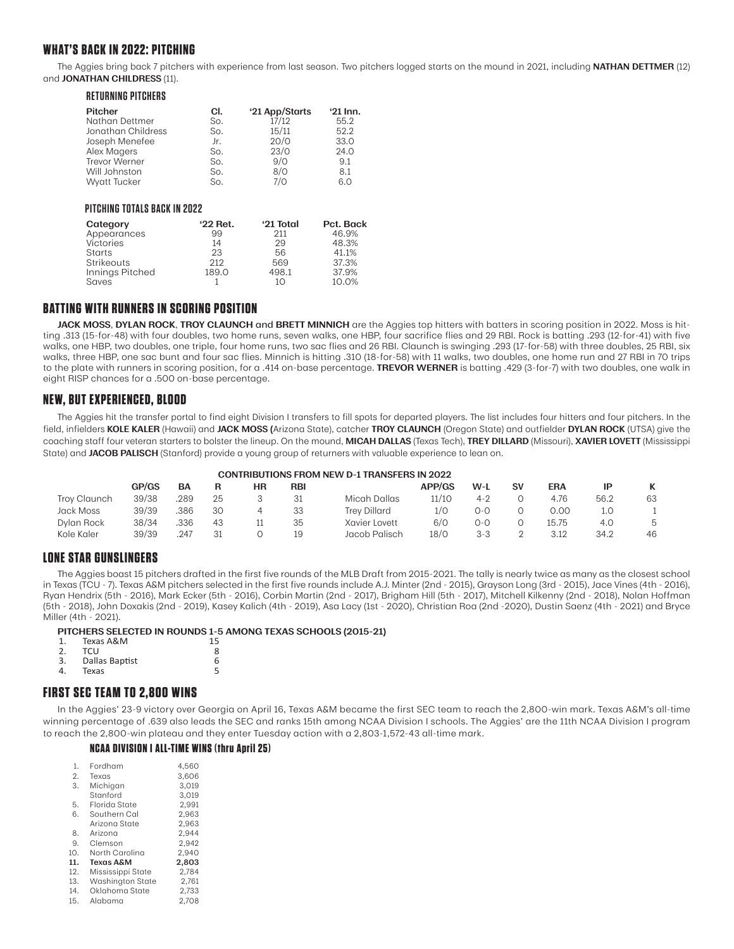## **WHAT'S BACK IN 2022: PITCHING**

The Aggies bring back 7 pitchers with experience from last season. Two pitchers logged starts on the mound in 2021, including **NATHAN DETTMER** (12) and **JONATHAN CHILDRESS** (11).

| CI. | '21 App/Starts | $21$ Inn. |
|-----|----------------|-----------|
| So. | 17/12          | 55.2      |
| So. | 15/11          | 52.2      |
| Jr. | 20/0           | 33.0      |
| So. | 23/0           | 24.0      |
| So. | 9/0            | 9.1       |
| So. | 8/0            | 8.1       |
| So. | 7/0            | 6.0       |
|     |                |           |

#### **PITCHING TOTALS BACK IN 2022**

| Category        | '22 Ret. | '21 Total | Pct. Back |
|-----------------|----------|-----------|-----------|
| Appearances     | 99       | 211       | 46.9%     |
| Victories       | 14       | 29        | 48.3%     |
| Starts          | 23       | 56        | 41.1%     |
| Strikeouts      | 212      | 569       | 37.3%     |
| Innings Pitched | 189.0    | 498.1     | 37.9%     |
| Saves           |          | 10        | 10.0%     |

#### **BATTING WITH RUNNERS IN SCORING POSITION**

**JACK MOSS**, **DYLAN ROCK**, **TROY CLAUNCH** and **BRETT MINNICH** are the Aggies top hitters with batters in scoring position in 2022. Moss is hitting .313 (15-for-48) with four doubles, two home runs, seven walks, one HBP, four sacrifice flies and 29 RBI. Rock is batting .293 (12-for-41) with five walks, one HBP, two doubles, one triple, four home runs, two sac flies and 26 RBI. Claunch is swinging .293 (17-for-58) with three doubles, 25 RBI, six walks, three HBP, one sac bunt and four sac flies. Minnich is hitting .310 (18-for-58) with 11 walks, two doubles, one home run and 27 RBI in 70 trips to the plate with runners in scoring position, for a .414 on-base percentage. **TREVOR WERNER** is batting .429 (3-for-7) with two doubles, one walk in eight RISP chances for a .500 on-base percentage.

### **NEW, BUT EXPERIENCED, BLOOD**

The Aggies hit the transfer portal to find eight Division I transfers to fill spots for departed players. The list includes four hitters and four pitchers. In the field, infielders **KOLE KALER** (Hawaii) and **JACK MOSS (**Arizona State), catcher **TROY CLAUNCH** (Oregon State) and outfielder **DYLAN ROCK** (UTSA) give the coaching staff four veteran starters to bolster the lineup. On the mound, **MICAH DALLAS** (Texas Tech), **TREY DILLARD** (Missouri), **XAVIER LOVETT** (Mississippi State) and **JACOB PALISCH** (Stanford) provide a young group of returners with valuable experience to lean on.

| <b>CONTRIBUTIONS FROM NEW D-1 TRANSFERS IN 2022</b> |
|-----------------------------------------------------|
|                                                     |

|              | GP/GS | BA   |    | ΗR | RBI |                     | <b>APP/GS</b> | $W-L$   | <b>SV</b> | <b>ERA</b> |      |    |
|--------------|-------|------|----|----|-----|---------------------|---------------|---------|-----------|------------|------|----|
| Troy Claunch | 39/38 | 289  | 25 |    |     | Micah Dallas        | 11/10         | $4 - 2$ |           | 4.76       | 56.2 | 63 |
| Jack Moss    | 39/39 | .386 | 30 |    | 33  | <b>Trev Dillard</b> | 1/0           | 0-C     |           | 0.00       |      |    |
| Dylan Rock   | 38/34 | .336 | 43 |    | 35  | Xavier Lovett       | 6/0           | 0-0     |           | 15.75      | 4.0  |    |
| Kole Kaler   | 39/39 | .247 | 31 |    | 19  | Jacob Palisch       | 18/0          | $3 - 3$ |           | 3.12       | 34.2 | 46 |

#### **LONE STAR GUNSLINGERS**

The Aggies boast 15 pitchers drafted in the first five rounds of the MLB Draft from 2015-2021. The tally is nearly twice as many as the closest school in Texas (TCU - 7). Texas A&M pitchers selected in the first five rounds include A.J. Minter (2nd - 2015), Grayson Long (3rd - 2015), Jace Vines (4th - 2016), Ryan Hendrix (5th - 2016), Mark Ecker (5th - 2016), Corbin Martin (2nd - 2017), Brigham Hill (5th - 2017), Mitchell Kilkenny (2nd - 2018), Nolan Hoffman (5th - 2018), John Doxakis (2nd - 2019), Kasey Kalich (4th - 2019), Asa Lacy (1st - 2020), Christian Roa (2nd -2020), Dustin Saenz (4th - 2021) and Bryce Miller (4th - 2021).

## **PITCHERS SELECTED IN ROUNDS 1-5 AMONG TEXAS SCHOOLS (2015-21)**

|    | Texas A&M      | 15 |
|----|----------------|----|
| 2. | TCU            | ጸ  |
| 3. | Dallas Baptist | 6  |
|    | Texas          |    |

## **FIRST SEC TEAM TO 2,800 WINS**

In the Aggies' 23-9 victory over Georgia on April 16, Texas A&M became the first SEC team to reach the 2,800-win mark. Texas A&M's all-time winning percentage of .639 also leads the SEC and ranks 15th among NCAA Division I schools. The Aggies' are the 11th NCAA Division I program to reach the 2,800-win plateau and they enter Tuesday action with a 2,803-1,572-43 all-time mark.

#### **NCAA DIVISION I ALL-TIME WINS (thru April 25)**

| 1.  | Fordham                 | 4.560 |
|-----|-------------------------|-------|
| 2.  | Texas                   | 3,606 |
| 3.  | Michigan                | 3.019 |
|     | Stanford                | 3.019 |
| 5.  | Florida State           | 2.991 |
| 6.  | Southern Cal            | 2.963 |
|     | Arizona State           | 2.963 |
| 8.  | Arizona                 | 2.944 |
| 9.  | Clemson                 | 2.942 |
| 10. | North Carolina          | 2.940 |
| 11. | Texas A&M               | 2,803 |
| 12. | Mississippi State       | 2.784 |
| 13. | <b>Washington State</b> | 2,761 |
| 14. | Oklahoma State          | 2,733 |
| 15  | Alahama                 | 2 7NR |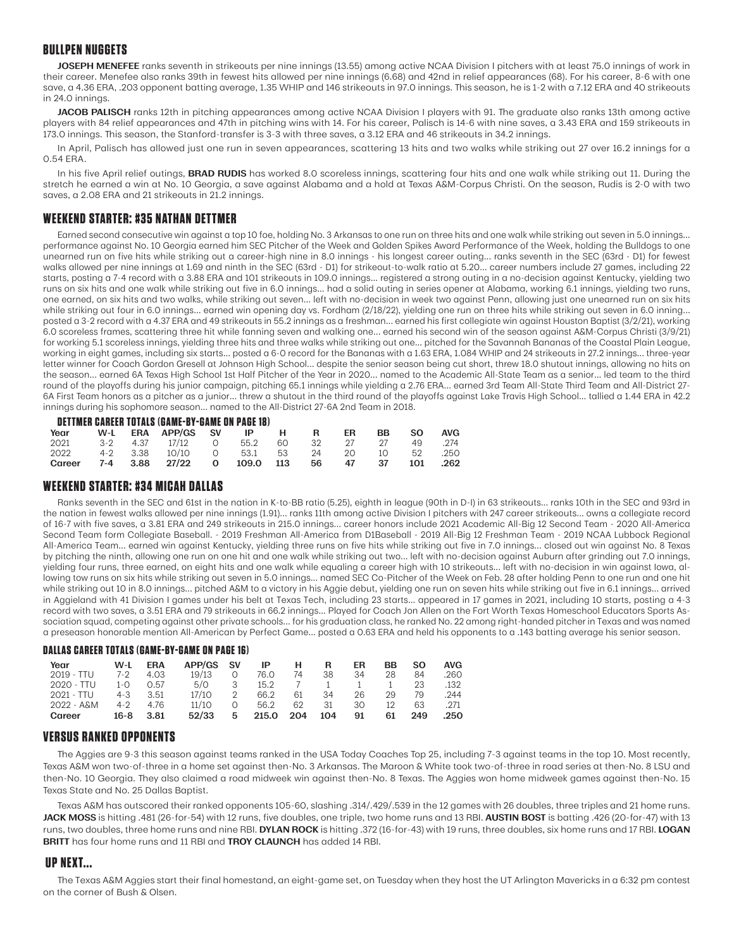### **BULLPEN NUGGETS**

**JOSEPH MENEFEE** ranks seventh in strikeouts per nine innings (13.55) among active NCAA Division I pitchers with at least 75.0 innings of work in their career. Menefee also ranks 39th in fewest hits allowed per nine innings (6.68) and 42nd in relief appearances (68). For his career, 8-6 with one save, a 4.36 ERA, .203 opponent batting average, 1.35 WHIP and 146 strikeouts in 97.0 innings. This season, he is 1-2 with a 7.12 ERA and 40 strikeouts in 24.0 innings.

JACOB PALISCH ranks 12th in pitching appearances among active NCAA Division I players with 91. The graduate also ranks 13th among active players with 84 relief appearances and 47th in pitching wins with 14. For his career, Palisch is 14-6 with nine saves, a 3.43 ERA and 159 strikeouts in 173.0 innings. This season, the Stanford-transfer is 3-3 with three saves, a 3.12 ERA and 46 strikeouts in 34.2 innings.

In April, Palisch has allowed just one run in seven appearances, scattering 13 hits and two walks while striking out 27 over 16.2 innings for a 0.54 ERA.

In his five April relief outings, **BRAD RUDIS** has worked 8.0 scoreless innings, scattering four hits and one walk while striking out 11. During the stretch he earned a win at No. 10 Georgia, a save against Alabama and a hold at Texas A&M-Corpus Christi. On the season, Rudis is 2-0 with two saves, a 2.08 ERA and 21 strikeouts in 21.2 innings.

## **WEEKEND STARTER: #35 NATHAN DETTMER**

Earned second consecutive win against a top 10 foe, holding No. 3 Arkansas to one run on three hits and one walk while striking out seven in 5.0 innings... performance against No. 10 Georgia earned him SEC Pitcher of the Week and Golden Spikes Award Performance of the Week, holding the Bulldogs to one unearned run on five hits while striking out a career-high nine in 8.0 innings - his longest career outing... ranks seventh in the SEC (63rd - D1) for fewest walks allowed per nine innings at 1.69 and ninth in the SEC (63rd - D1) for strikeout-to-walk ratio at 5.20... career numbers include 27 games, including 22 starts, posting a 7-4 record with a 3.88 ERA and 101 strikeouts in 109.0 innings... registered a strong outing in a no-decision against Kentucky, yielding two runs on six hits and one walk while striking out five in 6.0 innings... had a solid outing in series opener at Alabama, working 6.1 innings, yielding two runs, one earned, on six hits and two walks, while striking out seven... left with no-decision in week two against Penn, allowing just one unearned run on six hits while striking out four in 6.0 innings... earned win opening day vs. Fordham (2/18/22), yielding one run on three hits while striking out seven in 6.0 inning... posted a 3-2 record with a 4.37 ERA and 49 strikeouts in 55.2 innings as a freshman... earned his first collegiate win against Houston Baptist (3/2/21), working 6.0 scoreless frames, scattering three hit while fanning seven and walking one... earned his second win of the season against A&M-Corpus Christi (3/9/21) for working 5.1 scoreless innings, yielding three hits and three walks while striking out one... pitched for the Savannah Bananas of the Coastal Plain League, working in eight games, including six starts... posted a 6-0 record for the Bananas with a 1.63 ERA, 1.084 WHIP and 24 strikeouts in 27.2 innings... three-year letter winner for Coach Gordon Gresell at Johnson High School... despite the senior season being cut short, threw 18.0 shutout innings, allowing no hits on the season... earned 6A Texas High School 1st Half Pitcher of the Year in 2020... named to the Academic All-State Team as a senior... led team to the third round of the playoffs during his junior campaign, pitching 65.1 innings while yielding a 2.76 ERA... earned 3rd Team All-State Third Team and All-District 27- 6A First Team honors as a pitcher as a junior... threw a shutout in the third round of the playoffs against Lake Travis High School... tallied a 1.44 ERA in 42.2 innings during his sophomore season... named to the All-District 27-6A 2nd Team in 2018.

#### **DETTMER CAREER TOTALS (GAME-BY-GAME ON PAGE 18)**

| Year   |  | W-L ERA APP/GS SV IP H R             |                  |      | ER | BB.  | - SO | <b>AVG</b> |
|--------|--|--------------------------------------|------------------|------|----|------|------|------------|
| 2021   |  | 3-2 4.37 17/12 0                     | 55.2 60 32 27 27 |      |    |      | -49  | .274       |
| 2022   |  | 4-2 3.38 10/10 0 53.1 53 24 20 10 52 |                  |      |    |      |      | .250       |
| Career |  | 7-4 3.88 27/22 0 109.0 113           |                  | 56 — | 47 | - 37 | 101  | .262       |

#### **WEEKEND STARTER: #34 MICAH DALLAS**

Ranks seventh in the SEC and 61st in the nation in K-to-BB ratio (5.25), eighth in league (90th in D-I) in 63 strikeouts... ranks 10th in the SEC and 93rd in the nation in fewest walks allowed per nine innings (1.91)... ranks 11th among active Division I pitchers with 247 career strikeouts... owns a collegiate record of 16-7 with five saves, a 3.81 ERA and 249 strikeouts in 215.0 innings... career honors include 2021 Academic All-Big 12 Second Team - 2020 All-America Second Team form Collegiate Baseball. - 2019 Freshman All-America from D1Baseball - 2019 All-Big 12 Freshman Team - 2019 NCAA Lubbock Regional All-America Team... earned win against Kentucky, yielding three runs on five hits while striking out five in 7.0 innings... closed out win against No. 8 Texas by pitching the ninth, allowing one run on one hit and one walk while striking out two... left with no-decision against Auburn after grinding out 7.0 innings, yielding four runs, three earned, on eight hits and one walk while equaling a career high with 10 strikeouts... left with no-decision in win against Iowa, allowing tow runs on six hits while striking out seven in 5.0 innings... named SEC Co-Pitcher of the Week on Feb. 28 after holding Penn to one run and one hit while striking out 10 in 8.0 innings... pitched A&M to a victory in his Aggie debut, yielding one run on seven hits while striking out five in 6.1 innings... arrived in Aggieland with 41 Division I games under his belt at Texas Tech, including 23 starts... appeared in 17 games in 2021, including 10 starts, posting a 4-3 record with two saves, a 3.51 ERA and 79 strikeouts in 66.2 innings... Played for Coach Jon Allen on the Fort Worth Texas Homeschool Educators Sports Association squad, competing against other private schools... for his graduation class, he ranked No. 22 among right-handed pitcher in Texas and was named a preseason honorable mention All-American by Perfect Game... posted a 0.63 ERA and held his opponents to a .143 batting average his senior season.

#### **DALLAS CAREER TOTALS (GAME-BY-GAME ON PAGE 16)**

| Year<br>$2019 - TTU$<br>2020 - TTU<br>2021 - TTU<br>$2022 - A\&M$ | W-I<br>7-2<br>$1 - \Omega$<br>$4 - 3$<br>$4-2$<br>16-8 | <b>ERA</b><br>4.03<br>0.57<br>3.51<br>4.76<br>3.81 | APP/GS<br>19/13<br>5/0<br>17/10<br>11/10<br>52/33 | SV<br>З<br>5 | IP<br>76.O<br>15.2<br>66.2<br>56.2 | н<br>74<br>61<br>62 | R<br>38<br>34<br>31<br>104 | ER<br>34<br>26<br>30<br>91 | ВB<br>28<br>29<br>12<br>61 | <b>SO</b><br>84<br>23<br>79<br>63<br>249 | AVG.<br>.260<br>.132<br>.244<br>.271 |
|-------------------------------------------------------------------|--------------------------------------------------------|----------------------------------------------------|---------------------------------------------------|--------------|------------------------------------|---------------------|----------------------------|----------------------------|----------------------------|------------------------------------------|--------------------------------------|
| Career                                                            |                                                        |                                                    |                                                   |              | 215.0                              | 204                 |                            |                            |                            |                                          | .250                                 |

### **VERSUS RANKED OPPONENTS**

The Aggies are 9-3 this season against teams ranked in the USA Today Coaches Top 25, including 7-3 against teams in the top 10. Most recently, Texas A&M won two-of-three in a home set against then-No. 3 Arkansas. The Maroon & White took two-of-three in road series at then-No. 8 LSU and then-No. 10 Georgia. They also claimed a road midweek win against then-No. 8 Texas. The Aggies won home midweek games against then-No. 15 Texas State and No. 25 Dallas Baptist.

Texas A&M has outscored their ranked opponents 105-60, slashing .314/.429/.539 in the 12 games with 26 doubles, three triples and 21 home runs. **JACK MOSS** is hitting .481 (26-for-54) with 12 runs, five doubles, one triple, two home runs and 13 RBI. **AUSTIN BOST** is batting .426 (20-for-47) with 13 runs, two doubles, three home runs and nine RBI. **DYLAN ROCK** is hitting .372 (16-for-43) with 19 runs, three doubles, six home runs and 17 RBI. **LOGAN BRITT** has four home runs and 11 RBI and **TROY CLAUNCH** has added 14 RBI.

### **UP NEXT...**

The Texas A&M Aggies start their final homestand, an eight-game set, on Tuesday when they host the UT Arlington Mavericks in a 6:32 pm contest on the corner of Bush & Olsen.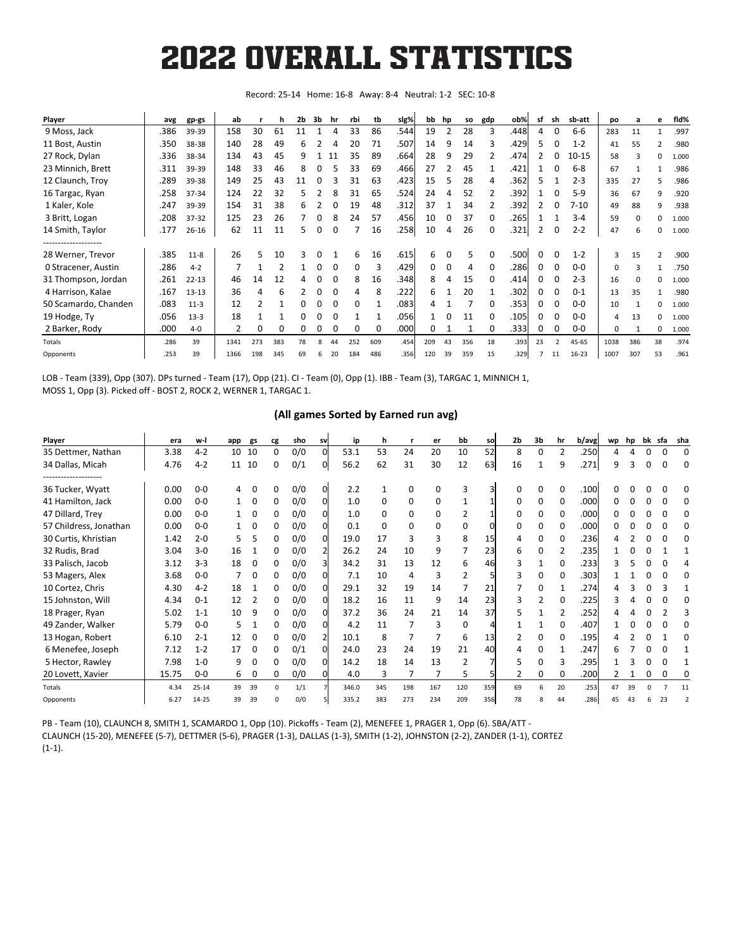#### **2022 Texas A&M Baseball - 12thMan.com Overall Statistics for Texas A&M (as of Apr 24, 2022) (All games Sorted by Batting avg)** 2022 OVERALL STATISTICS

Record: 25-14 Home: 16-8 Away: 8-4 Neutral: 1-2 SEC: 10-8

| Player                                    | avg  | gp-gs     | ab   |     | h            | 2b | 3b | hr | rbi          | tb           | slg% | bb  | hp | so  | gdp          | ob%   | sf       | sh                       | sb-att    | po       | a   | е  | fid%  |
|-------------------------------------------|------|-----------|------|-----|--------------|----|----|----|--------------|--------------|------|-----|----|-----|--------------|-------|----------|--------------------------|-----------|----------|-----|----|-------|
| 9 Moss, Jack                              | .386 | 39-39     | 158  | 30  | 61           | 11 |    | 4  | 33           | 86           | .544 | 19  | 2  | 28  | 3            | .448  | 4        | 0                        | $6-6$     | 283      | 11  |    | .997  |
| 11 Bost, Austin                           | .350 | 38-38     | 140  | 28  | 49           | 6  |    | 4  | 20           | 71           | .507 | 14  | 9  | 14  | 3            | .429  | 5        | ი                        | $1 - 2$   | 41       | 55  |    | .980  |
| 27 Rock, Dylan                            | .336 | 38-34     | 134  | 43  | 45           | 9  |    | 11 | 35           | 89           | .664 | 28  | 9  | 29  |              | .474  |          | ი                        | $10 - 15$ | 58       |     | 0  | 1.000 |
| 23 Minnich, Brett                         | .311 | 39-39     | 148  | 33  | 46           | 8  | 0  |    | 33           | 69           | .466 | 27  |    | 45  |              | .421  |          |                          | $6 - 8$   | 67       |     |    | .986  |
| 12 Claunch, Troy                          | .289 | 39-38     | 149  | 25  | 43           | 11 | 0  |    | 31           | 63           | .423 | 15  | 5. | 28  | 4            | .362  |          |                          | $2 - 3$   | 335      | 27  |    | .986  |
| 16 Targac, Ryan                           | .258 | 37-34     | 124  | 22  | 32           | 5  |    |    | 31           | 65           | .524 | 24  | 4  | 52  |              | .392  |          |                          | $5-9$     | 36       | 67  | 9  | .920  |
| 1 Kaler, Kole                             | .247 | 39-39     | 154  | 31  | 38           | 6  |    |    | 19           | 48           | .312 | 37  |    | 34  |              | .392  |          |                          | $7 - 10$  | 49       | 88  | 9  | .938  |
| 3 Britt, Logan                            | .208 | 37-32     | 125  | 23  | 26           |    | 0  | ጸ  | 24           | 57           | .456 | 10  | 0  | 37  |              | .265  |          |                          | $3 - 4$   | 59       |     | 0  | 1.000 |
| 14 Smith, Taylor                          | .177 | $26 - 16$ | 62   | 11  | 11           | 5  | 0  |    |              | 16           | .258 | 10  | 4  | 26  | 0            | .321  | 2        | 0                        | $2 - 2$   | 47       | 6   | 0  | 1.000 |
| --------------------<br>28 Werner, Trevor | .385 | $11 - 8$  | 26   | 5   | 10           | 3  |    |    | 6            | 16           | .615 | 6   |    | 5   |              | .500  | $\Omega$ |                          | $1 - 2$   | 3        | 15  |    | .900  |
| 0 Stracener, Austin                       | .286 | $4 - 2$   |      |     |              |    | 0  | 0  | <sup>0</sup> |              | .429 | 0   | 0  | 4   |              | .286l |          |                          | $0 - 0$   | $\Omega$ |     |    | .750  |
| 31 Thompson, Jordan                       | .261 | $22 - 13$ | 46   | 14  | 12           |    |    |    | 8            | 16           | .348 | 8   | 4  | 15  |              | .414  | O        |                          | $2 - 3$   | 16       |     | 0  | 1.000 |
| 4 Harrison, Kalae                         | .167 | $13 - 13$ | 36   |     | 6            |    | 0  | 0  | 4            | 8            | .222 | 6   |    | 20  |              | .302  | O        |                          | $0 - 1$   | 13       | 35  |    | .980  |
| 50 Scamardo, Chanden                      | .083 | $11-3$    | 12   | 2   |              | 0  | 0  |    | $\Omega$     |              | .083 |     |    |     |              | .353  | 0        |                          | $0-0$     | 10       |     | 0  | 1.000 |
| 19 Hodge, Ty                              | .056 | $13-3$    | 18   |     |              | 0  | 0  | 0  |              |              | .056 |     | 0  | 11  | <sup>0</sup> | .105  | 0        | 0                        | $0-0$     | 4        | 13  | 0  | 1.000 |
| 2 Barker, Rody                            | .000 | $4 - 0$   | 2    | 0   | <sup>0</sup> | 0  | 0  |    | <sup>0</sup> | <sup>0</sup> | .000 | 0   |    |     | 0            | .3331 | 0        | O                        | $0-0$     | $\Omega$ |     | 0  | 1.000 |
| Totals                                    | .286 | 39        | 1341 | 273 | 383          | 78 |    | 44 | 252          | 609          | .454 | 209 | 43 | 356 | 18           | .393  | 23       | $\overline{\phantom{a}}$ | 45-65     | 1038     | 386 | 38 | .974  |
| Opponents                                 | .253 | 39        | 1366 | 198 | 345          | 69 | 6  | 20 | 184          | 486          | .356 | 120 | 39 | 359 | 15           | .329  |          | 11                       | $16 - 23$ | 1007     | 307 | 53 | .961  |

LOB - Team (339), Opp (307). DPs turned - Team (17), Opp (21). CI - Team (0), Opp (1). IBB - Team (3), TARGAC 1, MINNICH 1, MOSS 1, Opp (3). Picked off - BOST 2, ROCK 2, WERNER 1, TARGAC 1.

#### **(All games Sorted by Earned run avg)**

| Player                                  | era   | w-l       | app | gs | cg           | sho | sv | ip    | h   |                | er  | bb       | so  | 2b           | 3b           | hr           | b/avg | wp | hp |   |    | bk sfa sha |
|-----------------------------------------|-------|-----------|-----|----|--------------|-----|----|-------|-----|----------------|-----|----------|-----|--------------|--------------|--------------|-------|----|----|---|----|------------|
| 35 Dettmer, Nathan                      | 3.38  | $4 - 2$   | 10  | 10 | 0            | 0/0 | 0  | 53.1  | 53  | 24             | 20  | 10       | 52  | 8            | 0            | 2            | .250  | Δ  |    |   | O  | 0          |
| 34 Dallas, Micah                        | 4.76  | $4 - 2$   | 11  | 10 | 0            | 0/1 | Ωl | 56.2  | 62  | 31             | 30  | 12       | 63  | 16           |              | 9            | .271  | q  | 3  | 0 | 0  | $\Omega$   |
| -------------------<br>36 Tucker, Wyatt | 0.00  | $0 - 0$   |     |    | ი            | 0/0 |    | 2.2   |     | $\Omega$       | O   |          |     |              |              |              | .100  |    |    |   |    |            |
| 41 Hamilton, Jack                       | 0.00  | $0 - 0$   |     | 0  | 0            | 0/0 |    | 1.0   | 0   | $\Omega$       | 0   |          |     | <sup>0</sup> | 0            | <sup>0</sup> | .000  |    |    |   |    |            |
| 47 Dillard, Trey                        | 0.00  | $0 - 0$   |     | 0  | 0            | 0/0 |    | 1.0   | 0   | 0              | 0   |          |     |              | 0            | 0            | .000  |    |    |   |    |            |
| 57 Childress, Jonathan                  | 0.00  | $0 - 0$   |     | 0  | 0            | 0/0 |    | 0.1   | 0   | 0              | 0   | 0        |     | 0            | 0            | 0            | .000  |    |    |   |    |            |
| 30 Curtis, Khristian                    | 1.42  | $2 - 0$   |     |    | 0            | 0/0 |    | 19.0  | 17  | 3              | 3   | 8        | 15  | 4            | $\Omega$     | 0            | .236  |    |    |   |    | 0          |
| 32 Rudis, Brad                          | 3.04  | $3 - 0$   | 16  |    | 0            | 0/0 |    | 26.2  | 24  | 10             | 9   |          | 23  | 6            | 0            |              | .235  |    |    |   |    |            |
| 33 Palisch, Jacob                       | 3.12  | $3 - 3$   | 18  | 0  | 0            | 0/0 |    | 34.2  | 31  | 13             | 12  | 6        | 46  |              |              |              | .233  |    |    |   |    |            |
| 53 Magers, Alex                         | 3.68  | $0 - 0$   |     | 0  | 0            | 0/0 |    | 7.1   | 10  | $\overline{4}$ | 3   |          |     | 3            | <sup>0</sup> |              | .303  |    |    |   |    | o          |
| 10 Cortez, Chris                        | 4.30  | $4 - 2$   | 18  |    | 0            | 0/0 |    | 29.1  | 32  | 19             | 14  |          | 21  |              | <sup>0</sup> |              | .274  |    |    |   |    |            |
| 15 Johnston, Will                       | 4.34  | $0 - 1$   | 12  | 2  | 0            | 0/0 |    | 18.2  | 16  | 11             | 9   | 14       | 23  | 3            |              |              | .225  |    |    |   |    |            |
| 18 Prager, Ryan                         | 5.02  | $1 - 1$   | 10  | 9  | 0            | 0/0 |    | 37.2  | 36  | 24             | 21  | 14       | 37  | 5            |              |              | .252  |    |    |   |    |            |
| 49 Zander, Walker                       | 5.79  | $0 - 0$   | 5   |    | <sup>0</sup> | 0/0 |    | 4.2   | 11  | 7              | Р   | $\Omega$ |     |              |              | <sup>0</sup> | .407  |    |    |   |    |            |
| 13 Hogan, Robert                        | 6.10  | $2 - 1$   | 12  | 0  | 0            | 0/0 |    | 10.1  | 8   | 7              |     | 6        | 13  |              | <sup>0</sup> | o            | .195  |    |    |   |    | O          |
| 6 Menefee, Joseph                       | 7.12  | $1 - 2$   | 17  | 0  | 0            | 0/1 |    | 24.0  | 23  | 24             | 19  | 21       | 40  |              | o            |              | .247  |    |    |   |    |            |
| 5 Hector, Rawley                        | 7.98  | $1 - 0$   | 9   | 0  | 0            | 0/0 |    | 14.2  | 18  | 14             | 13  | 2        |     | 5            | O            | 3            | .295  |    |    |   |    |            |
| 20 Lovett, Xavier                       | 15.75 | $0 - 0$   | 6   | 0  | 0            | 0/0 |    | 4.0   | 3   | 7              |     | 5        |     | 2            | 0            | 0            | .200  |    |    | 0 | 0  | C          |
| Totals                                  | 4.34  | $25 - 14$ | 39  | 39 | $\Omega$     | 1/1 |    | 346.0 | 345 | 198            | 167 | 120      | 359 | 69           | 6            | 20           | .253  | 47 | 39 |   |    | 11         |
| Opponents                               | 6.27  | 14-25     | 39  | 39 | n            | 0/0 |    | 335.2 | 383 | 273            | 234 | 209      | 356 | 78           |              | 44           | .286  |    |    |   | 23 |            |

PB - Team (10), CLAUNCH 8, SMITH 1, SCAMARDO 1, Opp (10). Pickoffs - Team (2), MENEFEE 1, PRAGER 1, Opp (6). SBA/ATT - CLAUNCH (15-20), MENEFEE (5-7), DETTMER (5-6), PRAGER (1-3), DALLAS (1-3), SMITH (1-2), JOHNSTON (2-2), ZANDER (1-1), CORTEZ (1-1).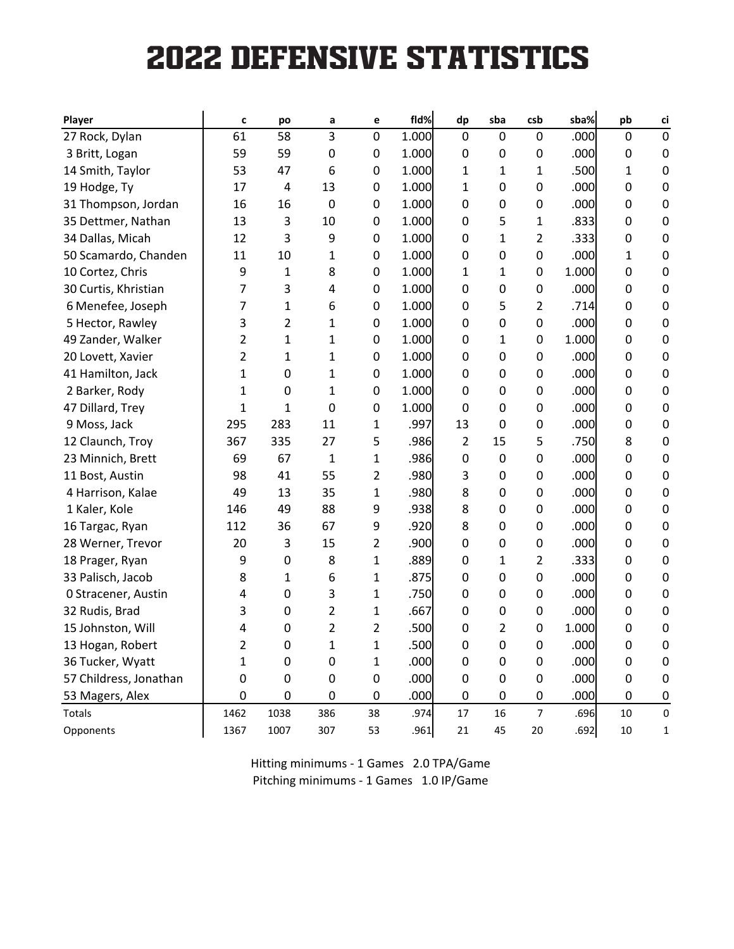# **2022 DEFENSIVE STATISTICS**

**(All games Sorted by Fielding pct)**

| <b>Player</b>          | C              | po           | a              | e  | fld%  | dp          | sba              | csb            | sba%  | pb               | ci          |
|------------------------|----------------|--------------|----------------|----|-------|-------------|------------------|----------------|-------|------------------|-------------|
| 27 Rock, Dylan         | 61             | 58           | 3              | 0  | 1.000 | 0           | $\mathbf 0$      | $\mathbf 0$    | .000  | 0                | $\mathbf 0$ |
| 3 Britt, Logan         | 59             | 59           | 0              | 0  | 1.000 | 0           | 0                | 0              | .000  | 0                | 0           |
| 14 Smith, Taylor       | 53             | 47           | 6              | 0  | 1.000 | 1           | 1                | 1              | .500  | 1                | 0           |
| 19 Hodge, Ty           | 17             | 4            | 13             | 0  | 1.000 | 1           | 0                | 0              | .000  | 0                | 0           |
| 31 Thompson, Jordan    | 16             | 16           | 0              | 0  | 1.000 | 0           | 0                | 0              | .000  | 0                | 0           |
| 35 Dettmer, Nathan     | 13             | 3            | 10             | 0  | 1.000 | 0           | 5                | 1              | .833  | 0                | 0           |
| 34 Dallas, Micah       | 12             | 3            | 9              | 0  | 1.000 | 0           | 1                | 2              | .333  | 0                | 0           |
| 50 Scamardo, Chanden   | 11             | 10           | 1              | 0  | 1.000 | 0           | $\mathbf 0$      | 0              | .000  | 1                | 0           |
| 10 Cortez, Chris       | 9              | 1            | 8              | 0  | 1.000 | 1           | 1                | 0              | 1.000 | 0                | 0           |
| 30 Curtis, Khristian   | 7              | 3            | 4              | 0  | 1.000 | 0           | 0                | 0              | .000  | 0                | 0           |
| 6 Menefee, Joseph      | 7              | $\mathbf{1}$ | 6              | 0  | 1.000 | 0           | 5                | 2              | .714  | 0                | 0           |
| 5 Hector, Rawley       | 3              | 2            | 1              | 0  | 1.000 | 0           | $\mathbf 0$      | 0              | .000  | 0                | 0           |
| 49 Zander, Walker      | 2              | 1            | 1              | 0  | 1.000 | 0           | 1                | 0              | 1.000 | 0                | 0           |
| 20 Lovett, Xavier      | $\overline{2}$ | 1            | 1              | 0  | 1.000 | 0           | $\mathbf 0$      | 0              | .000  | 0                | 0           |
| 41 Hamilton, Jack      | $\mathbf{1}$   | 0            | 1              | 0  | 1.000 | 0           | 0                | 0              | .000  | 0                | 0           |
| 2 Barker, Rody         | 1              | 0            | 1              | 0  | 1.000 | 0           | 0                | 0              | .000  | 0                | 0           |
| 47 Dillard, Trey       | 1              | 1            | 0              | 0  | 1.000 | $\Omega$    | 0                | 0              | .000  | 0                | 0           |
| 9 Moss, Jack           | 295            | 283          | 11             | 1  | .997  | 13          | 0                | 0              | .000  | 0                | 0           |
| 12 Claunch, Troy       | 367            | 335          | 27             | 5  | .986  | 2           | 15               | 5              | .750  | 8                | 0           |
| 23 Minnich, Brett      | 69             | 67           | 1              | 1  | .986  | 0           | 0                | 0              | .000  | 0                | 0           |
| 11 Bost, Austin        | 98             | 41           | 55             | 2  | .980  | 3           | 0                | 0              | .000  | 0                | 0           |
| 4 Harrison, Kalae      | 49             | 13           | 35             | 1  | .980  | 8           | 0                | 0              | .000  | 0                | 0           |
| 1 Kaler, Kole          | 146            | 49           | 88             | 9  | .938  | 8           | 0                | 0              | .000  | 0                | 0           |
| 16 Targac, Ryan        | 112            | 36           | 67             | 9  | .920  | 8           | 0                | 0              | .000  | 0                | 0           |
| 28 Werner, Trevor      | 20             | 3            | 15             | 2  | .900  | 0           | 0                | 0              | .000  | 0                | 0           |
| 18 Prager, Ryan        | 9              | 0            | 8              | 1  | .889  | 0           | 1                | $\overline{2}$ | .333  | 0                | 0           |
| 33 Palisch, Jacob      | 8              | 1            | 6              | 1  | .875  | 0           | 0                | 0              | .000  | 0                | 0           |
| 0 Stracener, Austin    | 4              | 0            | 3              | 1  | .750  | 0           | 0                | 0              | .000  | 0                | 0           |
| 32 Rudis, Brad         | 3              | 0            | $\overline{2}$ | 1  | .667  | 0           | $\boldsymbol{0}$ | 0              | .000  | 0                | 0           |
| 15 Johnston, Will      | 4              | 0            | $\overline{2}$ | 2  | .500  | 0           | $\overline{2}$   | 0              | 1.000 | 0                | 0           |
| 13 Hogan, Robert       | 2              | 0            | $\mathbf 1$    | 1  | .500  | $\pmb{0}$   | $\mathbf 0$      | $\pmb{0}$      | .000  | $\pmb{0}$        | 0           |
| 36 Tucker, Wyatt       | $\mathbf{1}$   | 0            | 0              | 1  | .000  | 0           | 0                | $\mathbf 0$    | .000  | 0                | 0           |
| 57 Childress, Jonathan | $\mathbf 0$    | 0            | 0              | 0  | .000  | 0           | 0                | $\mathbf 0$    | .000  | 0                | 0           |
| 53 Magers, Alex        | $\mathbf 0$    | 0            | 0              | 0  | .000  | $\mathbf 0$ | 0                | $\mathbf 0$    | .000  | $\boldsymbol{0}$ | 0           |
| Totals                 | 1462           | 1038         | 386            | 38 | .974  | 17          | 16               | $\overline{7}$ | .696  | 10               | $\mathsf 0$ |
| Opponents              | 1367           | 1007         | 307            | 53 | .961  | 21          | 45               | $20\,$         | .692  | 10               | 1           |

Hitting minimums - 1 Games 2.0 TPA/Game Pitching minimums - 1 Games 1.0 IP/Game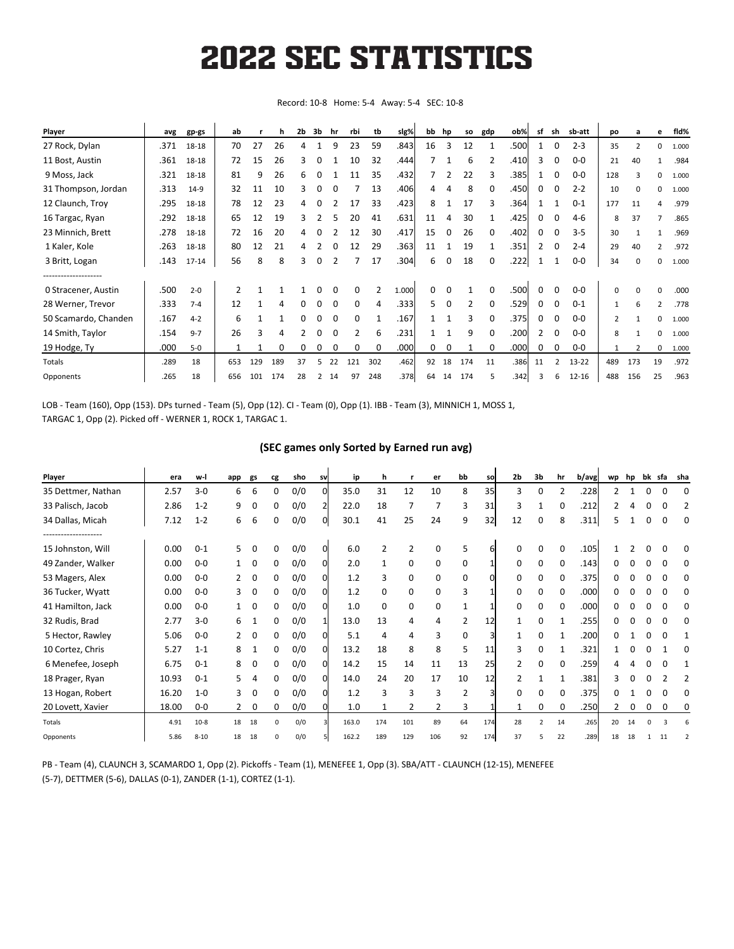## **2022 Texas A&M Baseball - 12thMan.com Conference statistics for Texas A&M (as of Apr 24, 2022) (SEC games only Sorted by Batting avg)** 2022 SEC STATISTICS

Record: 10-8 Home: 5-4 Away: 5-4 SEC: 10-8

| Player               | avg  | gp-gs     | ab             |     | h   | 2b           | 3b | hr       | rbi           | tb  | slg%  | bb | hp | so  | gdp      | ob%   | sf             | sh           | sb-att    | po             | $\overline{a}$ | е              | fid%  |
|----------------------|------|-----------|----------------|-----|-----|--------------|----|----------|---------------|-----|-------|----|----|-----|----------|-------|----------------|--------------|-----------|----------------|----------------|----------------|-------|
| 27 Rock, Dylan       | .371 | 18-18     | 70             | 27  | 26  | 4            |    | q        | 23            | 59  | .843  | 16 | 3  | 12  |          | .500  |                |              | $2 - 3$   | 35             |                | 0              | 1.000 |
| 11 Bost, Austin      | .361 | 18-18     | 72             | 15  | 26  | 3            | 0  |          | 10            | 32  | .444  |    |    | 6   |          | .410l | 3              | O            | $0 - 0$   | 21             | 40             |                | .984  |
| 9 Moss, Jack         | .321 | 18-18     | 81             | 9   | 26  | 6            | 0  |          | 11            | 35  | .432  |    | 2  | 22  |          | .385  |                | ი            | $0 - 0$   | 128            |                | 0              | 1.000 |
| 31 Thompson, Jordan  | .313 | $14-9$    | 32             | 11  | 10  | 3            | 0  |          |               | 13  | .406  | 4  | 4  | 8   | 0        | .450  | 0              | 0            | $2 - 2$   | 10             |                | 0              | 1.000 |
| 12 Claunch, Troy     | .295 | 18-18     | 78             | 12  | 23  |              |    |          | 17            | 33  | .423  | 8  |    | 17  |          | .364  |                |              | $0 - 1$   | 177            | 11             | 4              | .979  |
| 16 Targac, Ryan      | .292 | 18-18     | 65             | 12  | 19  | 3            |    |          | 20            | 41  | .631  | 11 | 4  | 30  |          | .425  | 0              |              | 4-6       | 8              | 37             |                | .865  |
| 23 Minnich, Brett    | .278 | 18-18     | 72             | 16  | 20  |              |    |          | 12            | 30  | .417  | 15 | 0  | 26  | 0        | .402  | 0              | 0            | $3 - 5$   | 30             |                |                | .969  |
| 1 Kaler, Kole        | .263 | 18-18     | 80             | 12  | 21  | 4            |    |          | 12            | 29  | .363  | 11 |    | 19  |          | .351  | 2              | 0            | $2 - 4$   | 29             | 40             |                | .972  |
| 3 Britt, Logan       | .143 | $17 - 14$ | 56             | 8   | 8   | 3            | 0  | 2        |               | 17  | .304  | 6  | 0  | 18  | 0        | .222  |                |              | 0-0       | 34             | 0              | 0              | 1.000 |
|                      |      |           |                |     |     |              |    |          |               |     |       |    |    |     |          |       |                |              |           |                |                |                |       |
| 0 Stracener, Austin  | .500 | $2 - 0$   | $\overline{2}$ |     |     |              | 0  |          | 0             | 2   | 1.000 | 0  | 0  |     | $\Omega$ | .500  | 0              | 0            | $0-0$     | 0              | 0              | 0              | .000  |
| 28 Werner, Trevor    | .333 | $7 - 4$   | 12             |     | 4   | 0            | 0  | $\Omega$ | 0             | 4   | .333  | 5. | 0  | 2   | 0        | .529  | 0              | $\Omega$     | $0 - 1$   | $\mathbf{1}$   | 6              | $\overline{2}$ | .778  |
| 50 Scamardo, Chanden | .167 | $4 - 2$   | 6              |     |     | <sup>0</sup> | U  |          | O             |     | .167  |    |    | 3   | O        | .375  | 0              | <sup>0</sup> | $0-0$     | $\overline{2}$ |                | 0              | 1.000 |
| 14 Smith, Taylor     | .154 | $9 - 7$   | 26             | з   | Δ   |              | ი  |          | $\mathcal{P}$ | 6   | .231  |    |    | 9   | 0        | .200  | $\overline{2}$ | O            | $0 - 0$   | 8              |                | 0              | 1.000 |
| 19 Hodge, Ty         | .000 | $5-0$     |                |     | O   |              | 0  |          |               |     | .000  | 0  | 0  |     | 0        | .000  | 0              |              | 0-0       | $\mathbf{1}$   |                | 0              | 1.000 |
| Totals               | .289 | 18        | 653            | 129 | 189 | 37           |    | 22       | 121           | 302 | .462  | 92 | 18 | 174 | 11       | .386  | 11             |              | 13-22     | 489            | 173            | 19             | .972  |
| Opponents            | .265 | 18        | 656            | 101 | 174 | 28           | 2  | 14       | 97            | 248 | .378  | 64 | 14 | 174 | 5        | .342  |                | 6            | $12 - 16$ | 488            | 156            | 25             | .963  |

LOB - Team (160), Opp (153). DPs turned - Team (5), Opp (12). CI - Team (0), Opp (1). IBB - Team (3), MINNICH 1, MOSS 1, TARGAC 1, Opp (2). Picked off - WERNER 1, ROCK 1, TARGAC 1.

#### **(SEC games only Sorted by Earned run avg)**

| Player             | era   | w-l      | app | gs | cg       | sho | sv       | ip    | h   |     | er  | bb             | so  | 2 <sub>b</sub> | 3b                       | hr           | b/avg | wp | hp | bk | sfa | sha |
|--------------------|-------|----------|-----|----|----------|-----|----------|-------|-----|-----|-----|----------------|-----|----------------|--------------------------|--------------|-------|----|----|----|-----|-----|
| 35 Dettmer, Nathan | 2.57  | $3 - 0$  | 6   | 6  | 0        | 0/0 | $\Omega$ | 35.0  | 31  | 12  | 10  | 8              | 35  | 3              | 0                        |              | .228  |    |    |    | O   | C   |
| 33 Palisch, Jacob  | 2.86  | $1 - 2$  | 9   | 0  | 0        | 0/0 | 21       | 22.0  | 18  | 7   |     | 3              | 31  | 3              |                          |              | .212  |    |    |    | 0   | 2   |
| 34 Dallas, Micah   | 7.12  | $1 - 2$  | 6   | 6  | 0        | 0/0 | 0l       | 30.1  | 41  | 25  | 24  | 9              | 32  | 12             | 0                        | 8            | .311  |    |    |    | 0   | 0   |
| 15 Johnston, Will  | 0.00  | $0 - 1$  | 5   | 0  | 0        | 0/0 | 0l       | 6.0   |     | 2   | O   | 5              |     |                |                          |              | .105  |    |    |    |     | 0   |
| 49 Zander, Walker  | 0.00  | $0-0$    |     | 0  | 0        | 0/0 | Οl       | 2.0   |     | 0   | 0   | 0              |     | <sup>0</sup>   | 0                        |              | .143  |    |    |    | O   | 0   |
| 53 Magers, Alex    | 0.00  | $0-0$    |     | 0  | 0        | 0/0 | 0l       | 1.2   |     | 0   | 0   | 0              |     | 0              | 0                        |              | .375  |    |    |    | 0   | 0   |
| 36 Tucker, Wyatt   | 0.00  | $0-0$    | 3   | 0  | 0        | 0/0 | 0l       | 1.2   | 0   | 0   | 0   | 3              |     | 0              | 0                        |              | .000  |    |    |    | 0   | 0   |
| 41 Hamilton, Jack  | 0.00  | $0-0$    |     | 0  | 0        | 0/0 | 0l       | 1.0   | 0   | 0   | 0   |                |     | 0              | 0                        | <sup>0</sup> | .000  |    |    |    | 0   | 0   |
| 32 Rudis, Brad     | 2.77  | $3-0$    | 6   |    | 0        | 0/0 |          | 13.0  | 13  | 4   | 4   | 2              | 12  |                | 0                        |              | .255  |    |    |    | 0   | 0   |
| 5 Hector, Rawley   | 5.06  | $0 - 0$  |     | 0  | 0        | 0/0 | 0l       | 5.1   | 4   | 4   | 3   | 0              |     |                | <sup>0</sup>             |              | .200  |    |    |    | 0   |     |
| 10 Cortez, Chris   | 5.27  | $1 - 1$  | 8   |    | 0        | 0/0 | 0l       | 13.2  | 18  | 8   | 8   | 5              | 11  | 3              | 0                        |              | .321  |    |    |    |     | 0   |
| 6 Menefee, Joseph  | 6.75  | $0 - 1$  | 8   | 0  | 0        | 0/0 | 0l       | 14.2  | 15  | 14  | 11  | 13             | 25  |                | 0                        |              | .259  |    |    |    | 0   |     |
| 18 Prager, Ryan    | 10.93 | $0 - 1$  |     |    | 0        | 0/0 | Οl       | 14.0  | 24  | 20  | 17  | 10             | 12  |                |                          |              | .381  |    |    |    |     |     |
| 13 Hogan, Robert   | 16.20 | $1 - 0$  | 3   | 0  | 0        | 0/0 | Οl       | 1.2   | 3   | 3   | 3   | $\overline{2}$ |     | 0              | 0                        |              | .375  |    |    |    | 0   | 0   |
| 20 Lovett, Xavier  | 18.00 | $0-0$    | 2   | 0  | 0        | 0/0 |          | 1.0   |     | 2   |     | 3              |     |                | 0                        | 0            | .250  |    | 0  | 0  | 0   | 0   |
| Totals             | 4.91  | $10-8$   | 18  | 18 | $\Omega$ | 0/0 |          | 163.0 | 174 | 101 | 89  | 64             | 174 | 28             | $\overline{\phantom{a}}$ | 14           | .265  | 20 | 14 |    |     |     |
| Opponents          | 5.86  | $8 - 10$ | 18  | 18 | n        | 0/0 |          | 162.2 | 189 | 129 | 106 | 92             | 174 | 37             |                          | 22           | .289  | 18 | 18 |    | 11  |     |

PB - Team (4), CLAUNCH 3, SCAMARDO 1, Opp (2). Pickoffs - Team (1), MENEFEE 1, Opp (3). SBA/ATT - CLAUNCH (12-15), MENEFEE (5-7), DETTMER (5-6), DALLAS (0-1), ZANDER (1-1), CORTEZ (1-1).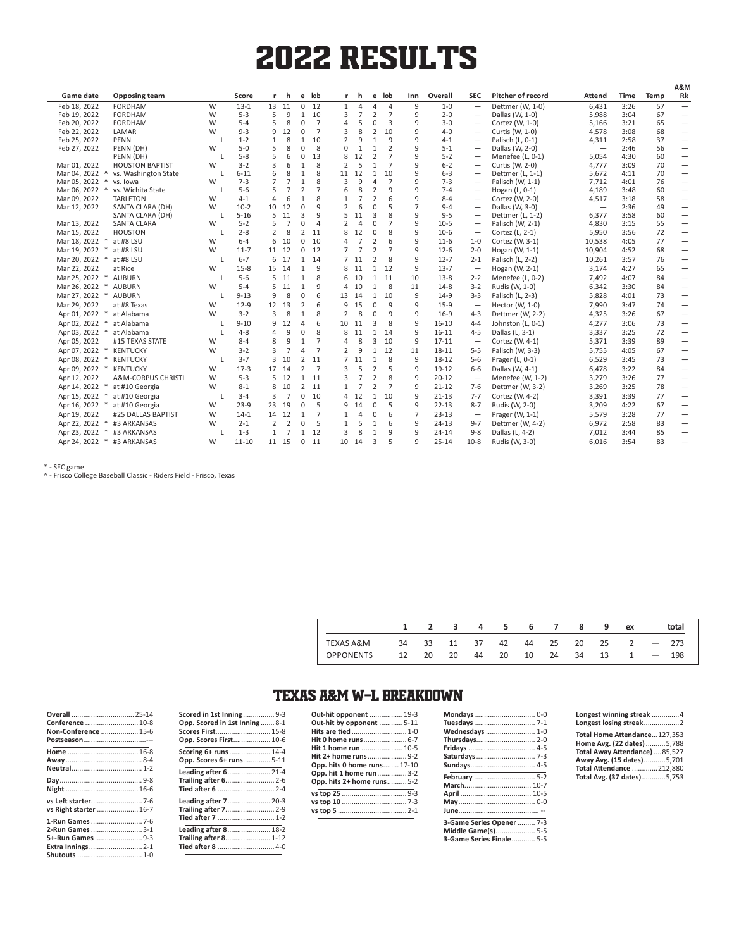# 2022 RESULTS

|                           |                                      |   |                   |                |                |                   |                |    |                 |                               |                |        |                    |                                     |                                     |                          |              |          | A&IV                     |
|---------------------------|--------------------------------------|---|-------------------|----------------|----------------|-------------------|----------------|----|-----------------|-------------------------------|----------------|--------|--------------------|-------------------------------------|-------------------------------------|--------------------------|--------------|----------|--------------------------|
| Game date                 | <b>Opposing team</b>                 |   | Score             | r              | h              | e                 | lob            | r  | h               | e                             | lob            | Inn    | Overall            | <b>SEC</b>                          | <b>Pitcher of record</b>            | Attend                   | Time         | Temp     | Rk                       |
| Feb 18, 2022              | <b>FORDHAM</b>                       | W | $13 - 1$          | 13             | 11             | 0                 | 12             | 1  | 4               | $\overline{4}$                | 4              | 9      | $1 - 0$            |                                     | Dettmer (W, 1-0)                    | 6,431                    | 3:26         | 57       |                          |
| Feb 19, 2022              | <b>FORDHAM</b>                       | W | $5 - 3$           | 5              | 9              | 1                 | 10             | 3  | $\overline{7}$  | $\overline{2}$                | $\overline{7}$ | 9      | $2 - 0$            |                                     | Dallas (W, 1-0)                     | 5,988                    | 3:04         | 67       |                          |
| Feb 20, 2022              | <b>FORDHAM</b>                       | W | $5 - 4$           | 5              | 8              | 0                 | $\overline{7}$ | 4  | 5               | 0                             | 3              | 9      | $3 - 0$            | $\overline{\phantom{0}}$            | Cortez (W, 1-0)                     | 5,166                    | 3:21         | 65       |                          |
| Feb 22, 2022              | LAMAR                                | W | $9 - 3$           | 9              | 12             | 0                 | $\overline{7}$ | 3  | 8               | $\overline{2}$                | 10             | 9      | $4 - 0$            | $\qquad \qquad -$                   | Curtis (W, 1-0)                     | 4,578                    | 3:08         | 68       |                          |
| Feb 25, 2022              | PENN                                 |   | $1 - 2$           | 1              | 8              | $\mathbf{1}$      | 10             |    | 9               | $\mathbf{1}$                  | 9              | 9      | $4 - 1$            |                                     | Palisch (L, 0-1)                    | 4,311                    | 2:58         | 37       |                          |
| Feb 27, 2022              | PENN (DH)                            | W | $5 - 0$           | 5              | 8              | $\Omega$          | 8              | 0  | 1               | $\mathbf{1}$                  | 2              | 9      | $5 - 1$            | $\overline{\phantom{0}}$            | Dallas (W, 2-0)                     | $\overline{\phantom{m}}$ | 2:46         | 56       |                          |
|                           | PENN (DH)                            |   | $5 - 8$           | 5              | 6              | $\Omega$          | 13             | 8  | 12              | $\overline{2}$                | 7              | 9      | $5 - 2$            | $\overline{\phantom{0}}$            | Menefee (L, 0-1)                    | 5,054                    | 4:30         | 60       | $\overline{\phantom{0}}$ |
| Mar 01, 2022              | <b>HOUSTON BAPTIST</b>               | W | $3 - 2$           | 3              | 6              | 1                 | 8              | 2  | 5               | $\mathbf{1}$                  | $\overline{7}$ | 9      | $6 - 2$            | $\qquad \qquad -$                   | Curtis (W, 2-0)                     | 4,777                    | 3:09         | 70       |                          |
| Mar 04, 2022 ^            | vs. Washington State                 |   | $6 - 11$          | 6              | 8              | $\mathbf{1}$      | 8              | 11 | 12              | 1                             | 10             | 9      | $6 - 3$            | $\overline{\phantom{0}}$            | Dettmer (L, 1-1)                    | 5,672                    | 4:11         | 70       | $\overline{\phantom{0}}$ |
| Mar 05, 2022 ^            | vs. Iowa                             | W | $7 - 3$           | $\overline{7}$ | $\overline{7}$ | $\mathbf{1}$      | 8              | 3  | 9               | $\overline{4}$                | $\overline{7}$ | 9      | $7 - 3$            |                                     | Palisch (W, 1-1)                    | 7,712                    | 4:01         | 76       | $\overline{\phantom{0}}$ |
| Mar 06, 2022<br>$\Lambda$ | vs. Wichita State                    |   | $5-6$             | 5<br>4         | $\overline{7}$ | 2<br>$\mathbf{1}$ | $\overline{7}$ | 6  | 8               | $\overline{2}$                | 9              | 9<br>q | $7 - 4$            | $\overline{\phantom{0}}$            | Hogan (L, 0-1)                      | 4,189                    | 3:48         | 60       |                          |
| Mar 09, 2022              | <b>TARLETON</b>                      | W | $4 - 1$<br>$10-2$ | 10             | 6              |                   | 8<br>9         |    | 7               | $\overline{2}$<br>$\mathbf 0$ | 6<br>5         | 7      | $8 - 4$<br>$9 - 4$ | $\overline{\phantom{0}}$            | Cortez (W, 2-0)                     | 4,517                    | 3:18         | 58       |                          |
| Mar 12, 2022              | SANTA CLARA (DH)<br>SANTA CLARA (DH) | W | $5 - 16$          | 5              | 12<br>11       | 0<br>3            | 9              |    | 6<br>11         | 3                             | 8              | 9      | $9 - 5$            |                                     | Dallas (W, 3-0)<br>Dettmer (L, 1-2) | 6,377                    | 2:36<br>3:58 | 49<br>60 |                          |
| Mar 13, 2022              | SANTA CLARA                          | W | $5 - 2$           | 5              | $\overline{7}$ | 0                 | $\overline{4}$ |    | $\overline{4}$  | 0                             | 7              | 9      | $10 - 5$           | $\overline{\phantom{m}}$            | Palisch (W, 2-1)                    | 4,830                    | 3:15         | 55       |                          |
| Mar 15, 2022              | <b>HOUSTON</b>                       |   | $2 - 8$           | 2              | 8              | 2                 | 11             |    | 12              | 0                             | 8              | 9      | $10-6$             | $\overline{\phantom{m}}$            | Cortez (L, 2-1)                     | 5,950                    | 3:56         | 72       |                          |
| Mar 18, 2022              | at #8 LSU                            | W | $6 - 4$           | 6              | 10             | 0                 | 10             |    | 7               | $\overline{2}$                | 6              | 9      | $11 - 6$           | $1 - 0$                             | Cortez (W, 3-1)                     | 10,538                   | 4:05         | 77       |                          |
| Mar 19, 2022              | at #8 LSU                            | W | $11 - 7$          | 11             | 12             | 0                 | 12             |    | $\overline{7}$  | $\overline{2}$                | $\overline{7}$ | 9      | $12 - 6$           | $2 - 0$                             | Hogan (W, 1-1)                      | 10,904                   | 4:52         | 68       |                          |
| Mar 20, 2022              | at #8 LSU                            |   | $6 - 7$           | 6              | 17             | $\mathbf{1}$      | 14             |    | 7 <sub>11</sub> | $\overline{2}$                | 8              | 9      | $12 - 7$           | $2 - 1$                             | Palisch (L, 2-2)                    | 10,261                   | 3:57         | 76       | $\overline{\phantom{0}}$ |
| Mar 22, 2022              | at Rice                              | W | $15 - 8$          | 15 14          |                | $\mathbf{1}$      | 9              | 8  | 11              | $1\,$                         | 12             | 9      | $13 - 7$           | $\overbrace{\phantom{1232211}}$     | Hogan (W, 2-1)                      | 3,174                    | 4:27         | 65       | $\overline{\phantom{0}}$ |
| Mar 25, 2022<br>$\ast$    | <b>AUBURN</b>                        |   | $5-6$             | 5.             | 11             | $\mathbf{1}$      | 8              | 6  | 10              | $\mathbf{1}$                  | 11             | 10     | $13 - 8$           | $2 - 2$                             | Menefee (L, 0-2)                    | 7,492                    | 4:07         | 84       | $\overline{\phantom{0}}$ |
| Mar 26, 2022              | <b>AUBURN</b>                        | W | $5 - 4$           | 5              | 11             | $\mathbf{1}$      | 9              | 4  | 10              | $\mathbf{1}$                  | 8              | 11     | $14 - 8$           | $3 - 2$                             | Rudis (W, 1-0)                      | 6,342                    | 3:30         | 84       | $\overline{\phantom{0}}$ |
| Mar 27, 2022 *            | <b>AUBURN</b>                        |   | $9 - 13$          | 9              | 8              | 0                 | 6              | 13 | 14              | $\mathbf{1}$                  | 10             | 9      | $14-9$             | $3 - 3$                             | Palisch (L, 2-3)                    | 5,828                    | 4:01         | 73       | $\overline{\phantom{0}}$ |
| Mar 29, 2022              | at #8 Texas                          | W | $12-9$            | 12             | 13             | 2                 | 6              | 9  | 15              | 0                             | 9              | 9      | $15-9$             |                                     | Hector (W, 1-0)                     | 7,990                    | 3:47         | 74       |                          |
|                           | at Alabama                           | W | $3-2$             | 3              | 8              | $\mathbf{1}$      | 8              | 2  |                 | $\mathbf 0$                   | 9              | 9      | $16-9$             | $\overline{\phantom{m}}$<br>$4 - 3$ |                                     |                          |              | 67       |                          |
| Apr 01, 2022 *            |                                      |   |                   | 9              | 12             | 4                 | 6              | 10 | 8               | 3                             | 8              | 9      | $16 - 10$          |                                     | Dettmer (W, 2-2)                    | 4,325                    | 3:26         | 73       |                          |
| Apr 02, 2022 *            | at Alabama                           |   | $9 - 10$          |                |                |                   |                |    | 11              |                               |                |        |                    | $4 - 4$                             | Johnston (L, 0-1)                   | 4,277                    | 3:06         |          |                          |
| Apr 03, 2022 *            | at Alabama                           |   | $4 - 8$           | 4              | 9              | $\Omega$          | 8              | 8  | 11              | 1                             | 14             | 9      | $16 - 11$          | $4 - 5$                             | Dallas (L, 3-1)                     | 3,337                    | 3:25         | 72       |                          |
| Apr 05, 2022              | #15 TEXAS STATE                      | W | $8 - 4$           | 8              | 9              | $\mathbf{1}$      | $\overline{7}$ | 4  | 8               | 3                             | 10             | 9      | $17 - 11$          |                                     | Cortez (W, 4-1)                     | 5,371                    | 3:39         | 89       |                          |
| Apr 07, 2022<br>$\ast$    | <b>KENTUCKY</b>                      | W | $3 - 2$           | 3              | 7              | 4                 | $\overline{7}$ |    | 9               | $\mathbf{1}$                  | 12             | 11     | 18-11              | $5 - 5$                             | Palisch (W, 3-3)                    | 5,755                    | 4:05         | 67       | $\overline{\phantom{0}}$ |
| Apr 08, 2022<br>$\ast$    | <b>KENTUCKY</b>                      |   | $3 - 7$           | 3              | 10             | 2                 | 11             |    | 7, 11           | $\mathbf{1}$                  | 8              | 9      | 18-12              | $5 - 6$                             | Prager (L, 0-1)                     | 6,529                    | 3:45         | 73       |                          |
| Apr 09, 2022 *            | KENTUCKY                             | W | $17-3$            | 17             | 14             | 2                 | $\overline{7}$ | 3  | 5               | $\overline{2}$                | 5              | 9      | $19-12$            | $6-6$                               | Dallas (W, 4-1)                     | 6,478                    | 3:22         | 84       | $\overline{\phantom{0}}$ |
| Apr 12, 2022              | A&M-CORPUS CHRISTI                   | W | $5 - 3$           | 5              | 12             | $\mathbf{1}$      | 11             | 3  | $\overline{7}$  | $\overline{2}$                | 8              | 9      | $20 - 12$          | $\overline{\phantom{m}}$            | Menefee (W, 1-2)                    | 3,279                    | 3:26         | 77       | $\overline{\phantom{0}}$ |
| Apr 14, 2022<br>$\ast$    | at #10 Georgia                       | W | $8 - 1$           | 8              | 10             | 2                 | 11             |    | $\overline{7}$  | $\overline{2}$                | $\overline{7}$ | 9      | $21 - 12$          | $7-6$                               | Dettmer (W, 3-2)                    | 3,269                    | 3:25         | 78       |                          |
| Apr 15, 2022              | at #10 Georgia                       |   | $3 - 4$           | 3              | $\overline{7}$ | 0                 | 10             | 4  | 12              | $1\,$                         | 10             | 9      | $21 - 13$          | $7 - 7$                             | Cortez (W, 4-2)                     | 3,391                    | 3:39         | 77       | $\overline{\phantom{0}}$ |
| Apr 16, 2022 *            | at #10 Georgia                       | W | $23-9$            | 23             | 19             | 0                 | -5             | 9  | 14              | $\mathbf 0$                   | 5              | 9      | $22 - 13$          | $8 - 7$                             | Rudis (W, 2-0)                      | 3,209                    | 4:22         | 67       | $\qquad \qquad$          |
| Apr 19, 2022              | #25 DALLAS BAPTIST                   | W | $14-1$            | 14             | 12             | $\mathbf{1}$      | $\overline{7}$ |    | 4               | 0                             | 6              | 7      | $23 - 13$          |                                     | Prager (W, 1-1)                     | 5,579                    | 3:28         | 77       |                          |
| Apr 22, 2022              | #3 ARKANSAS                          | W | $2 - 1$           | 2              | 2              | $\Omega$          | 5              |    | 5               | $\mathbf{1}$                  | 6              | 9      | $24 - 13$          | $9 - 7$                             | Dettmer (W, 4-2)                    | 6,972                    | 2:58         | 83       |                          |
| Apr 23, 2022              | #3 ARKANSAS                          |   | $1 - 3$           | $\mathbf{1}$   | $\overline{7}$ | $\mathbf{1}$      | 12             | 3  | 8               | $\mathbf{1}$                  | 9              | 9      | $24 - 14$          | $9 - 8$                             | Dallas (L, 4-2)                     | 7,012                    | 3:44         | 85       | $\overline{\phantom{0}}$ |
| Apr 24, 2022 *            | #3 ARKANSAS                          | W | $11 - 10$         | 11 15          |                | $\mathbf 0$       | 11             | 10 | 14              | $\overline{3}$                | 5              | 9      | $25 - 14$          | $10-8$                              | Rudis (W, 3-0)                      | 6.016                    | 3:54         | 83       |                          |

\* - SEC game

^ - Frisco College Baseball Classic - Riders Field - Frisco, Texas

|                  |    | 1 2   | $\sim$ 3 |    | 4 5   |       | 6 7 8 |       | - 9 | ex            |        | total |
|------------------|----|-------|----------|----|-------|-------|-------|-------|-----|---------------|--------|-------|
| TEXAS A&M        | 34 | 33 11 |          | 37 | 42    |       |       |       |     | 44 25 20 25 2 | $-273$ |       |
| <b>OPPONENTS</b> | 12 | 20    | - 20     |    | 44 20 | 10 24 |       | 34 13 |     | 1             |        | 198   |

## TEXAS A&M W-L BREAKDOWN

| Overall  25-14<br>Conference  10-8<br>Non-Conference  15-6<br>Postseason--- | <b>Scored in 1st Inning</b> 9-3<br>Opp. Scored in 1st Inning  8-1<br>Scores First 15-8<br>Opp. Scores First 10-6 |
|-----------------------------------------------------------------------------|------------------------------------------------------------------------------------------------------------------|
|                                                                             | Scoring 6+ runs  14-4                                                                                            |
|                                                                             | Opp. Scores 6+ runs 5-11                                                                                         |
|                                                                             | Leading after 6 21-4<br>Trailing after 6 2-6                                                                     |
|                                                                             | Tied after 6  2-4                                                                                                |
|                                                                             | Leading after 7 20-3                                                                                             |
| vs Right starter  16-7                                                      | Trailing after 7 2-9                                                                                             |
|                                                                             | Tied after 7  1-2                                                                                                |
| 2-Run Games  3-1                                                            | Leading after 8 18-2                                                                                             |
|                                                                             | Trailing after 8 1-12                                                                                            |
| Extra Innings 2-1                                                           | Tied after 8  4-0                                                                                                |
|                                                                             |                                                                                                                  |

| Out-hit opponent  19-3      |  |
|-----------------------------|--|
| Out-hit by opponent  5-11   |  |
| Hits are tied  1-0          |  |
| Hit 0 home runs 6-7         |  |
| Hit 1 home run  10-5        |  |
| Hit 2+ home runs9-2         |  |
| Opp. hits 0 home runs 17-10 |  |
| Opp. hit 1 home run 3-2     |  |
| Opp. hits 2+ home runs 5-2  |  |
|                             |  |
|                             |  |
|                             |  |
|                             |  |

| Wednesdays  1-0                 |  |
|---------------------------------|--|
|                                 |  |
|                                 |  |
|                                 |  |
| <b>Sundays 4-5</b>              |  |
| February  5-2                   |  |
|                                 |  |
|                                 |  |
|                                 |  |
|                                 |  |
| 3-Game Series Opener  7-3       |  |
| Middle Game(s) 5-5              |  |
| <b>3-Game Series Finale 5-5</b> |  |
|                                 |  |

| Longest winning streak 4<br>Longest losing streak2 |  |
|----------------------------------------------------|--|
| Total Home Attendance127.353                       |  |
| Home Avg. (22 dates) 5,788                         |  |
| Total Away Attendance) 85,527                      |  |
| Away Avg. (15 dates)5,701                          |  |
| Total Attendance  212,880                          |  |
| Total Avg. (37 dates)5,753                         |  |
|                                                    |  |

**A&M**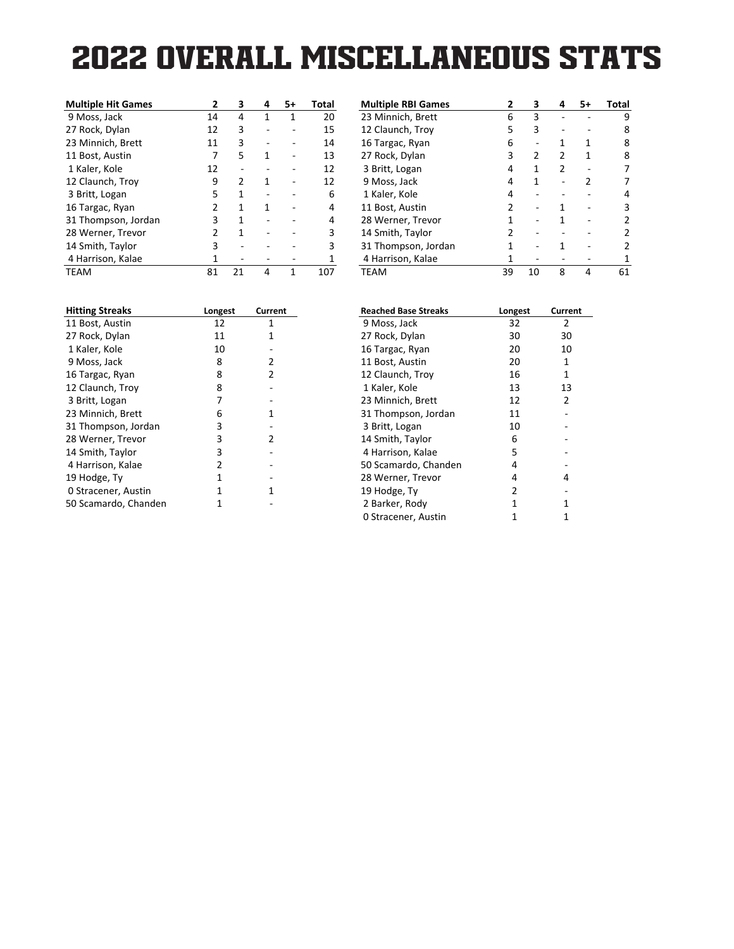### **2022 OVERALL MISCELLANEOUS STATS Miscellaneous Stats for Texas A&M (as of Apr 24, 2022) (All games)**

| <b>Multiple Hit Games</b> | 2             | 3  | 4 | 5+ | Total |
|---------------------------|---------------|----|---|----|-------|
| 9 Moss, Jack              | 14            | 4  | 1 | 1  | 20    |
| 27 Rock, Dylan            | 12            | 3  |   |    | 15    |
| 23 Minnich, Brett         | 11            | 3  |   |    | 14    |
| 11 Bost, Austin           | 7             | 5  | 1 |    | 13    |
| 1 Kaler, Kole             | 12            |    |   |    | 12    |
| 12 Claunch, Troy          | 9             | 2  | 1 |    | 12    |
| 3 Britt, Logan            | 5             | 1  |   |    | 6     |
| 16 Targac, Ryan           | 2             | 1  | 1 |    | 4     |
| 31 Thompson, Jordan       | 3             | 1  |   |    | 4     |
| 28 Werner, Trevor         | $\mathcal{P}$ | 1  |   |    | 3     |
| 14 Smith, Taylor          | 3             |    |   |    | 3     |
| 4 Harrison, Kalae         | 1             |    |   |    | 1     |
| <b>TEAM</b>               | 81            | 21 | 4 | 1  | 107   |

| <b>Multiple RBI Games</b> |    | 3  | Δ | 5+ | Total |
|---------------------------|----|----|---|----|-------|
| 23 Minnich, Brett         | 6  | 3  |   |    | 9     |
| 12 Claunch, Troy          | 5  | 3  |   |    | 8     |
| 16 Targac, Ryan           | 6  |    | 1 | 1  | 8     |
| 27 Rock, Dylan            | 3  | 2  | 2 | 1  | 8     |
| 3 Britt, Logan            | 4  | 1  | 2 |    |       |
| 9 Moss, Jack              | 4  | 1  |   | 2  |       |
| 1 Kaler, Kole             | 4  |    |   |    |       |
| 11 Bost, Austin           | 2  |    |   |    | 3     |
| 28 Werner, Trevor         | 1  |    |   |    |       |
| 14 Smith, Taylor          | 2  |    |   |    |       |
| 31 Thompson, Jordan       | 1  |    |   |    |       |
| 4 Harrison, Kalae         |    |    |   |    |       |
| TEAM                      | 39 | 10 | 8 | 4  | 61    |

| Longest | Current |
|---------|---------|
| 12      | 1       |
| 11      | 1       |
| 10      |         |
| 8       | 2       |
| 8       | 2       |
| 8       |         |
| 7       |         |
| 6       | 1       |
| 3       |         |
| 3       | 2       |
| 3       |         |
| 2       |         |
| 1       |         |
| 1       | 1       |
| 1       |         |
|         |         |

| <b>Reached Base Streaks</b> | Longest | <b>Current</b> |
|-----------------------------|---------|----------------|
| 9 Moss, Jack                | 32      | 2              |
| 27 Rock, Dylan              | 30      | 30             |
| 16 Targac, Ryan             | 20      | 10             |
| 11 Bost, Austin             | 20      | 1              |
| 12 Claunch, Troy            | 16      | 1              |
| 1 Kaler, Kole               | 13      | 13             |
| 23 Minnich, Brett           | 12      | 2              |
| 31 Thompson, Jordan         | 11      |                |
| 3 Britt, Logan              | 10      |                |
| 14 Smith, Taylor            | 6       |                |
| 4 Harrison, Kalae           | 5       |                |
| 50 Scamardo, Chanden        | 4       |                |
| 28 Werner, Trevor           | 4       | 4              |
| 19 Hodge, Ty                | 2       |                |
| 2 Barker, Rody              | 1       | 1              |
| 0 Stracener, Austin         | 1       | 1              |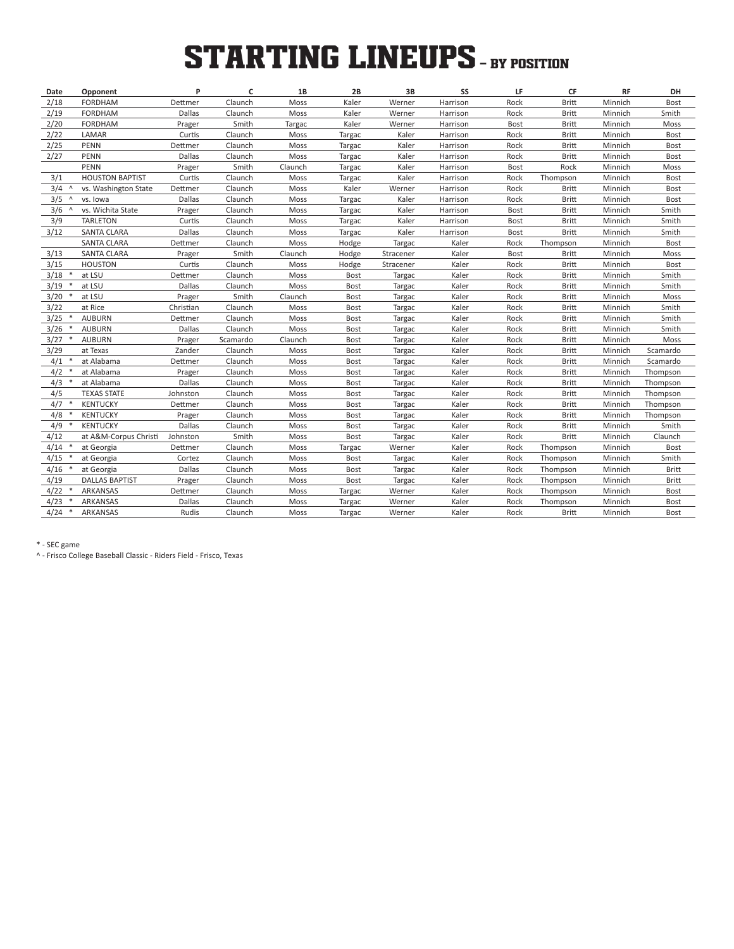# **STARTING LINEUPS** - BY POSITION

| Date             | Opponent               | P             | C        | 1B      | 2B          | 3B        | SS       | LF          | CF           | <b>RF</b> | DH           |
|------------------|------------------------|---------------|----------|---------|-------------|-----------|----------|-------------|--------------|-----------|--------------|
| 2/18             | <b>FORDHAM</b>         | Dettmer       | Claunch  | Moss    | Kaler       | Werner    | Harrison | Rock        | <b>Britt</b> | Minnich   | Bost         |
| 2/19             | <b>FORDHAM</b>         | Dallas        | Claunch  | Moss    | Kaler       | Werner    | Harrison | Rock        | Britt        | Minnich   | Smith        |
| 2/20             | <b>FORDHAM</b>         | Prager        | Smith    | Targac  | Kaler       | Werner    | Harrison | <b>Bost</b> | <b>Britt</b> | Minnich   | Moss         |
| 2/22             | LAMAR                  | Curtis        | Claunch  | Moss    | Targac      | Kaler     | Harrison | Rock        | Britt        | Minnich   | Bost         |
| 2/25             | <b>PENN</b>            | Dettmer       | Claunch  | Moss    | Targac      | Kaler     | Harrison | Rock        | Britt        | Minnich   | Bost         |
| 2/27             | <b>PENN</b>            | Dallas        | Claunch  | Moss    | Targac      | Kaler     | Harrison | Rock        | Britt        | Minnich   | Bost         |
|                  | PENN                   | Prager        | Smith    | Claunch | Targac      | Kaler     | Harrison | Bost        | Rock         | Minnich   | Moss         |
| 3/1              | <b>HOUSTON BAPTIST</b> | Curtis        | Claunch  | Moss    | Targac      | Kaler     | Harrison | Rock        | Thompson     | Minnich   | Bost         |
| 3/4<br>$\Lambda$ | vs. Washington State   | Dettmer       | Claunch  | Moss    | Kaler       | Werner    | Harrison | Rock        | <b>Britt</b> | Minnich   | Bost         |
| 3/5<br>$\Lambda$ | vs. Iowa               | <b>Dallas</b> | Claunch  | Moss    | Targac      | Kaler     | Harrison | Rock        | <b>Britt</b> | Minnich   | Bost         |
| $3/6$ ^          | vs. Wichita State      | Prager        | Claunch  | Moss    | Targac      | Kaler     | Harrison | Bost        | Britt        | Minnich   | Smith        |
| 3/9              | <b>TARLETON</b>        | Curtis        | Claunch  | Moss    | Targac      | Kaler     | Harrison | Bost        | <b>Britt</b> | Minnich   | Smith        |
| 3/12             | <b>SANTA CLARA</b>     | Dallas        | Claunch  | Moss    | Targac      | Kaler     | Harrison | Bost        | Britt        | Minnich   | Smith        |
|                  | <b>SANTA CLARA</b>     | Dettmer       | Claunch  | Moss    | Hodge       | Targac    | Kaler    | Rock        | Thompson     | Minnich   | Bost         |
| 3/13             | <b>SANTA CLARA</b>     | Prager        | Smith    | Claunch | Hodge       | Stracener | Kaler    | Bost        | <b>Britt</b> | Minnich   | Moss         |
| 3/15             | <b>HOUSTON</b>         | Curtis        | Claunch  | Moss    | Hodge       | Stracener | Kaler    | Rock        | Britt        | Minnich   | Bost         |
| 3/18<br>$\ast$   | at LSU                 | Dettmer       | Claunch  | Moss    | <b>Bost</b> | Targac    | Kaler    | Rock        | <b>Britt</b> | Minnich   | Smith        |
| 3/19             | at LSU                 | Dallas        | Claunch  | Moss    | Bost        | Targac    | Kaler    | Rock        | Britt        | Minnich   | Smith        |
| 3/20<br>$\ast$   | at LSU                 | Prager        | Smith    | Claunch | <b>Bost</b> | Targac    | Kaler    | Rock        | Britt        | Minnich   | Moss         |
| 3/22             | at Rice                | Christian     | Claunch  | Moss    | Bost        | Targac    | Kaler    | Rock        | Britt        | Minnich   | Smith        |
| 3/25             | <b>AUBURN</b>          | Dettmer       | Claunch  | Moss    | Bost        | Targac    | Kaler    | Rock        | Britt        | Minnich   | Smith        |
| 3/26             | <b>AUBURN</b>          | Dallas        | Claunch  | Moss    | Bost        | Targac    | Kaler    | Rock        | <b>Britt</b> | Minnich   | Smith        |
| 3/27<br>$\ast$   | <b>AUBURN</b>          | Prager        | Scamardo | Claunch | <b>Bost</b> | Targac    | Kaler    | Rock        | Britt        | Minnich   | Moss         |
| 3/29             | at Texas               | Zander        | Claunch  | Moss    | <b>Bost</b> | Targac    | Kaler    | Rock        | <b>Britt</b> | Minnich   | Scamardo     |
| 4/1              | at Alabama             | Dettmer       | Claunch  | Moss    | Bost        | Targac    | Kaler    | Rock        | Britt        | Minnich   | Scamardo     |
| 4/2              | at Alabama             | Prager        | Claunch  | Moss    | <b>Bost</b> | Targac    | Kaler    | Rock        | <b>Britt</b> | Minnich   | Thompson     |
| 4/3              | at Alabama             | Dallas        | Claunch  | Moss    | Bost        | Targac    | Kaler    | Rock        | Britt        | Minnich   | Thompson     |
| 4/5              | <b>TEXAS STATE</b>     | Johnston      | Claunch  | Moss    | Bost        | Targac    | Kaler    | Rock        | Britt        | Minnich   | Thompson     |
| 4/7              | <b>KENTUCKY</b>        | Dettmer       | Claunch  | Moss    | Bost        | Targac    | Kaler    | Rock        | <b>Britt</b> | Minnich   | Thompson     |
| 4/8              | <b>KENTUCKY</b>        | Prager        | Claunch  | Moss    | <b>Bost</b> | Targac    | Kaler    | Rock        | Britt        | Minnich   | Thompson     |
| 4/9<br>$\ast$    | <b>KENTUCKY</b>        | Dallas        | Claunch  | Moss    | Bost        | Targac    | Kaler    | Rock        | <b>Britt</b> | Minnich   | Smith        |
| 4/12             | at A&M-Corpus Christi  | Johnston      | Smith    | Moss    | Bost        | Targac    | Kaler    | Rock        | <b>Britt</b> | Minnich   | Claunch      |
| 4/14             | at Georgia             | Dettmer       | Claunch  | Moss    | Targac      | Werner    | Kaler    | Rock        | Thompson     | Minnich   | Bost         |
| 4/15             | at Georgia             | Cortez        | Claunch  | Moss    | Bost        | Targac    | Kaler    | Rock        | Thompson     | Minnich   | Smith        |
| 4/16             | at Georgia             | Dallas        | Claunch  | Moss    | Bost        | Targac    | Kaler    | Rock        | Thompson     | Minnich   | <b>Britt</b> |
| 4/19             | <b>DALLAS BAPTIST</b>  | Prager        | Claunch  | Moss    | Bost        | Targac    | Kaler    | Rock        | Thompson     | Minnich   | <b>Britt</b> |
| 4/22             | ARKANSAS               | Dettmer       | Claunch  | Moss    | Targac      | Werner    | Kaler    | Rock        | Thompson     | Minnich   | Bost         |
| 4/23             | ARKANSAS               | Dallas        | Claunch  | Moss    | Targac      | Werner    | Kaler    | Rock        | Thompson     | Minnich   | Bost         |
| $4/24$ *         | ARKANSAS               | Rudis         | Claunch  | Moss    | Targac      | Werner    | Kaler    | Rock        | <b>Britt</b> | Minnich   | <b>Bost</b>  |
|                  |                        |               |          |         |             |           |          |             |              |           |              |

\* - SEC game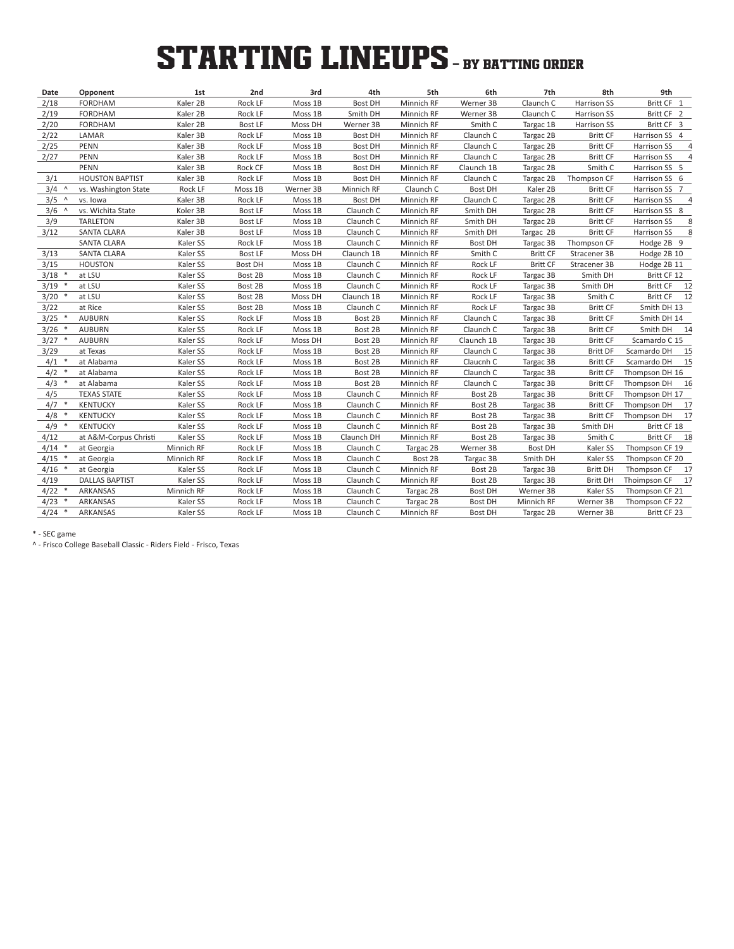# **STARTING LINEUPS** - BY BATTING ORDER

| Date             | Opponent               | 1st        | 2nd            | 3rd       | 4th            | 5th        | 6th                | 7th             | 8th                | 9th                           |  |
|------------------|------------------------|------------|----------------|-----------|----------------|------------|--------------------|-----------------|--------------------|-------------------------------|--|
| 2/18             | <b>FORDHAM</b>         | Kaler 2B   | Rock LF        | Moss 1B   | <b>Bost DH</b> | Minnich RF | Werner 3B          | Claunch C       | Harrison SS        | Britt CF 1                    |  |
| 2/19             | <b>FORDHAM</b>         | Kaler 2B   | Rock LF        | Moss 1B   | Smith DH       | Minnich RF | Werner 3B          | Claunch C       | Harrison SS        | Britt CF 2                    |  |
| 2/20             | <b>FORDHAM</b>         | Kaler 2B   | <b>Bost LF</b> | Moss DH   | Werner 3B      | Minnich RF | Smith <sub>C</sub> | Targac 1B       | Harrison SS        | Britt CF 3                    |  |
| 2/22             | LAMAR                  | Kaler 3B   | Rock LF        | Moss 1B   | <b>Bost DH</b> | Minnich RF | Claunch C          | Targac 2B       | <b>Britt CF</b>    | Harrison SS 4                 |  |
| 2/25             | <b>PENN</b>            | Kaler 3B   | Rock LF        | Moss 1B   | <b>Bost DH</b> | Minnich RF | Claunch C          | Targac 2B       | <b>Britt CF</b>    | Harrison SS                   |  |
| 2/27             | <b>PENN</b>            | Kaler 3B   | Rock LF        | Moss 1B   | <b>Bost DH</b> | Minnich RF | Claunch C          | Targac 2B       | <b>Britt CF</b>    | Harrison SS<br>$\overline{4}$ |  |
|                  | <b>PENN</b>            | Kaler 3B   | Rock CF        | Moss 1B   | <b>Bost DH</b> | Minnich RF | Claunch 1B         | Targac 2B       | Smith C            | Harrison SS 5                 |  |
| 3/1              | <b>HOUSTON BAPTIST</b> | Kaler 3B   | Rock LF        | Moss 1B   | <b>Bost DH</b> | Minnich RF | Claunch C          | Targac 2B       | Thompson CF        | Harrison SS 6                 |  |
| 3/4<br>$\Lambda$ | vs. Washington State   | Rock LF    | Moss 1B        | Werner 3B | Minnich RF     | Claunch C  | <b>Bost DH</b>     | Kaler 2B        | <b>Britt CF</b>    | Harrison SS 7                 |  |
| 3/5<br>$\Lambda$ | vs. Iowa               | Kaler 3B   | Rock LF        | Moss 1B   | <b>Bost DH</b> | Minnich RF | Claunch C          | Targac 2B       | <b>Britt CF</b>    | Harrison SS<br>$\overline{4}$ |  |
| $3/6$ ^          | vs. Wichita State      | Koler 3B   | Bost LF        | Moss 1B   | Claunch C      | Minnich RF | Smith DH           | Targac 2B       | <b>Britt CF</b>    | Harrison SS 8                 |  |
| 3/9              | <b>TARLETON</b>        | Kaler 3B   | <b>Bost LF</b> | Moss 1B   | Claunch C      | Minnich RF | Smith DH           | Targac 2B       | <b>Britt CF</b>    | Harrison SS<br>8              |  |
| 3/12             | <b>SANTA CLARA</b>     | Kaler 3B   | <b>Bost LF</b> | Moss 1B   | Claunch C      | Minnich RF | Smith DH           | Targac 2B       | <b>Britt CF</b>    | Harrison SS<br>8              |  |
|                  | SANTA CLARA            | Kaler SS   | Rock LF        | Moss 1B   | Claunch C      | Minnich RF | <b>Bost DH</b>     | Targac 3B       | Thompson CF        | Hodge 2B 9                    |  |
| 3/13             | <b>SANTA CLARA</b>     | Kaler SS   | <b>Bost LF</b> | Moss DH   | Claunch 1B     | Minnich RF | Smith C            | <b>Britt CF</b> | Stracener 3B       | Hodge 2B 10                   |  |
| 3/15             | <b>HOUSTON</b>         | Kaler SS   | <b>Bost DH</b> | Moss 1B   | Claunch C      | Minnich RF | Rock LF            | <b>Britt CF</b> | Stracener 3B       | Hodge 2B 11                   |  |
| 3/18<br>$\ast$   | at LSU                 | Kaler SS   | Bost 2B        | Moss 1B   | Claunch C      | Minnich RF | Rock LF            | Targac 3B       | Smith DH           | Britt CF 12                   |  |
| 3/19             | at LSU                 | Kaler SS   | Bost 2B        | Moss 1B   | Claunch C      | Minnich RF | Rock LF            | Targac 3B       | Smith DH           | Britt CF 12                   |  |
| 3/20<br>$\ast$   | at LSU                 | Kaler SS   | Bost 2B        | Moss DH   | Claunch 1B     | Minnich RF | Rock LF            | Targac 3B       | Smith <sub>C</sub> | Britt CF 12                   |  |
| 3/22             | at Rice                | Kaler SS   | Bost 2B        | Moss 1B   | Claunch C      | Minnich RF | Rock LF            | Targac 3B       | <b>Britt CF</b>    | Smith DH 13                   |  |
| 3/25             | <b>AUBURN</b>          | Kaler SS   | Rock LF        | Moss 1B   | Bost 2B        | Minnich RF | Claunch C          | Targac 3B       | <b>Britt CF</b>    | Smith DH 14                   |  |
| 3/26             | <b>AUBURN</b>          | Kaler SS   | Rock LF        | Moss 1B   | Bost 2B        | Minnich RF | Claunch C          | Targac 3B       | <b>Britt CF</b>    | Smith DH<br>14                |  |
| 3/27             | <b>AUBURN</b>          | Kaler SS   | Rock LF        | Moss DH   | Bost 2B        | Minnich RF | Claunch 1B         | Targac 3B       | <b>Britt CF</b>    | Scamardo C 15                 |  |
| 3/29             | at Texas               | Kaler SS   | Rock LF        | Moss 1B   | Bost 2B        | Minnich RF | Claunch C          | Targac 3B       | <b>Britt DF</b>    | Scamardo DH<br>15             |  |
| 4/1              | at Alabama             | Kaler SS   | Rock LF        | Moss 1B   | Bost 2B        | Minnich RF | Claucnh C          | Targac 3B       | <b>Britt CF</b>    | Scamardo DH<br>15             |  |
| 4/2              | at Alabama             | Kaler SS   | Rock LF        | Moss 1B   | Bost 2B        | Minnich RF | Claunch C          | Targac 3B       | <b>Britt CF</b>    | Thompson DH 16                |  |
| 4/3<br>$\ast$    | at Alabama             | Kaler SS   | Rock LF        | Moss 1B   | Bost 2B        | Minnich RF | Claunch C          | Targac 3B       | <b>Britt CF</b>    | Thompson DH<br>16             |  |
| 4/5              | <b>TEXAS STATE</b>     | Kaler SS   | Rock LF        | Moss 1B   | Claunch C      | Minnich RF | Bost 2B            | Targac 3B       | <b>Britt CF</b>    | Thompson DH 17                |  |
| 4/7              | <b>KENTUCKY</b>        | Kaler SS   | Rock LF        | Moss 1B   | Claunch C      | Minnich RF | Bost 2B            | Targac 3B       | <b>Britt CF</b>    | Thompson DH<br>17             |  |
| 4/8              | <b>KENTUCKY</b>        | Kaler SS   | Rock LF        | Moss 1B   | Claunch C      | Minnich RF | Bost 2B            | Targac 3B       | <b>Britt CF</b>    | Thompson DH<br>17             |  |
| 4/9              | <b>KENTUCKY</b>        | Kaler SS   | Rock LF        | Moss 1B   | Claunch C      | Minnich RF | Bost 2B            | Targac 3B       | Smith DH           | Britt CF 18                   |  |
| 4/12             | at A&M-Corpus Christi  | Kaler SS   | Rock LF        | Moss 1B   | Claunch DH     | Minnich RF | Bost 2B            | Targac 3B       | Smith C            | Britt CF 18                   |  |
| 4/14             | at Georgia             | Minnich RF | Rock LF        | Moss 1B   | Claunch C      | Targac 2B  | Werner 3B          | <b>Bost DH</b>  | Kaler SS           | Thompson CF 19                |  |
| 4/15             | at Georgia             | Minnich RF | Rock LF        | Moss 1B   | Claunch C      | Bost 2B    | Targac 3B          | Smith DH        | Kaler SS           | Thompson CF 20                |  |
| $4/16$ *         | at Georgia             | Kaler SS   | Rock LF        | Moss 1B   | Claunch C      | Minnich RF | Bost 2B            | Targac 3B       | <b>Britt DH</b>    | Thompson CF<br>17             |  |
| 4/19             | <b>DALLAS BAPTIST</b>  | Kaler SS   | Rock LF        | Moss 1B   | Claunch C      | Minnich RF | Bost 2B            | Targac 3B       | <b>Britt DH</b>    | 17<br>Thoimpson CF            |  |
| $4/22$ *         | ARKANSAS               | Minnich RF | Rock LF        | Moss 1B   | Claunch C      | Targac 2B  | <b>Bost DH</b>     | Werner 3B       | Kaler SS           | Thompson CF 21                |  |
| 4/23             | ARKANSAS               | Kaler SS   | Rock LF        | Moss 1B   | Claunch C      | Targac 2B  | <b>Bost DH</b>     | Minnich RF      | Werner 3B          | Thompson CF 22                |  |
| $4/24$ *         | <b>ARKANSAS</b>        | Kaler SS   | Rock LF        | Moss 1B   | Claunch C      | Minnich RF | <b>Bost DH</b>     | Targac 2B       | Werner 3B          | Britt CF 23                   |  |

\* - SEC game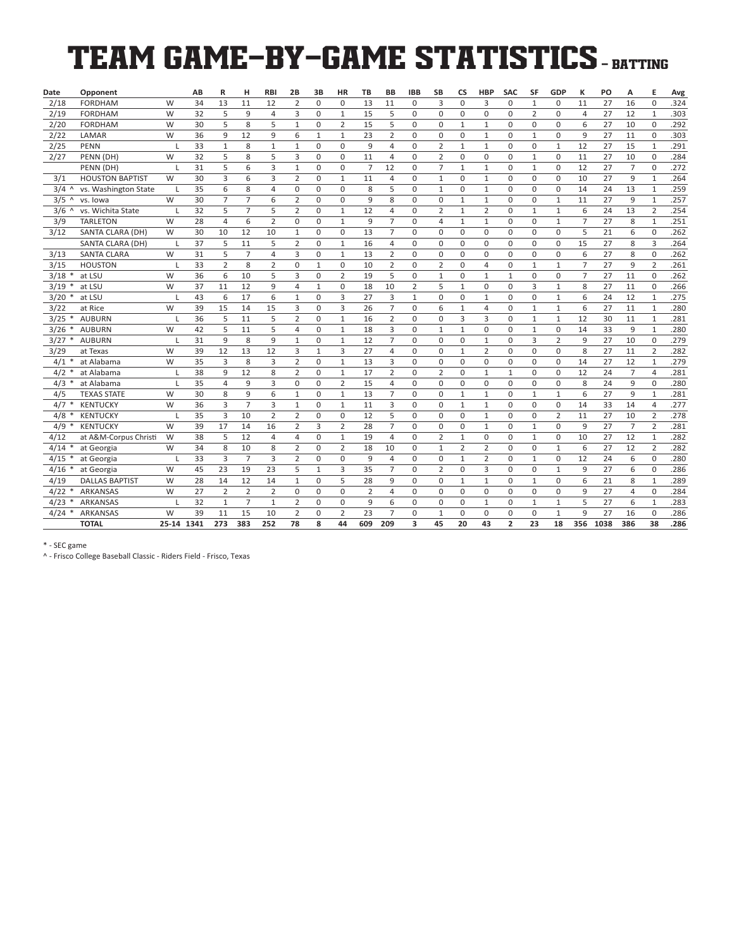# TEAM GAME-BY-GAME STATISTICS - BATTING

| Date     | Opponent               |              | AB | R              | н              | <b>RBI</b>     | 2B             | 3B           | HR                  | <b>TB</b>      | <b>BB</b>      | <b>IBB</b>     | <b>SB</b>      | <b>CS</b>      | <b>HBP</b>     | <b>SAC</b>     | SF             | GDP            | к              | PO   | А              | E              | Avg  |
|----------|------------------------|--------------|----|----------------|----------------|----------------|----------------|--------------|---------------------|----------------|----------------|----------------|----------------|----------------|----------------|----------------|----------------|----------------|----------------|------|----------------|----------------|------|
| 2/18     | <b>FORDHAM</b>         | W            | 34 | 13             | 11             | 12             | 2              | $\mathbf 0$  | $\mathbf 0$         | 13             | 11             | 0              | 3              | 0              | 3              | 0              | $\mathbf{1}$   | 0              | 11             | 27   | 16             | $\mathbf 0$    | .324 |
| 2/19     | <b>FORDHAM</b>         | W            | 32 | 5              | 9              | $\overline{4}$ | 3              | $\mathbf 0$  | $\mathbf{1}$        | 15             | 5              | 0              | 0              | 0              | 0              | 0              | $\overline{2}$ | 0              | $\overline{4}$ | 27   | 12             | $\mathbf{1}$   | .303 |
| 2/20     | <b>FORDHAM</b>         | W            | 30 | 5              | 8              | 5              | $\mathbf{1}$   | 0            | 2                   | 15             | 5              | 0              | 0              | 1              | $\mathbf{1}$   | 0              | 0              | 0              | 6              | 27   | 10             | 0              | .292 |
| 2/22     | LAMAR                  | W            | 36 | 9              | 12             | 9              | 6              | $\mathbf{1}$ | $\mathbf{1}$        | 23             | $\overline{2}$ | 0              | 0              | 0              | $\mathbf{1}$   | 0              | $\mathbf{1}$   | $\mathbf 0$    | 9              | 27   | 11             | $\mathbf 0$    | .303 |
| 2/25     | <b>PENN</b>            | L            | 33 | $\mathbf{1}$   | 8              | $\mathbf{1}$   | $\mathbf{1}$   | $\mathbf 0$  | $\mathbf 0$         | 9              | $\overline{4}$ | 0              | $\overline{2}$ | $\mathbf{1}$   | $\mathbf{1}$   | 0              | $\mathbf 0$    | $\mathbf{1}$   | 12             | 27   | 15             | $\mathbf{1}$   | .291 |
| 2/27     | PENN (DH)              | W            | 32 | 5              | 8              | 5              | 3              | $\mathbf 0$  | $\mathbf 0$         | 11             | $\overline{4}$ | 0              | $\overline{2}$ | 0              | 0              | 0              | $\mathbf{1}$   | $\mathbf 0$    | 11             | 27   | 10             | $\mathbf 0$    | .284 |
|          | PENN (DH)              |              | 31 | 5              | 6              | 3              | $\mathbf{1}$   | $\mathbf 0$  | $\mathbf 0$         | $\overline{7}$ | 12             | 0              | $\overline{7}$ | $1\,$          | $\mathbf{1}$   | 0              | $\mathbf{1}$   | $\mathbf 0$    | 12             | 27   | $\overline{7}$ | $\mathbf 0$    | .272 |
| 3/1      | <b>HOUSTON BAPTIST</b> | W            | 30 | 3              | 6              | 3              | $\overline{2}$ | 0            | $1\,$               | 11             | 4              | 0              | $\mathbf{1}$   | 0              | $\mathbf{1}$   | $\mathbf 0$    | 0              | 0              | 10             | 27   | 9              | $1\,$          | .264 |
| 3/4<br>Λ | vs. Washington State   | $\mathbf{I}$ | 35 | 6              | 8              | $\overline{4}$ | 0              | 0            | $\mathbf 0$         | 8              | 5              | 0              | $\mathbf{1}$   | 0              | $\mathbf{1}$   | 0              | $\mathbf 0$    | $\Omega$       | 14             | 24   | 13             | $1\,$          | .259 |
| 3/5<br>Λ | vs. Iowa               | W            | 30 | 7              | 7              | 6              | 2              | 0            | 0                   | 9              | 8              | 0              | 0              | $\mathbf{1}$   | $\mathbf{1}$   | 0              | 0              | $\mathbf{1}$   | 11             | 27   | 9              | $\mathbf{1}$   | .257 |
| 3/6<br>Λ | vs. Wichita State      | L            | 32 | 5              | $\overline{7}$ | 5              | $\overline{2}$ | $\mathbf 0$  | $\,1\,$             | 12             | $\overline{4}$ | 0              | $\overline{2}$ | $1\,$          | $\overline{2}$ | 0              | $\mathbf{1}$   | $\mathbf{1}$   | 6              | 24   | 13             | $\overline{2}$ | .254 |
| 3/9      | <b>TARLETON</b>        | W            | 28 | $\overline{4}$ | 6              | $\overline{2}$ | $\mathbf 0$    | $\mathbf 0$  | $\mathbf{1}$        | 9              | $\overline{7}$ | 0              | $\overline{4}$ | $\mathbf{1}$   | $\mathbf{1}$   | $\mathbf 0$    | $\mathbf 0$    | $\mathbf{1}$   | $\overline{7}$ | 27   | 8              | $1\,$          | .251 |
| 3/12     | SANTA CLARA (DH)       | W            | 30 | 10             | 12             | 10             | $\mathbf{1}$   | $\Omega$     | $\mathbf 0$         | 13             | $\overline{7}$ | $\Omega$       | 0              | $\Omega$       | $\Omega$       | $\Omega$       | $\Omega$       | $\Omega$       | 5              | 21   | 6              | $\mathbf 0$    | .262 |
|          | SANTA CLARA (DH)       | L            | 37 | 5              | 11             | 5              | $\overline{2}$ | 0            | $1\,$               | 16             | 4              | 0              | 0              | 0              | 0              | 0              | 0              | $\Omega$       | 15             | 27   | 8              | 3              | .264 |
| 3/13     | <b>SANTA CLARA</b>     | W            | 31 | 5              | $\overline{7}$ | $\overline{4}$ | 3              | 0            | $1\,$               | 13             | $\overline{2}$ | 0              | 0              | 0              | 0              | 0              | 0              | $\mathbf 0$    | 6              | 27   | 8              | $\mathbf 0$    | .262 |
| 3/15     | <b>HOUSTON</b>         | $\mathbf{I}$ | 33 | $\overline{2}$ | 8              | $\overline{2}$ | $\mathbf 0$    | $\mathbf{1}$ | $\mathbf 0$         | 10             | $\overline{2}$ | $\Omega$       | $\overline{2}$ | 0              | $\overline{a}$ | 0              | $\mathbf{1}$   | $\mathbf{1}$   | $\overline{7}$ | 27   | 9              | $\overline{2}$ | .261 |
| 3/18     | at LSU                 | W            | 36 | 6              | 10             | 5              | 3              | 0            | $\overline{2}$      | 19             | 5              | 0              | $\mathbf{1}$   | 0              | $\mathbf{1}$   | $\mathbf{1}$   | 0              | 0              | $\overline{7}$ | 27   | 11             | 0              | .262 |
| 3/19     | at LSU                 | W            | 37 | 11             | 12             | 9              | $\overline{4}$ | $\mathbf{1}$ | $\mathsf{O}\xspace$ | 18             | 10             | $\overline{2}$ | 5              | $\mathbf{1}$   | 0              | 0              | 3              | $\mathbf{1}$   | 8              | 27   | 11             | $\mathbf 0$    | .266 |
| 3/20     | at LSU                 | L            | 43 | 6              | 17             | 6              | $\mathbf{1}$   | $\mathbf 0$  | 3                   | 27             | 3              | $\mathbf{1}$   | 0              | 0              | $\mathbf{1}$   | 0              | 0              | $\mathbf{1}$   | 6              | 24   | 12             | $\mathbf{1}$   | .275 |
| 3/22     | at Rice                | W            | 39 | 15             | 14             | 15             | 3              | $\Omega$     | 3                   | 26             | $\overline{7}$ | $\Omega$       | 6              | $\mathbf{1}$   | 4              | $\Omega$       | $\mathbf{1}$   | $\mathbf{1}$   | 6              | 27   | 11             | $\mathbf{1}$   | .280 |
| 3/25     | <b>AUBURN</b>          | $\mathbf{I}$ | 36 | 5              | 11             | 5              | $\overline{2}$ | 0            | $1\,$               | 16             | $\overline{2}$ | 0              | 0              | 3              | 3              | 0              | 1              | $\mathbf{1}$   | 12             | 30   | 11             | $\mathbf{1}$   | .281 |
| 3/26     | <b>AUBURN</b>          | W            | 42 | 5              | 11             | 5              | 4              | $\mathbf 0$  | $\mathbf{1}$        | 18             | 3              | 0              | $\mathbf{1}$   | $\mathbf{1}$   | 0              | 0              | $\mathbf{1}$   | $\mathbf 0$    | 14             | 33   | 9              | $\mathbf{1}$   | .280 |
| 3/27     | <b>AUBURN</b>          | L            | 31 | 9              | 8              | 9              | $\mathbf{1}$   | $\mathbf 0$  | $\mathbf{1}$        | 12             | $\overline{7}$ | $\Omega$       | 0              | 0              | $\mathbf{1}$   | 0              | 3              | $\overline{2}$ | 9              | 27   | 10             | $\mathbf 0$    | .279 |
| 3/29     | at Texas               | W            | 39 | 12             | 13             | 12             | 3              | $\mathbf{1}$ | 3                   | 27             | 4              | 0              | 0              | $\mathbf{1}$   | 2              | 0              | 0              | 0              | 8              | 27   | 11             | $\overline{2}$ | .282 |
| 4/1      | at Alabama             | W            | 35 | 3              | 8              | 3              | $\overline{2}$ | $\mathbf 0$  | $\mathbf{1}$        | 13             | 3              | 0              | 0              | 0              | 0              | 0              | 0              | $\mathbf 0$    | 14             | 27   | 12             | $\mathbf{1}$   | .279 |
| 4/2      | at Alabama             | L            | 38 | 9              | 12             | 8              | $\overline{2}$ | 0            | $\mathbf{1}$        | 17             | $\overline{2}$ | 0              | $\overline{2}$ | 0              | $\mathbf{1}$   | $\mathbf{1}$   | $\mathbf 0$    | 0              | 12             | 24   | $\overline{7}$ | $\overline{4}$ | .281 |
| 4/3      | at Alabama             | L            | 35 | $\overline{4}$ | 9              | 3              | $\Omega$       | $\Omega$     | $\overline{2}$      | 15             | $\overline{4}$ | $\Omega$       | 0              | $\Omega$       | $\Omega$       | 0              | $\mathbf 0$    | $\Omega$       | 8              | 24   | 9              | $\mathbf 0$    | .280 |
| 4/5      | <b>TEXAS STATE</b>     | W            | 30 | 8              | 9              | 6              | $\mathbf{1}$   | $\mathbf 0$  | $\mathbf 1$         | 13             | $\overline{7}$ | 0              | 0              | $1\,$          | $\mathbf{1}$   | $\mathbf 0$    | $\mathbf{1}$   | $\mathbf{1}$   | 6              | 27   | 9              | $\mathbf{1}$   | .281 |
| 4/7      | <b>KENTUCKY</b>        | W            | 36 | 3              | $\overline{7}$ | 3              | $\mathbf{1}$   | 0            | $1\,$               | 11             | 3              | 0              | 0              | $\mathbf{1}$   | $\mathbf{1}$   | 0              | $\mathbf 0$    | $\mathbf 0$    | 14             | 33   | 14             | $\overline{4}$ | .277 |
| 4/8      | <b>KENTUCKY</b>        | ı            | 35 | 3              | 10             | $\overline{2}$ | $\overline{2}$ | 0            | $\mathsf{O}\xspace$ | 12             | 5              | 0              | 0              | 0              | $\mathbf{1}$   | 0              | 0              | $\overline{2}$ | 11             | 27   | 10             | $\overline{2}$ | .278 |
| 4/9      | <b>KENTUCKY</b>        | W            | 39 | 17             | 14             | 16             | 2              | 3            | 2                   | 28             | 7              | 0              | 0              | 0              | $\mathbf{1}$   | 0              | 1              | 0              | 9              | 27   | $\overline{7}$ | 2              | .281 |
| 4/12     | at A&M-Corpus Christi  | W            | 38 | 5              | 12             | $\overline{4}$ | $\overline{4}$ | $\mathbf 0$  | $\mathbf{1}$        | 19             | 4              | 0              | $\overline{2}$ | $\mathbf{1}$   | 0              | $\mathbf 0$    | $\mathbf{1}$   | $\mathbf 0$    | 10             | 27   | 12             | $\mathbf{1}$   | .282 |
| 4/14     | at Georgia             | W            | 34 | 8              | 10             | 8              | $\overline{2}$ | $\Omega$     | $\overline{2}$      | 18             | 10             | $\Omega$       | $\mathbf{1}$   | $\overline{2}$ | $\overline{2}$ | $\Omega$       | $\Omega$       | $\mathbf{1}$   | 6              | 27   | 12             | $\overline{2}$ | .282 |
| 4/15     | at Georgia             |              | 33 | 3              | $\overline{7}$ | $\overline{3}$ | $\overline{2}$ | $\mathbf 0$  | $\mathbf 0$         | 9              | 4              | $\Omega$       | 0              | $1\,$          | $\overline{2}$ | $\Omega$       | $\mathbf{1}$   | $\mathbf 0$    | 12             | 24   | 6              | $\mathbf 0$    | .280 |
| 4/16     | at Georgia             | W            | 45 | 23             | 19             | 23             | 5              | $\mathbf{1}$ | 3                   | 35             | $\overline{7}$ | 0              | $\overline{2}$ | 0              | 3              | 0              | 0              | $\mathbf{1}$   | 9              | 27   | 6              | $\mathbf 0$    | .286 |
| 4/19     | <b>DALLAS BAPTIST</b>  | W            | 28 | 14             | 12             | 14             | $\mathbf{1}$   | 0            | 5                   | 28             | 9              | 0              | 0              | $\mathbf{1}$   | $\mathbf{1}$   | 0              | $\mathbf{1}$   | 0              | 6              | 21   | 8              | $\mathbf{1}$   | .289 |
| 4/22     | <b>ARKANSAS</b>        | W            | 27 | 2              | $\overline{2}$ | $\overline{2}$ | 0              | 0            | $\mathbf 0$         | $\overline{2}$ | 4              | 0              | 0              | 0              | 0              | 0              | $\mathbf 0$    | 0              | 9              | 27   | $\overline{4}$ | 0              | .284 |
| 4/23     | ARKANSAS               | п            | 32 | $\mathbf{1}$   | 7              | $\mathbf{1}$   | 2              | 0            | 0                   | 9              | 6              | 0              | 0              | 0              | $\mathbf{1}$   | 0              | 1              | $\mathbf{1}$   | 5              | 27   | 6              | $\mathbf{1}$   | .283 |
| 4/24     | <b>ARKANSAS</b>        | W            | 39 | 11             | 15             | 10             | $\overline{2}$ | $\mathbf 0$  | $\overline{2}$      | 23             | $\overline{7}$ | 0              | $\mathbf{1}$   | 0              | 0              | 0              | 0              | $\mathbf{1}$   | 9              | 27   | 16             | $\mathbf 0$    | .286 |
|          | <b>TOTAL</b>           | 25-14 1341   |    | 273            | 383            | 252            | 78             | 8            | 44                  | 609            | 209            | 3              | 45             | 20             | 43             | $\overline{2}$ | 23             | 18             | 356            | 1038 | 386            | 38             | .286 |

\* - SEC game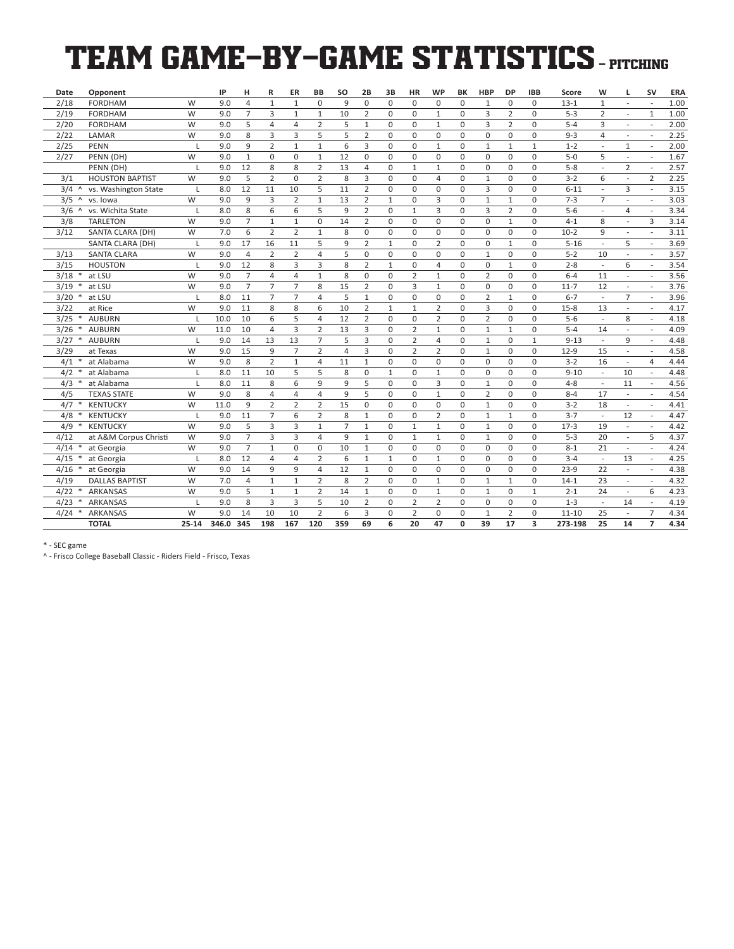# TEAM GAME-BY-GAME STATISTICS - PITCHING

| Date                         | Opponent               |              | IP    | н              | R              | ER             | BB             | <b>SO</b>      | 2B             | 3B           | <b>HR</b>      | <b>WP</b>      | BK             | <b>HBP</b>     | <b>DP</b>      | <b>IBB</b>   | Score     | W                        | L                        | <b>SV</b>                | ERA  |
|------------------------------|------------------------|--------------|-------|----------------|----------------|----------------|----------------|----------------|----------------|--------------|----------------|----------------|----------------|----------------|----------------|--------------|-----------|--------------------------|--------------------------|--------------------------|------|
| 2/18                         | <b>FORDHAM</b>         | W            | 9.0   | $\overline{4}$ | $\mathbf 1$    | $\mathbf{1}$   | $\mathbf 0$    | 9              | $\mathbf 0$    | $\mathbf 0$  | 0              | 0              | 0              | $1\,$          | 0              | $\Omega$     | $13 - 1$  | $\mathbf{1}$             | $\overline{a}$           | ÷,                       | 1.00 |
| 2/19                         | <b>FORDHAM</b>         | W            | 9.0   | $\overline{7}$ | 3              | $\mathbf{1}$   | $\mathbf{1}$   | 10             | $\overline{2}$ | $\mathbf 0$  | 0              | $\mathbf{1}$   | $\mathbf 0$    | 3              | $\overline{2}$ | $\Omega$     | $5 - 3$   | $\overline{2}$           | $\overline{\phantom{a}}$ | $\mathbf{1}$             | 1.00 |
| 2/20                         | <b>FORDHAM</b>         | W            | 9.0   | 5              | 4              | 4              | $\overline{2}$ | 5              | $\mathbf{1}$   | 0            | 0              | $\mathbf{1}$   | 0              | 3              | 2              | 0            | $5 - 4$   | 3                        | $\overline{a}$           | $\overline{a}$           | 2.00 |
| 2/22                         | LAMAR                  | W            | 9.0   | 8              | 3              | 3              | 5              | 5              | $\overline{2}$ | $\mathbf 0$  | 0              | 0              | 0              | $\mathbf 0$    | 0              | 0            | $9 - 3$   | $\overline{4}$           | L,                       | $\overline{\phantom{a}}$ | 2.25 |
| 2/25                         | <b>PENN</b>            | L            | 9.0   | 9              | $\overline{2}$ | $\mathbf{1}$   | $\mathbf{1}$   | 6              | 3              | $\mathbf 0$  | 0              | $\mathbf{1}$   | 0              | $\mathbf{1}$   | $\mathbf{1}$   | $\mathbf{1}$ | $1 - 2$   | $\overline{a}$           | $\mathbf{1}$             | L,                       | 2.00 |
| 2/27                         | PENN (DH)              | W            | 9.0   | $\mathbf{1}$   | $\mathbf 0$    | 0              | $1\,$          | 12             | $\mathbf 0$    | $\mathbf 0$  | 0              | 0              | $\mathbf 0$    | $\mathbf 0$    | $\mathbf 0$    | $\Omega$     | $5-0$     | 5                        | $\overline{a}$           | ÷                        | 1.67 |
|                              | PENN (DH)              | I.           | 9.0   | 12             | 8              | 8              | $\overline{2}$ | 13             | $\overline{4}$ | $\mathbf 0$  | $\mathbf{1}$   | $\mathbf{1}$   | $\mathbf 0$    | $\mathbf 0$    | 0              | 0            | $5 - 8$   | $\overline{\phantom{a}}$ | $\overline{2}$           | $\overline{a}$           | 2.57 |
| 3/1                          | <b>HOUSTON BAPTIST</b> | W            | 9.0   | 5              | $\overline{2}$ | 0              | $\overline{2}$ | 8              | 3              | $\mathbf 0$  | 0              | 4              | 0              | $1\,$          | 0              | $\Omega$     | $3-2$     | 6                        | ÷,                       | $\overline{2}$           | 2.25 |
| 3/4<br>$\Lambda$             | vs. Washington State   | L            | 8.0   | 12             | 11             | 10             | 5              | 11             | $\overline{2}$ | 0            | 0              | 0              | 0              | 3              | 0              | 0            | $6 - 11$  |                          | 3                        | ÷                        | 3.15 |
| 3/5<br>$\boldsymbol{\wedge}$ | vs. Iowa               | W            | 9.0   | 9              | 3              | $\overline{2}$ | $\mathbf{1}$   | 13             | $\overline{2}$ | $\mathbf{1}$ | 0              | 3              | 0              | $1\,$          | $\mathbf{1}$   | 0            | $7 - 3$   | $\overline{7}$           | L,                       | $\overline{a}$           | 3.03 |
| 3/6<br>$\Lambda$             | vs. Wichita State      | $\mathsf{L}$ | 8.0   | 8              | 6              | 6              | 5              | 9              | $\overline{2}$ | $\mathbf 0$  | $\mathbf{1}$   | 3              | 0              | 3              | $\overline{2}$ | $\Omega$     | $5 - 6$   | $\overline{\phantom{a}}$ | $\overline{4}$           | L,                       | 3.34 |
| 3/8                          | <b>TARLETON</b>        | W            | 9.0   | $\overline{7}$ | $\mathbf 1$    | $\mathbf{1}$   | $\overline{0}$ | 14             | $\overline{2}$ | $\mathbf 0$  | 0              | 0              | $\overline{0}$ | $\mathbf 0$    | $\mathbf{1}$   | $\Omega$     | $4 - 1$   | 8                        | $\overline{a}$           | $\overline{3}$           | 3.14 |
| 3/12                         | SANTA CLARA (DH)       | W            | 7.0   | 6              | $\overline{2}$ | $\overline{2}$ | $1\,$          | 8              | 0              | $\mathsf 0$  | 0              | 0              | 0              | $\mathbf 0$    | 0              | 0            | $10-2$    | 9                        | $\overline{a}$           | $\overline{\phantom{a}}$ | 3.11 |
|                              | SANTA CLARA (DH)       | L            | 9.0   | 17             | 16             | 11             | 5              | 9              | $\overline{2}$ | $\mathbf 1$  | 0              | $\overline{2}$ | $\mathbf 0$    | $\mathbf 0$    | $\mathbf 1$    | 0            | $5 - 16$  | $\overline{\phantom{a}}$ | 5                        | $\overline{\phantom{a}}$ | 3.69 |
| 3/13                         | <b>SANTA CLARA</b>     | W            | 9.0   | $\overline{4}$ | $\overline{2}$ | $\overline{2}$ | 4              | 5              | 0              | 0            | 0              | 0              | 0              | $\mathbf{1}$   | 0              | 0            | $5 - 2$   | 10                       | $\overline{a}$           | $\overline{a}$           | 3.57 |
| 3/15                         | <b>HOUSTON</b>         | L            | 9.0   | 12             | 8              | 3              | 3              | 8              | $\overline{2}$ | $\mathbf{1}$ | 0              | 4              | 0              | $\mathbf 0$    | $\mathbf{1}$   | 0            | $2 - 8$   | $\overline{a}$           | 6                        | ÷                        | 3.54 |
| 3/18                         | at LSU                 | W            | 9.0   | $\overline{7}$ | 4              | $\overline{4}$ | $\mathbf{1}$   | 8              | $\mathbf 0$    | $\mathbf 0$  | $\overline{2}$ | $\mathbf 1$    | $\mathbf 0$    | $\overline{2}$ | $\mathbf 0$    | $\Omega$     | $6 - 4$   | 11                       | $\overline{a}$           | ÷                        | 3.56 |
| 3/19                         | at LSU                 | W            | 9.0   | $\overline{7}$ | $\overline{7}$ | $\overline{7}$ | 8              | 15             | $\overline{2}$ | $\mathbf 0$  | 3              | $\mathbf{1}$   | $\mathbf 0$    | $\mathbf 0$    | 0              | $\Omega$     | $11 - 7$  | 12                       | $\overline{a}$           | ÷,                       | 3.76 |
| 3/20                         | at LSU                 | -1           | 8.0   | 11             | $\overline{7}$ | $\overline{7}$ | $\overline{4}$ | 5              | $\mathbf{1}$   | $\mathbf 0$  | 0              | 0              | $\mathbf 0$    | $\overline{2}$ | $1\,$          | 0            | $6 - 7$   | $\sim$                   | $\overline{7}$           | $\overline{\phantom{a}}$ | 3.96 |
| 3/22                         | at Rice                | W            | 9.0   | 11             | 8              | 8              | 6              | 10             | 2              | $\mathbf{1}$ | $\mathbf{1}$   | $\overline{2}$ | 0              | 3              | 0              | 0            | $15-8$    | 13                       | $\overline{\phantom{a}}$ | $\overline{a}$           | 4.17 |
| 3/25                         | <b>AUBURN</b>          | L.           | 10.0  | 10             | 6              | 5              | $\overline{4}$ | 12             | $\overline{2}$ | $\mathbf 0$  | 0              | $\overline{2}$ | 0              | $\overline{2}$ | 0              | 0            | $5-6$     | $\overline{\phantom{a}}$ | 8                        | $\overline{\phantom{a}}$ | 4.18 |
| 3/26                         | <b>AUBURN</b>          | W            | 11.0  | 10             | $\overline{4}$ | 3              | $\overline{2}$ | 13             | 3              | $\mathbf 0$  | $\overline{2}$ | $\mathbf{1}$   | $\mathbf 0$    | $\mathbf{1}$   | $\mathbf{1}$   | $\Omega$     | $5 - 4$   | 14                       | $\overline{\phantom{a}}$ | $\overline{\phantom{a}}$ | 4.09 |
| 3/27                         | <b>AUBURN</b>          | $\mathbf{I}$ | 9.0   | 14             | 13             | 13             | $\overline{7}$ | 5              | 3              | $\mathbf 0$  | $\overline{2}$ | 4              | $\mathbf 0$    | $\mathbf 1$    | 0              | $\mathbf{1}$ | $9 - 13$  |                          | 9                        | L,                       | 4.48 |
| 3/29                         | at Texas               | W            | 9.0   | 15             | 9              | $\overline{7}$ | $\overline{2}$ | $\overline{4}$ | 3              | $\mathbf 0$  | $\overline{2}$ | $\overline{2}$ | $\mathbf 0$    | $\,1\,$        | $\mathbf 0$    | 0            | $12-9$    | 15                       | $\overline{\phantom{a}}$ | ÷,                       | 4.58 |
| 4/1                          | at Alabama             | W            | 9.0   | 8              | $\overline{2}$ | $1\,$          | $\overline{4}$ | 11             | $\mathbf 1$    | $\mathsf 0$  | 0              | 0              | 0              | 0              | 0              | 0            | $3-2$     | 16                       | $\overline{\phantom{a}}$ | $\overline{4}$           | 4.44 |
| 4/2                          | at Alabama             | L            | 8.0   | 11             | 10             | 5              | 5              | 8              | 0              | $\mathbf{1}$ | 0              | $\mathbf{1}$   | $\mathbf 0$    | 0              | 0              | 0            | $9 - 10$  | $\overline{\phantom{a}}$ | 10                       | $\overline{\phantom{a}}$ | 4.48 |
| 4/3                          | at Alabama             | $\mathsf{L}$ | 8.0   | 11             | 8              | 6              | 9              | 9              | 5              | $\mathbf 0$  | 0              | 3              | 0              | $\mathbf{1}$   | 0              | 0            | $4 - 8$   | $\overline{\phantom{a}}$ | 11                       | $\overline{a}$           | 4.56 |
| 4/5                          | <b>TEXAS STATE</b>     | W            | 9.0   | 8              | $\overline{4}$ | $\overline{4}$ | $\overline{4}$ | 9              | 5              | $\mathbf 0$  | 0              | $\mathbf{1}$   | $\mathbf 0$    | $\overline{2}$ | 0              | $\Omega$     | $8 - 4$   | 17                       | $\overline{a}$           | L,                       | 4.54 |
| 4/7                          | <b>KENTUCKY</b>        | W            | 11.0  | 9              | $\overline{2}$ | $\overline{2}$ | $\overline{2}$ | 15             | $\mathbf 0$    | $\mathbf 0$  | 0              | 0              | $\mathbf 0$    | $\mathbf 1$    | $\mathbf 0$    | $\Omega$     | $3 - 2$   | 18                       | $\overline{\phantom{a}}$ | L,                       | 4.41 |
| 4/8                          | <b>KENTUCKY</b>        | J.           | 9.0   | 11             | $\overline{7}$ | 6              | $\overline{2}$ | 8              | $\mathbf{1}$   | 0            | 0              | $\overline{2}$ | 0              | $1\,$          | 1              | $\Omega$     | $3 - 7$   | $\overline{\phantom{a}}$ | 12                       | $\overline{\phantom{a}}$ | 4.47 |
| 4/9                          | <b>KENTUCKY</b>        | W            | 9.0   | 5              | 3              | 3              | $\mathbf{1}$   | $\overline{7}$ | $\mathbf 1$    | $\mathsf 0$  | $\mathbf{1}$   | $\mathbf 1$    | 0              | $1\,$          | 0              | 0            | $17-3$    | 19                       | $\sim$                   | $\overline{\phantom{a}}$ | 4.42 |
| 4/12                         | at A&M Corpus Christi  | W            | 9.0   | $\overline{7}$ | 3              | 3              | 4              | 9              | $\mathbf{1}$   | $\mathbf 0$  | $\mathbf{1}$   | $\mathbf{1}$   | 0              | $1\,$          | 0              | 0            | $5 - 3$   | 20                       | ÷,                       | 5                        | 4.37 |
| 4/14                         | at Georgia             | W            | 9.0   | $\overline{7}$ | $\mathbf{1}$   | $\Omega$       | 0              | 10             | $\mathbf{1}$   | $\mathbf 0$  | $\Omega$       | 0              | $\Omega$       | $\Omega$       | 0              | $\Omega$     | $8 - 1$   | 21                       | $\overline{\phantom{a}}$ | $\overline{\phantom{a}}$ | 4.24 |
| 4/15                         | at Georgia             | L            | 8.0   | 12             | 4              | 4              | $\overline{2}$ | 6              | $\mathbf{1}$   | $\mathbf{1}$ | 0              | $\mathbf{1}$   | 0              | $\mathbf 0$    | 0              | $\Omega$     | $3 - 4$   | $\overline{\phantom{a}}$ | 13                       | ٠.                       | 4.25 |
| 4/16                         | at Georgia             | W            | 9.0   | 14             | 9              | 9              | $\overline{4}$ | 12             | $\mathbf{1}$   | $\mathbf 0$  | 0              | 0              | $\mathbf 0$    | $\mathbf 0$    | $\mathbf 0$    | $\Omega$     | $23-9$    | 22                       | $\overline{\phantom{a}}$ | $\overline{a}$           | 4.38 |
| 4/19                         | <b>DALLAS BAPTIST</b>  | W            | 7.0   | $\overline{4}$ | $1\,$          | $\mathbf{1}$   | $\overline{2}$ | 8              | $\overline{2}$ | $\mathbf 0$  | 0              | $\mathbf{1}$   | $\mathbf 0$    | $\mathbf{1}$   | $\mathbf{1}$   | 0            | $14 - 1$  | 23                       | $\overline{\phantom{a}}$ | $\sim$                   | 4.32 |
| 4/22<br>∗                    | ARKANSAS               | W            | 9.0   | 5              | $\mathbf{1}$   | $\mathbf{1}$   | 2              | 14             | $\mathbf{1}$   | 0            | 0              | $\mathbf{1}$   | 0              | $\mathbf{1}$   | 0              | $\mathbf{1}$ | $2 - 1$   | 24                       | $\overline{a}$           | 6                        | 4.23 |
| 4/23                         | <b>ARKANSAS</b>        |              | 9.0   | 8              | 3              | 3              | 5              | 10             | $\overline{2}$ | $\mathbf 0$  | $\overline{2}$ | $\overline{2}$ | 0              | $\mathbf 0$    | 0              | 0            | $1 - 3$   | $\overline{\phantom{a}}$ | 14                       | $\overline{\phantom{a}}$ | 4.19 |
| 4/24                         | ARKANSAS               | W            | 9.0   | 14             | 10             | 10             | $\overline{2}$ | 6              | 3              | $\mathbf 0$  | $\overline{2}$ | 0              | $\mathbf 0$    | $\mathbf{1}$   | $\overline{2}$ | $\Omega$     | $11 - 10$ | 25                       | $\overline{\phantom{a}}$ | $\overline{7}$           | 4.34 |
|                              | <b>TOTAL</b>           | $25 - 14$    | 346.0 | 345            | 198            | 167            | 120            | 359            | 69             | 6            | 20             | 47             | 0              | 39             | 17             | 3            | 273-198   | 25                       | 14                       | $\overline{7}$           | 4.34 |

\* - SEC game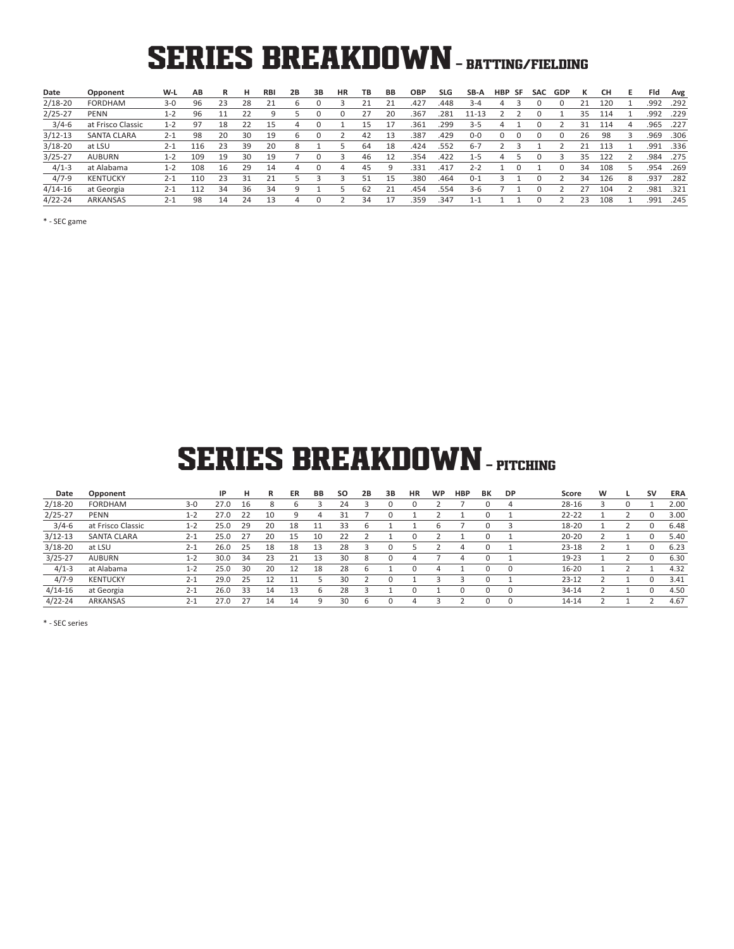# SERIES BREAKDOWN - BATTING/FIELDING

| Date        | Opponent          | W-L     | AВ  | R  | н  | <b>RBI</b> | 2В | 3B | НR | ΤВ | BВ | <b>OBP</b> | <b>SLG</b> | SB-A      | HBP | -SF | <b>SAC</b> | <b>GDP</b> | ĸ  | CН  | ь. | Fld  | Avg  |
|-------------|-------------------|---------|-----|----|----|------------|----|----|----|----|----|------------|------------|-----------|-----|-----|------------|------------|----|-----|----|------|------|
| $2/18 - 20$ | FORDHAM           | $3 - 0$ | 96  | 23 | 28 | 21         | 6  |    |    | 21 | 21 | .427       | .448       | $3 - 4$   | 4   |     |            |            |    | 120 |    | .992 | .292 |
| $2/25 - 27$ | <b>PENN</b>       | $1 - 2$ | 96  |    | 22 | 9          |    |    |    | 27 | 20 | .367       | .281       | $11 - 13$ |     |     |            |            | 35 | 114 |    | .992 | .229 |
| $3/4-6$     | at Frisco Classic | $1 - 2$ | 97  | 18 | 22 | 15         | 4  |    |    | 15 | 17 | .361       | .299       | 3-5       | 4   |     |            |            | 31 | 114 |    | .965 | .227 |
| $3/12-13$   | SANTA CLARA       | $2 - 1$ | 98  | 20 | 30 | 19         | ь  |    |    | 42 | 13 | .387       | .429       | $0-0$     |     |     |            |            | 26 | 98  |    | .969 | .306 |
| $3/18 - 20$ | at LSU            | $2 - 1$ | 116 | 23 | 39 | 20         | 8  |    |    | 64 | 18 | .424       | .552       | $6 - 7$   |     |     |            |            |    | 113 |    | .991 | .336 |
| $3/25 - 27$ | <b>AUBURN</b>     | 1-2     | 109 | 19 | 30 | 19         |    |    |    | 46 | 12 | .354       | .422       | $1 - 5$   | 4   |     |            |            | 35 | 122 |    | .984 | .275 |
| $4/1-3$     | at Alabama        | $1 - 2$ | 108 | 16 | 29 | 14         | 4  |    | 4  | 45 | 9  | .331       | .417       | $2 - 2$   |     |     |            |            | 34 | 108 |    | .954 | .269 |
| $4/7-9$     | <b>KENTUCKY</b>   | $2 - 1$ | 110 | 23 | 31 | 21         |    |    |    | 51 | 15 | .380       | .464       | $0 - 1$   |     |     |            |            | 34 | 126 | 8  | .937 | .282 |
| $4/14-16$   | at Georgia        | $2 - 1$ | 112 | 34 | 36 | 34         | 9  |    |    | 62 | 21 | .454       | .554       | 3-6       |     |     |            |            |    | 104 |    | .981 | .321 |
| $4/22 - 24$ | ARKANSAS          | $2 - 1$ | 98  | 14 | 24 | 13         | 4  |    |    | 34 | 17 | .359       | .347       | 1-1       |     |     |            |            | 23 | 108 |    | .991 | .245 |

\* - SEC game

## **SERIES BREAKDOWN - PITCHING**

| Date        | Opponent           |         | IP   | н  | R  | ER | BB | <b>SO</b> | 2B | 3B       | <b>HR</b> | <b>WP</b> | <b>HBP</b> | BK | <b>DP</b> | Score     | w | <b>SV</b>   | <b>ERA</b> |
|-------------|--------------------|---------|------|----|----|----|----|-----------|----|----------|-----------|-----------|------------|----|-----------|-----------|---|-------------|------------|
| $2/18 - 20$ | <b>FORDHAM</b>     | $3 - 0$ | 27.0 | 16 | 8  |    |    | 24        |    |          |           |           |            |    | 4         | $28 - 16$ |   |             | 2.00       |
| $2/25 - 27$ | <b>PENN</b>        | $1 - 2$ | 27.0 | 22 | 10 | q  | 4  | 31        |    |          |           |           |            |    |           | $22 - 22$ |   | $\Omega$    | 3.00       |
| $3/4 - 6$   | at Frisco Classic  | $1 - 2$ | 25.0 | 29 | 20 | 18 |    | 33        | 6  |          |           | 6         |            |    | 3         | 18-20     |   | $\mathbf 0$ | 6.48       |
| $3/12 - 13$ | <b>SANTA CLARA</b> | $2 - 1$ | 25.0 | 27 | 20 | 15 | 10 | 22        |    |          |           |           |            |    |           | $20 - 20$ |   |             | 5.40       |
| $3/18 - 20$ | at LSU             | $2 - 1$ | 26.0 | 25 | 18 | 18 | 13 | 28        |    |          |           |           |            |    |           | $23 - 18$ |   | $\Omega$    | 6.23       |
| $3/25 - 27$ | <b>AUBURN</b>      | $1 - 2$ | 30.0 | 34 | 23 | 21 | 13 | 30        | 8  | 0        | 4         |           | 4          |    |           | 19-23     |   | $\Omega$    | 6.30       |
| $4/1-3$     | at Alabama         | $1 - 2$ | 25.0 | 30 | 20 | 12 | 18 | 28        | b  |          |           |           |            |    | $\Omega$  | $16 - 20$ |   |             | 4.32       |
| $4/7-9$     | <b>KENTUCKY</b>    | $2 - 1$ | 29.0 | 25 | 12 |    |    | 30        |    | 0        |           |           |            |    |           | $23 - 12$ |   | $\Omega$    | 3.41       |
| $4/14-16$   | at Georgia         | $2 - 1$ | 26.0 | 33 | 14 | 13 |    | 28        |    |          |           |           |            |    | $\Omega$  | 34-14     |   | $\Omega$    | 4.50       |
| $4/22 - 24$ | ARKANSAS           | $2 - 1$ | 27.0 | 27 | 14 | 14 | q  | 30        | 6  | $\Omega$ | 4         |           |            | 0  | $\Omega$  | 14-14     |   |             | 4.67       |

\* - SEC series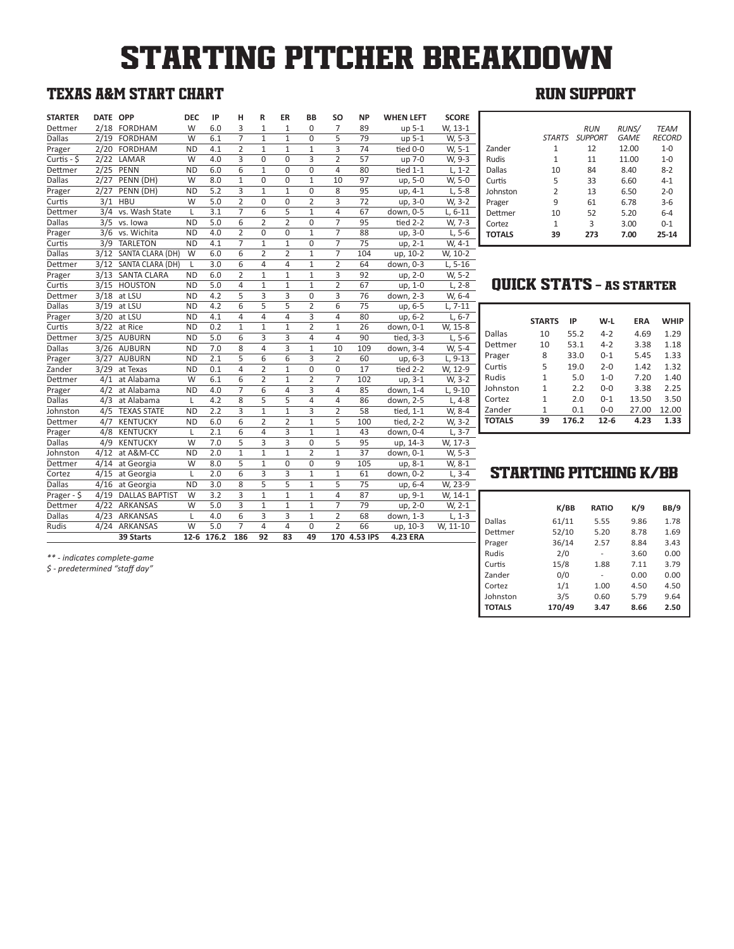# STARTING PITCHER BREAKDOWN

## TEXAS A&M START CHART

| <b>STARTER</b> | DATE OPP |                       | <b>DEC</b> | IP         | н              | R                       | ER             | <b>BB</b>      | SO             | <b>NP</b>       | <b>WHEN LEFT</b> | <b>SCORE</b> |
|----------------|----------|-----------------------|------------|------------|----------------|-------------------------|----------------|----------------|----------------|-----------------|------------------|--------------|
| Dettmer        |          | 2/18 FORDHAM          | W          | 6.0        | 3              | $\mathbf{1}$            | $\mathbf{1}$   | $\Omega$       | $\overline{7}$ | 89              | up 5-1           | W, 13-1      |
| <b>Dallas</b>  |          | 2/19 FORDHAM          | W          | 6.1        | $\overline{7}$ | $\mathbf{1}$            | $\mathbf{1}$   | 0              | 5              | 79              | up 5-1           | W, 5-3       |
| Prager         |          | 2/20 FORDHAM          | <b>ND</b>  | 4.1        | $\overline{2}$ | $\mathbf{1}$            | $\mathbf{1}$   | $\mathbf{1}$   | 3              | 74              | tied 0-0         | W, 5-1       |
| Curtis - \$    |          | 2/22 LAMAR            | W          | 4.0        | 3              | 0                       | $\overline{0}$ | 3              | $\overline{2}$ | 57              | up 7-0           | W, 9-3       |
| Dettmer        |          | 2/25 PENN             | <b>ND</b>  | 6.0        | 6              | $\mathbf{1}$            | 0              | 0              | 4              | 80              | tied $1-1$       | $L, 1-2$     |
| <b>Dallas</b>  |          | 2/27 PENN (DH)        | W          | 8.0        | $\mathbf{1}$   | $\Omega$                | 0              | $\mathbf{1}$   | 10             | 97              | up, 5-0          | W, 5-0       |
| Prager         | 2/27     | PENN (DH)             | <b>ND</b>  | 5.2        | 3              | $\mathbf{1}$            | $\mathbf{1}$   | 0              | $\overline{8}$ | 95              | up, 4-1          | $L, 5-8$     |
| Curtis         | 3/1      | <b>HBU</b>            | W          | 5.0        | $\overline{2}$ | $\Omega$                | 0              | $\overline{2}$ | 3              | 72              | up, 3-0          | W, 3-2       |
| Dettmer        | 3/4      | vs. Wash State        | L          | 3.1        | $\overline{7}$ | 6                       | 5              | $\mathbf{1}$   | 4              | 67              | down, 0-5        | L, 6-11      |
| <b>Dallas</b>  |          | 3/5 vs. lowa          | <b>ND</b>  | 5.0        | 6              | $\overline{2}$          | $\overline{2}$ | 0              | $\overline{7}$ | 95              | tied 2-2         | W, 7-3       |
| Prager         |          | 3/6 vs. Wichita       | <b>ND</b>  | 4.0        | $\overline{2}$ | $\Omega$                | $\Omega$       | $\mathbf{1}$   | $\overline{7}$ | 88              | up, 3-0          | $L, 5-6$     |
| Curtis         | 3/9      | <b>TARLETON</b>       | <b>ND</b>  | 4.1        | $\overline{7}$ | $\mathbf{1}$            | $\mathbf{1}$   | 0              | $\overline{7}$ | 75              | up, 2-1          | W, 4-1       |
| <b>Dallas</b>  |          | 3/12 SANTA CLARA (DH) | W          | 6.0        | 6              | $\overline{2}$          | $\overline{2}$ | $\mathbf{1}$   | $\overline{7}$ | 104             | up, 10-2         | W, 10-2      |
| Dettmer        |          | 3/12 SANTA CLARA (DH) | L          | 3.0        | 6              | 4                       | 4              | $\mathbf{1}$   | $\overline{2}$ | 64              | down, 0-3        | $L, 5-16$    |
| Prager         |          | 3/13 SANTA CLARA      | <b>ND</b>  | 6.0        | $\overline{2}$ | $\mathbf{1}$            | $\mathbf{1}$   | $\mathbf{1}$   | 3              | 92              | up, 2-0          | W, 5-2       |
| Curtis         |          | 3/15 HOUSTON          | <b>ND</b>  | 5.0        | 4              | $\mathbf{1}$            | $\mathbf{1}$   | $\overline{1}$ | $\overline{2}$ | 67              | up, 1-0          | $L, 2-8$     |
| Dettmer        |          | $3/18$ at LSU         | <b>ND</b>  | 4.2        | 5              | 3                       | 3              | $\mathbf 0$    | 3              | 76              | down, 2-3        | W, 6-4       |
| <b>Dallas</b>  | 3/19     | at LSU                | <b>ND</b>  | 4.2        | 6              | 5                       | 5              | $\overline{2}$ | 6              | 75              | up, 6-5          | $L.7-11$     |
| Prager         |          | 3/20 at LSU           | <b>ND</b>  | 4.1        | 4              | 4                       | 4              | 3              | 4              | 80              | up, 6-2          | $L, 6-7$     |
| Curtis         |          | 3/22 at Rice          | <b>ND</b>  | 0.2        | $\mathbf{1}$   | $\mathbf{1}$            | $\mathbf{1}$   | $\overline{2}$ | $\mathbf{1}$   | 26              | down, 0-1        | W, 15-8      |
| Dettmer        | 3/25     | <b>AUBURN</b>         | <b>ND</b>  | 5.0        | 6              | 3                       | 3              | 4              | 4              | 90              | tied, 3-3        | $L, 5-6$     |
| <b>Dallas</b>  |          | 3/26 AUBURN           | <b>ND</b>  | 7.0        | 8              | 4                       | $\overline{3}$ | $\mathbf{1}$   | 10             | 109             | down, 3-4        | W, 5-4       |
| Prager         | 3/27     | <b>AUBURN</b>         | <b>ND</b>  | 2.1        | 5              | 6                       | 6              | 3              | $\overline{2}$ | 60              | up, 6-3          | $L, 9-13$    |
| Zander         | 3/29     | at Texas              | <b>ND</b>  | 0.1        | 4              | 2                       | $\mathbf{1}$   | 0              | $\Omega$       | 17              | tied 2-2         | W, 12-9      |
| Dettmer        | 4/1      | at Alabama            | W          | 6.1        | $\overline{6}$ | $\overline{2}$          | $\overline{1}$ | $\overline{2}$ | $\overline{7}$ | 102             | $up, 3-1$        | W, 3-2       |
| Prager         |          | 4/2 at Alabama        | <b>ND</b>  | 4.0        | $\overline{7}$ | 6                       | 4              | 3              | 4              | 85              | down, 1-4        | $L, 9-10$    |
| <b>Dallas</b>  |          | 4/3 at Alabama        | L          | 4.2        | 8              | 5                       | 5              | 4              | 4              | 86              | down, 2-5        | $L, 4-8$     |
| Johnston       | 4/5      | <b>TEXAS STATE</b>    | <b>ND</b>  | 2.2        | 3              | $\mathbf{1}$            | $\mathbf{1}$   | 3              | $\overline{2}$ | 58              | tied, 1-1        | W, 8-4       |
| Dettmer        |          | 4/7 KENTUCKY          | <b>ND</b>  | 6.0        | 6              | 2                       | $\overline{2}$ | $\mathbf{1}$   | 5              | 100             | tied, 2-2        | W, 3-2       |
| Prager         | 4/8      | <b>KENTUCKY</b>       | L          | 2.1        | 6              | 4                       | 3              | $\mathbf{1}$   | $\mathbf{1}$   | 43              | down, 0-4        | $L, 3-7$     |
| Dallas         | 4/9      | <b>KENTUCKY</b>       | W          | 7.0        | 5              | $\overline{\mathbf{3}}$ | $\overline{3}$ | 0              | 5              | 95              | up, 14-3         | W, 17-3      |
| Johnston       |          | 4/12 at A&M-CC        | <b>ND</b>  | 2.0        | $\mathbf{1}$   | $\mathbf{1}$            | $\mathbf{1}$   | $\overline{2}$ | $\mathbf{1}$   | $\overline{37}$ | down, 0-1        | W, 5-3       |
| Dettmer        | 4/14     | at Georgia            | W          | 8.0        | 5              | $\mathbf{1}$            | $\Omega$       | 0              | 9              | 105             | up, 8-1          | W, 8-1       |
| Cortez         | 4/15     | at Georgia            | L          | 2.0        | 6              | 3                       | 3              | $\mathbf{1}$   | $\mathbf{1}$   | 61              | down, 0-2        | $L, 3-4$     |
| <b>Dallas</b>  |          | 4/16 at Georgia       | <b>ND</b>  | 3.0        | 8              | 5                       | 5              | $\mathbf{1}$   | 5              | 75              | up, 6-4          | W, 23-9      |
| Prager - \$    |          | 4/19 DALLAS BAPTIST   | W          | 3.2        | 3              | $\mathbf{1}$            | $\mathbf{1}$   | $\mathbf{1}$   | $\overline{4}$ | 87              | up, 9-1          | W, 14-1      |
| Dettmer        |          | 4/22 ARKANSAS         | W          | 5.0        | 3              | $\mathbf{1}$            | $\mathbf{1}$   | $\mathbf{1}$   | $\overline{7}$ | 79              | up, 2-0          | W, 2-1       |
| Dallas         |          | 4/23 ARKANSAS         | L          | 4.0        | 6              | 3                       | 3              | 1              | 2              | 68              | down, 1-3        | $L, 1-3$     |
| Rudis          | 4/24     | ARKANSAS              | W          | 5.0        | $\overline{7}$ | $\overline{4}$          | 4              | 0              | $\overline{2}$ | 66              | up, 10-3         | W, 11-10     |
|                |          | 39 Starts             |            | 12-6 176.2 | 186            | 92                      | 83             | 49             |                | 170 4.53 IPS    | <b>4.23 ERA</b>  |              |
|                |          |                       |            |            |                |                         |                |                |                |                 |                  |              |

## RUN SUPPORT

|               | STARTS         | <b>RUN</b><br><b>SUPPORT</b> | <b>RUNS/</b><br><b>GAME</b> | <b>TEAM</b><br><b>RECORD</b> |
|---------------|----------------|------------------------------|-----------------------------|------------------------------|
| Zander        | 1              | 12                           | 12.00                       | $1 - 0$                      |
| Rudis         | 1              | 11                           | 11.00                       | $1 - 0$                      |
| Dallas        | 10             | 84                           | 8.40                        | $8 - 2$                      |
| Curtis        | 5              | 33                           | 6.60                        | $4 - 1$                      |
| Johnston      | $\overline{2}$ | 13                           | 6.50                        | $2 - 0$                      |
| Prager        | 9              | 61                           | 6.78                        | $3-6$                        |
| Dettmer       | 10             | 52                           | 5.20                        | $6 - 4$                      |
| Cortez        | $\mathbf{1}$   | 3                            | 3.00                        | $0 - 1$                      |
| <b>TOTALS</b> | 39             | 273                          | 7.00                        | $25 - 14$                    |

## QUICK STATS - AS STARTER

|               | <b>STARTS</b> | IP    | W-L      | <b>FRA</b> | <b>WHIP</b> |
|---------------|---------------|-------|----------|------------|-------------|
| Dallas        | 10            | 55.2  | $4 - 2$  | 4.69       | 1.29        |
| Dettmer       | 10            | 53.1  | $4 - 2$  | 3.38       | 1.18        |
| Prager        | 8             | 33.0  | $0 - 1$  | 5.45       | 1.33        |
| Curtis        | 5             | 19.0  | $2 - 0$  | 1.42       | 1.32        |
| Rudis         | 1             | 5.0   | $1 - 0$  | 7.20       | 1.40        |
| Johnston      | 1             | 2.2   | $0 - 0$  | 3.38       | 2.25        |
| Cortez        | 1             | 2.0   | $0 - 1$  | 13.50      | 3.50        |
| Zander        | 1             | 0.1   | $0 - 0$  | 27.00      | 12.00       |
| <b>TOTALS</b> | 39            | 176.2 | $12 - 6$ | 4.23       | 1.33        |

## STARTING PITCHING K/BB

|               | K/BB   | <b>RATIO</b> | K/9  | <b>BB/9</b> |
|---------------|--------|--------------|------|-------------|
| Dallas        | 61/11  | 5.55         | 9.86 | 1.78        |
| Dettmer       | 52/10  | 5.20         | 8.78 | 1.69        |
| Prager        | 36/14  | 2.57         | 8.84 | 3.43        |
| Rudis         | 2/0    | -            | 3.60 | 0.00        |
| Curtis        | 15/8   | 1.88         | 7.11 | 3.79        |
| Zander        | 0/0    | ۰            | 0.00 | 0.00        |
| Cortez        | 1/1    | 1.00         | 4.50 | 4.50        |
| Johnston      | 3/5    | 0.60         | 5.79 | 9.64        |
| <b>TOTALS</b> | 170/49 | 3.47         | 8.66 | 2.50        |

*\*\* - indicates complete-game*

*\$ - predetermined "staff day"*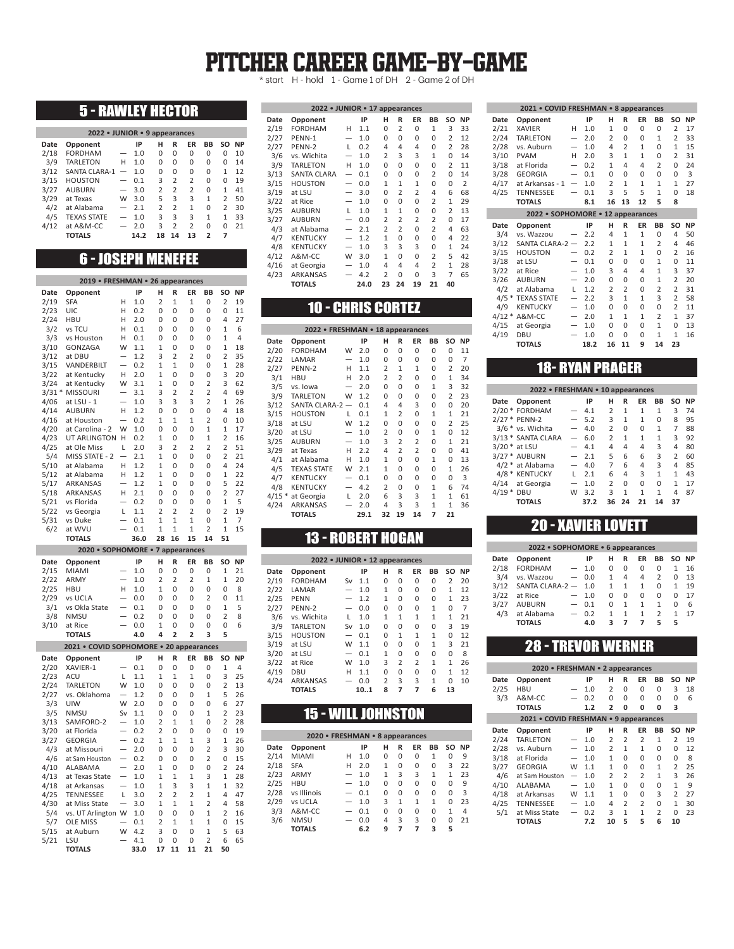## PITCHER CAREER GAME-BY-GAME

\* start H - hold 1 - Game 1 of DH 2 - Game 2 of DH

## 5 - RAWLEY HECTOR

| 2022 • JUNIOR • 9 appearances |                    |   |      |                |                |                |                          |                |           |  |  |  |  |
|-------------------------------|--------------------|---|------|----------------|----------------|----------------|--------------------------|----------------|-----------|--|--|--|--|
| Date                          | Opponent           |   | IP   | н              | R              | ER             | BB                       | SO.            | <b>NP</b> |  |  |  |  |
| 2/18                          | <b>FORDHAM</b>     | — | 1.0  | 0              | 0              | 0              | 0                        | 0              | 10        |  |  |  |  |
| 3/9                           | <b>TARLETON</b>    | н | 1.0  | 0              | 0              | 0              | 0                        | 0              | 14        |  |  |  |  |
| 3/12                          | SANTA CLARA-1      |   | 1.0  | 0              | 0              | 0              | 0                        | 1              | 12        |  |  |  |  |
| 3/15                          | <b>HOUSTON</b>     |   | 0.1  | 3              | $\overline{2}$ | $\overline{2}$ | 0                        | 0              | 19        |  |  |  |  |
| 3/27                          | <b>AUBURN</b>      |   | 3.0  | $\overline{2}$ | $\overline{2}$ | $\overline{2}$ | 0                        | 1              | 41        |  |  |  |  |
| 3/29                          | at Texas           | W | 3.0  | 5              | 3              | 3              | $\mathbf{1}$             | $\overline{2}$ | 50        |  |  |  |  |
| 4/2                           | at Alabama         |   | 2.1  | $\mathcal{P}$  | $\overline{2}$ | 1              | 0                        | $\overline{2}$ | 30        |  |  |  |  |
| 4/5                           | <b>TEXAS STATE</b> |   | 1.0  | 3              | 3              | 3              | 1                        | 1              | 33        |  |  |  |  |
| 4/12                          | at A&M-CC          |   | 2.0  | ς              | $\overline{2}$ | $\overline{2}$ | 0                        | U              | 21        |  |  |  |  |
|                               | <b>TOTALS</b>      |   | 14.2 | 18             | 14             | 13             | $\overline{\phantom{a}}$ | 7              |           |  |  |  |  |

## 6 - JOSEPH MENEFEE

| 2019 • FRESHMAN • 26 appearances |                                                     |        |             |                                |                     |                     |                      |                                |           |  |  |  |
|----------------------------------|-----------------------------------------------------|--------|-------------|--------------------------------|---------------------|---------------------|----------------------|--------------------------------|-----------|--|--|--|
| Date                             | Opponent                                            |        | IP          | Ĥ                              | R                   | ER                  | BB                   | SO                             | <b>NP</b> |  |  |  |
| 2/19                             | SFA                                                 | н      | 1.0         | 2                              | 1                   | 1                   | 0                    | 2                              | 19        |  |  |  |
| 2/23                             | UIC                                                 | Н      | 0.2         | 0                              | 0                   | 0                   | 0                    | 0                              | 11        |  |  |  |
| 2/24                             | <b>HBU</b>                                          | н      | 2.0         | 0                              | 0                   | 0                   | 0                    | 4                              | 27        |  |  |  |
| 3/2                              | vs TCU                                              | Н      | 0.1         | 0                              | 0                   | 0                   | 0                    | $\mathbf{1}$                   | 6         |  |  |  |
| 3/3<br>3/10                      | vs Houston<br>GONZAGA                               | Н<br>W | 0.1         | 0                              | 0                   | 0                   | 0                    | $\overline{1}$<br>$\mathbf{1}$ | 4<br>18   |  |  |  |
| 3/12                             | at DBU                                              |        | 1.1<br>1.2  | 1<br>3                         | 0<br>$\overline{2}$ | 0<br>$\overline{a}$ | 0<br>$\Omega$        | $\overline{2}$                 | 35        |  |  |  |
| 3/15                             | VANDERBILT                                          |        | 0.2         | 1                              | 1                   | 0                   | 0                    | 1                              | 28        |  |  |  |
| 3/22                             | at Kentucky                                         | Η      | 2.0         | $\mathbf{1}$                   | 0                   | 0                   | 0                    | 3                              | 20        |  |  |  |
| 3/24                             | at Kentucky                                         | W      | 3.1         | $\mathbf{1}$                   | 0                   | 0                   | $\overline{2}$       | 3                              | 62        |  |  |  |
| $3/31*$                          | <b>MISSOURI</b>                                     |        | 3.1         | 3                              | $\overline{2}$      | $\overline{2}$      | $\overline{2}$       | 4                              | 69        |  |  |  |
| 4/06                             | at LSU - 1                                          |        | 1.0         | 3                              | 3                   | 3                   | 2                    | $\mathbf{1}$                   | 26        |  |  |  |
| 4/14                             | <b>AUBURN</b>                                       | Н      | 1.2         | 0                              | 0                   | 0                   | 0                    | 4                              | 18        |  |  |  |
| 4/16                             | at Houston                                          | W      | 0.2         | 1<br>0                         | 1<br>0              | 1<br>0              | 2                    | 0<br>$\mathbf{1}$              | 10<br>17  |  |  |  |
| 4/20<br>4/23                     | at Carolina - 2<br>UT ARLINGTON                     | H      | 1.0<br>0.2  | 1                              | O                   | O                   | 1<br>$\overline{1}$  | $\overline{c}$                 | 16        |  |  |  |
| 4/25                             | at Ole Miss                                         | L      | 2.0         | 3                              | $\overline{2}$      | $\overline{2}$      | $\overline{2}$       | $\overline{2}$                 | 51        |  |  |  |
| 5/4                              | MISS STATE - 2                                      |        | 2.1         | $\mathbf{1}$                   | 0                   | 0                   | 0                    | $\overline{2}$                 | 21        |  |  |  |
| 5/10                             | at Alabama                                          | Н      | 1.2         | $\mathbf{1}$                   | 0                   | 0                   | 0                    | 4                              | 24        |  |  |  |
| 5/12                             | at Alabama                                          | Н      | 1.2         | $\mathbf{1}$                   | 0                   | 0                   | 0                    | $\mathbf{1}$                   | 22        |  |  |  |
| 5/17                             | <b>ARKANSAS</b>                                     |        | 1.2         | $\mathbf{1}$                   | 0                   | 0                   | 0                    | 5                              | 22        |  |  |  |
| 5/18                             | ARKANSAS                                            | Н      | 2.1         | 0                              | 0                   | 0                   | 0                    | $\overline{2}$                 | 27        |  |  |  |
| 5/21<br>5/22                     | vs Florida                                          | L      | 0.2         | 0<br>2                         | 0<br>$\overline{2}$ | 0<br>$\overline{2}$ | 0<br>0               | $\mathbf{1}$<br>$\overline{2}$ | 5<br>19   |  |  |  |
| 5/31                             | vs Georgia<br>vs Duke                               |        | 1.1<br>0.1  | 1                              | 1                   | 1                   | 0                    | 1                              | 7         |  |  |  |
| 6/2                              | at WVU                                              |        | 0.1         | $\mathbf{1}$                   | $\mathbf{1}$        | 1                   | $\overline{2}$       | $\mathbf{1}$                   | 15        |  |  |  |
|                                  | <b>TOTALS</b>                                       |        | 36.0        | 28                             | 16                  | 15                  | 14                   | 51                             |           |  |  |  |
|                                  | 2020 • SOPHOMORE • 7 appearances                    |        |             |                                |                     |                     |                      |                                |           |  |  |  |
| Date                             | Opponent                                            |        | IP          | H                              | R                   | ER                  | <b>BB</b>            | SO                             | <b>NP</b> |  |  |  |
| 2/15                             | MIAMI                                               |        | 1.0         | 0                              | 0                   | 0                   | 0                    | 1                              | 21        |  |  |  |
|                                  |                                                     |        |             |                                |                     |                     |                      |                                |           |  |  |  |
| 2/22                             | ARMY                                                |        | 1.0         | 2                              | $\overline{2}$      | $\overline{2}$      | $\mathbf{1}$         | 1                              | 20        |  |  |  |
| 2/25                             | <b>HBU</b>                                          | Н      | 1.0         | 1                              | 0                   | 0                   | 0                    | 0                              | 8         |  |  |  |
| 2/29                             | vs UCLA                                             |        | 0.0         | 0                              | 0                   | 0                   | $\overline{2}$       | 0                              | 11        |  |  |  |
| 3/1                              | vs Okla State                                       |        | 0.1         | 0                              | 0                   | 0                   | 0                    | 1                              | 5         |  |  |  |
| 3/8                              | <b>NMSU</b>                                         |        | 0.2         | 0                              | 0                   | 0                   | 0                    | $\overline{2}$                 | 8         |  |  |  |
| 3/10                             | at Rice<br><b>TOTALS</b>                            |        | 0.0<br>4.0  | $\mathbf{1}$<br>4              | 0<br>$\overline{a}$ | 0<br>$\overline{a}$ | 0<br>3               | 0<br>5                         | 6         |  |  |  |
|                                  |                                                     |        |             |                                |                     |                     |                      |                                |           |  |  |  |
| Date                             | 2021 • COVID SOPHOMORE • 20 appearances<br>Opponent |        | IP          | н                              | R                   | ER                  | BB                   | SO                             | <b>NP</b> |  |  |  |
| 2/20                             | XAVIER-1                                            |        | 0.1         | 0                              | 0                   | 0                   | 0                    | $\mathbf{1}$                   | 4         |  |  |  |
| 2/23                             | ACU                                                 | L      | 1.1         | $\mathbf{1}$                   | $\mathbf{1}$        | 1                   | 0                    | 3                              | 25        |  |  |  |
| 2/24                             | <b>TARLETON</b>                                     | W      | 1.0         | $\Omega$                       | $\Omega$            | 0                   | $\Omega$             | $\overline{2}$                 | 13        |  |  |  |
| 2/27                             | vs. Oklahoma                                        |        | 1.2         | 0                              | 0                   | 0                   | 1                    | 5                              | 26        |  |  |  |
| 3/3                              | UIW                                                 | W      | 2.0         | 0                              | 0                   | 0                   | 0                    | 6                              | 27        |  |  |  |
| 3/5                              | <b>NMSU</b>                                         | Sv     | 1.1         | $\overline{0}$                 | $\overline{0}$      | O                   | $\overline{1}$       | $\overline{c}$                 | 23        |  |  |  |
| 3/13                             | SAMFORD-2                                           |        | 1.0         | 2                              | $\mathbf{1}$        | $\overline{1}$      | 0                    | $\overline{2}$                 | 28        |  |  |  |
| 3/20                             | at Florida<br><b>GEORGIA</b>                        |        | 0.2<br>0.2  | $\overline{2}$<br>$\mathbf{1}$ | 0<br>$\mathbf{1}$   | 0<br>1              | 0<br>3               | 0<br>$\mathbf{1}$              | 19<br>26  |  |  |  |
| 3/27<br>4/3                      | at Missouri                                         |        | 2.0         | 0                              | $\Omega$            | 0                   | $\overline{2}$       | 3                              | 30        |  |  |  |
| 4/6                              | at Sam Houston                                      |        | 0.2         | 0                              | 0                   | 0                   | 2                    | 0                              | 15        |  |  |  |
| 4/10                             | ALABAMA                                             |        | 2.0         | $\mathbf{1}$                   | 0                   | 0                   | 0                    | $\overline{2}$                 | 24        |  |  |  |
| 4/13                             | at Texas State                                      |        | 1.0         | 1                              | 1                   | $\overline{1}$      | 3                    | 1                              | 28        |  |  |  |
| 4/18                             | at Arkansas                                         |        | 1.0         | $\mathbf{1}$                   | 3                   | 3                   | $\mathbf{1}$         | $\mathbf{1}$                   | 32        |  |  |  |
| 4/25                             | <b>TENNESSEE</b>                                    | L      | 3.0         | 2                              | $\overline{2}$      | 2                   | $\mathbf 1$          | 4                              | 47        |  |  |  |
| 4/30                             | at Miss State                                       | W      | 3.0<br>1.0  | $\mathbf{1}$<br>0              | $\mathbf{1}$<br>0   | $\overline{1}$<br>0 | $\overline{2}$<br>1  | 4<br>2                         | 58<br>16  |  |  |  |
| 5/4<br>5/7                       | vs. UT Arlington<br><b>OLE MISS</b>                 |        | 0.1         | $\overline{2}$                 | $\mathbf{1}$        | $\mathbf{1}$        | $\mathbf{1}$         | 0                              | 15        |  |  |  |
| 5/15                             | at Auburn                                           | W      | 4.2         | 3                              | 0                   | O                   | $\mathbf{1}$         | 5                              | 63        |  |  |  |
| 5/21                             | LSU<br><b>TOTALS</b>                                |        | 4.1<br>33.0 | 0<br>17                        | 0<br>11             | 0<br>11             | $\overline{2}$<br>21 | 6<br>50                        | 65        |  |  |  |

| 2022 • JUNIOR • 17 appearances |                    |                          |      |                |                |                |                |                |                |  |  |  |  |
|--------------------------------|--------------------|--------------------------|------|----------------|----------------|----------------|----------------|----------------|----------------|--|--|--|--|
| Date                           | Opponent           |                          | IP   | н              | R              | ER             | BB             | SΟ             | <b>NP</b>      |  |  |  |  |
| 2/19                           | <b>FORDHAM</b>     | н                        | 1.1  | 0              | $\overline{2}$ | 0              | 1              | 3              | 33             |  |  |  |  |
| 2/27                           | PENN-1             | $\overline{\phantom{0}}$ | 1.0  | 0              | $\Omega$       | 0              | $\Omega$       | $\overline{2}$ | 12             |  |  |  |  |
| 2/27                           | PENN-2             | L                        | 0.2  | 4              | 4              | 4              | 0              | 2              | 28             |  |  |  |  |
| 3/6                            | vs. Wichita        | $\overline{\phantom{0}}$ | 1.0  | $\overline{2}$ | 3              | 3              | $\mathbf{1}$   | $\Omega$       | 14             |  |  |  |  |
| 3/9                            | <b>TARLETON</b>    | н                        | 1.0  | 0              | $\Omega$       | 0              | $\Omega$       | 2              | 11             |  |  |  |  |
| 3/13                           | <b>SANTA CLARA</b> | $\overline{\phantom{0}}$ | 0.1  | 0              | $\Omega$       | 0              | 2              | $\Omega$       | 14             |  |  |  |  |
| 3/15                           | <b>HOUSTON</b>     | $\overline{\phantom{0}}$ | 0.0  | $\mathbf{1}$   | $\mathbf{1}$   | $\mathbf{1}$   | $\Omega$       | 0              | $\overline{2}$ |  |  |  |  |
| 3/19                           | at LSU             | $\overline{\phantom{0}}$ | 3.0  | 0              | $\overline{2}$ | $\overline{2}$ | 4              | 6              | 68             |  |  |  |  |
| 3/22                           | at Rice            | $\overline{\phantom{0}}$ | 1.0  | 0              | $\Omega$       | 0              | $\overline{2}$ | $\mathbf{1}$   | 29             |  |  |  |  |
| 3/25                           | <b>AUBURN</b>      | L                        | 1.0  | $\mathbf{1}$   | $\mathbf{1}$   | 0              | $\Omega$       | $\overline{2}$ | 13             |  |  |  |  |
| 3/27                           | <b>AUBURN</b>      | $\overline{\phantom{0}}$ | 0.0  | $\overline{2}$ | $\overline{2}$ | $\overline{2}$ | $\overline{2}$ | $\Omega$       | 17             |  |  |  |  |
| 4/3                            | at Alabama         | $\overline{\phantom{0}}$ | 2.1  | $\overline{2}$ | $\overline{2}$ | 0              | 2              | 4              | 63             |  |  |  |  |
| 4/7                            | <b>KENTUCKY</b>    | $\overline{\phantom{0}}$ | 1.2  | $\mathbf{1}$   | 0              | 0              | $\Omega$       | 4              | 22             |  |  |  |  |
| 4/8                            | <b>KENTUCKY</b>    | $\overline{\phantom{0}}$ | 1.0  | 3              | 3              | 3              | $\Omega$       | $\mathbf{1}$   | 24             |  |  |  |  |
| 4/12                           | A&M-CC             | W                        | 3.0  | $\mathbf{1}$   | 0              | 0              | $\overline{2}$ | 5              | 42             |  |  |  |  |
| 4/16                           | at Georgia         | $\overline{\phantom{0}}$ | 1.0  | 4              | 4              | 4              | $\overline{2}$ | $\mathbf{1}$   | 28             |  |  |  |  |
| 4/23                           | <b>ARKANSAS</b>    | $\overline{\phantom{0}}$ | 4.2  | $\overline{2}$ | 0              | 0              | 3              | 7              | 65             |  |  |  |  |
|                                | <b>TOTALS</b>      |                          | 24.0 | 23             | 24             | 19             | 21             | 40             |                |  |  |  |  |

## 10 - CHRIS CORTEZ

|         | 2022 • FRESHMAN • 18 appearances |                          |      |                |                         |                |              |                |           |  |  |  |  |  |
|---------|----------------------------------|--------------------------|------|----------------|-------------------------|----------------|--------------|----------------|-----------|--|--|--|--|--|
| Date    | Opponent                         |                          | IP   | н              | R                       | ER             | <b>BB</b>    | SO             | <b>NP</b> |  |  |  |  |  |
| 2/20    | <b>FORDHAM</b>                   | W                        | 2.0  | 0              | $\Omega$                | 0              | $\Omega$     | $\Omega$       | 11        |  |  |  |  |  |
| 2/22    | LAMAR                            | $\overline{\phantom{0}}$ | 1.0  | 0              | 0                       | 0              | $\Omega$     | 0              | 7         |  |  |  |  |  |
| 2/27    | PENN-2                           | н                        | 1.1  | $\overline{2}$ | $\mathbf{1}$            | $\mathbf{1}$   | $\Omega$     | $\overline{2}$ | 20        |  |  |  |  |  |
| 3/1     | <b>HBU</b>                       | н                        | 2.0  | $\overline{2}$ | $\overline{\mathbf{c}}$ | 0              | $\Omega$     | $\mathbf{1}$   | 34        |  |  |  |  |  |
| 3/5     | vs. Iowa                         | $\overline{\phantom{0}}$ | 2.0  | 0              | $\Omega$                | 0              | $\mathbf{1}$ | 3              | 32        |  |  |  |  |  |
| 3/9     | <b>TARLETON</b>                  | W                        | 1.2  | 0              | $\Omega$                | 0              | $\Omega$     | $\overline{2}$ | 23        |  |  |  |  |  |
| 3/12    | SANTA CLARA-2                    | $\overline{\phantom{0}}$ | 0.1  | 4              | 4                       | 3              | $\Omega$     | $\Omega$       | 20        |  |  |  |  |  |
| 3/15    | <b>HOUSTON</b>                   | L                        | 0.1  | $\mathbf{1}$   | $\overline{\mathbf{c}}$ | 0              | $\mathbf{1}$ | $\mathbf{1}$   | 21        |  |  |  |  |  |
| 3/18    | at LSU                           | W                        | 1.2  | 0              | $\Omega$                | 0              | $\Omega$     | $\overline{2}$ | 25        |  |  |  |  |  |
| 3/20    | at LSU                           | $\overline{\phantom{0}}$ | 1.0  | $\overline{2}$ | $\Omega$                | 0              | $\mathbf{1}$ | 0              | 12        |  |  |  |  |  |
| 3/25    | <b>AUBURN</b>                    | $\overline{\phantom{0}}$ | 1.0  | 3              | $\overline{\mathbf{c}}$ | $\overline{2}$ | 0            | $\mathbf{1}$   | 21        |  |  |  |  |  |
| 3/29    | at Texas                         | Н                        | 2.2  | 4              | 2                       | 2              | $\Omega$     | 0              | 41        |  |  |  |  |  |
| 4/1     | at Alabama                       | н                        | 1.0  | $\mathbf{1}$   | $\Omega$                | 0              | $\mathbf{1}$ | 0              | 13        |  |  |  |  |  |
| 4/5     | <b>TEXAS STATE</b>               | W                        | 2.1  | $\mathbf{1}$   | $\Omega$                | 0              | $\Omega$     | $\mathbf{1}$   | 26        |  |  |  |  |  |
| 4/7     | <b>KENTUCKY</b>                  | $\overline{\phantom{0}}$ | 0.1  | 0              | $\Omega$                | 0              | $\Omega$     | 0              | 3         |  |  |  |  |  |
| 4/8     | <b>KENTUCKY</b>                  | $\overline{\phantom{0}}$ | 4.2  | $\overline{2}$ | 0                       | 0              | $\mathbf{1}$ | 6              | 74        |  |  |  |  |  |
| $4/15*$ | at Georgia                       | L                        | 2.0  | 6              | 3                       | 3              | $\mathbf{1}$ | $\mathbf{1}$   | 61        |  |  |  |  |  |
| 4/24    | <b>ARKANSAS</b>                  |                          | 2.0  | 4              | 3                       | 3              | $\mathbf{1}$ | $\mathbf{1}$   | 36        |  |  |  |  |  |
|         | <b>TOTALS</b>                    |                          | 29.1 | 32             | 19                      | 14             | 7            | 21             |           |  |  |  |  |  |

## 13 - ROBERT HOGAN

| 2022 • JUNIOR • 12 appearances |                 |                          |     |                |                |                |              |                         |           |  |  |  |  |
|--------------------------------|-----------------|--------------------------|-----|----------------|----------------|----------------|--------------|-------------------------|-----------|--|--|--|--|
| Date                           | Opponent        |                          | IP  | н              | R              | ER             | BB           | SΟ                      | <b>NP</b> |  |  |  |  |
| 2/19                           | <b>FORDHAM</b>  | Sv                       | 1.1 | 0              | 0              | 0              | 0            | $\overline{\mathbf{c}}$ | 20        |  |  |  |  |
| 2/22                           | LAMAR           | $\overline{\phantom{0}}$ | 1.0 | $\mathbf{1}$   | 0              | 0              | 0            | 1                       | 12        |  |  |  |  |
| 2/25                           | PENN            |                          | 1.2 | $\mathbf{1}$   | 0              | 0              | O            | 1                       | 23        |  |  |  |  |
| 2/27                           | PENN-2          |                          | 0.0 | 0              | 0              | 0              | $\mathbf{1}$ | 0                       | 7         |  |  |  |  |
| 3/6                            | vs. Wichita     | L                        | 1.0 | 1              | 1              | $\mathbf{1}$   | $\mathbf{1}$ | $\mathbf{1}$            | 21        |  |  |  |  |
| 3/9                            | <b>TARLETON</b> | Sv                       | 1.0 | 0              | 0              | U              | O            | 3                       | 19        |  |  |  |  |
| 3/15                           | <b>HOUSTON</b>  | $\overline{\phantom{0}}$ | 0.1 | 0              | 1              | $\mathbf{1}$   | $\mathbf{1}$ | 0                       | 12        |  |  |  |  |
| 3/19                           | at LSU          | W                        | 1.1 | 0              | 0              | 0              | $\mathbf{1}$ | 3                       | 21        |  |  |  |  |
| 3/20                           | at LSU          |                          | 0.1 | 1              | 0              | $\Omega$       | $\Omega$     | 0                       | 8         |  |  |  |  |
| 3/22                           | at Rice         | W                        | 1.0 | 3              | $\overline{2}$ | $\overline{2}$ | $\mathbf{1}$ | $\mathbf{1}$            | 26        |  |  |  |  |
| 4/19                           | DBU             | н                        | 1.1 | 0              | 0              | 0              | 0            | $\mathbf{1}$            | 12        |  |  |  |  |
| 4/24                           | <b>ARKANSAS</b> |                          | 0.0 | $\overline{2}$ | 3              | 3              | $\mathbf{1}$ | U                       | 10        |  |  |  |  |
|                                | <b>TOTALS</b>   |                          | 101 | 8              | 7              | 7              | 6            | 13                      |           |  |  |  |  |

## 15 - WILL JOHNSTON

|      | 2020 • FRESHMAN • 8 appearances |   |     |   |              |    |    |           |           |  |  |  |  |  |
|------|---------------------------------|---|-----|---|--------------|----|----|-----------|-----------|--|--|--|--|--|
| Date | Opponent                        |   | IP  | н | R            | ER | BB | <b>SO</b> | <b>NP</b> |  |  |  |  |  |
| 2/14 | <b>MIAMI</b>                    | н | 1.0 | 0 | O            | Ω  | 1  | Ω         | 9         |  |  |  |  |  |
| 2/18 | <b>SFA</b>                      | н | 2.0 | 1 | <sup>0</sup> | 0  | 0  | з         | 22        |  |  |  |  |  |
| 2/23 | ARMY                            |   | 1.0 | 1 | 3            | 3  | 1  | 1         | 23        |  |  |  |  |  |
| 2/25 | <b>HBU</b>                      |   | 1.0 | 0 | <sup>0</sup> | U  | O  | U         | 9         |  |  |  |  |  |
| 2/28 | vs Illinois                     |   | 0.1 | 0 | O            | 0  | 0  | 0         | 3         |  |  |  |  |  |
| 2/29 | vs UCLA                         |   | 1.0 | 3 | 1            | 1  | 1  | U         | 23        |  |  |  |  |  |
| 3/3  | $A$ &M-CC                       |   | 0.1 | 0 | O            | 0  | 0  | 1         | 4         |  |  |  |  |  |
| 3/6  | <b>NMSU</b>                     |   | 0.0 | 4 | ς            | 3  | 0  | U         | 21        |  |  |  |  |  |
|      | <b>TOTALS</b>                   |   | 6.2 | 9 | 7            | 7  | з  | 5         |           |  |  |  |  |  |

|         | 2021 • COVID FRESHMAN • 8 appearances |                          |      |                |                |              |                |                |           |
|---------|---------------------------------------|--------------------------|------|----------------|----------------|--------------|----------------|----------------|-----------|
| Date    | Opponent                              |                          | IP   | н              | R              | ER           | <b>BB</b>      | SO             | <b>NP</b> |
| 2/21    | <b>XAVIER</b>                         | н                        | 1.0  | $\mathbf{1}$   | 0              | $\Omega$     | $\Omega$       | $\overline{2}$ | 17        |
| 2/24    | <b>TARLETON</b>                       |                          | 2.0  | $\overline{2}$ | 0              | $\Omega$     | $\mathbf{1}$   | $\overline{2}$ | 33        |
| 2/28    | vs. Auburn                            |                          | 1.0  | 4              | $\overline{2}$ | $\mathbf{1}$ | $\Omega$       | $\mathbf{1}$   | 15        |
| 3/10    | <b>PVAM</b>                           | н                        | 2.0  | 3              | $\mathbf{1}$   | $\mathbf{1}$ | $\Omega$       | $\overline{2}$ | 31        |
| 3/18    | at Florida                            |                          | 0.2  | $\mathbf{1}$   | 4              | 4            | $\overline{2}$ | 0              | 24        |
| 3/28    | <b>GEORGIA</b>                        | —                        | 0.1  | 0              | 0              | $\Omega$     | $\Omega$       | 0              | 3         |
| 4/17    | at Arkansas - 1                       | $\overline{\phantom{0}}$ | 1.0  | $\overline{2}$ | $\mathbf{1}$   | $\mathbf{1}$ | $\mathbf{1}$   | $\mathbf{1}$   | 27        |
| 4/25    | <b>TENNESSEE</b>                      |                          | 0.1  | 3              | 5              | 5            | $\mathbf{1}$   | 0              | 18        |
|         | <b>TOTALS</b>                         |                          | 8.1  | 16             | 13             | 12           | 5              | 8              |           |
|         | 2022 • SOPHOMORE • 12 appearances     |                          |      |                |                |              |                |                |           |
| Date    | Opponent                              |                          | IP   | н              | R              | ER           | <b>BB</b>      | SO             | <b>NP</b> |
| 3/4     | vs. Wazzou                            |                          | 2.2  | 4              | $\mathbf{1}$   | $\mathbf{1}$ | 0              | 4              | 50        |
| 3/12    | SANTA CLARA-2-                        |                          | 2.2  | $\mathbf{1}$   | $\mathbf{1}$   | $\mathbf{1}$ | $\overline{a}$ | 4              | 46        |
| 3/15    | <b>HOUSTON</b>                        |                          | 0.2  | $\overline{2}$ | $\mathbf{1}$   | $\mathbf{1}$ | $\Omega$       | $\overline{2}$ | 16        |
| 3/18    | at LSU                                | —                        | 0.1  | 0              | 0              | $\Omega$     | $\mathbf{1}$   | 0              | 11        |
| 3/22    | at Rice                               |                          | 1.0  | 3              | 4              | 4            | $\mathbf{1}$   | 3              | 37        |
| 3/26    | <b>AUBURN</b>                         | $\overline{\phantom{0}}$ | 2.0  | 0              | 0              | $\Omega$     | $\mathbf{1}$   | $\overline{2}$ | 20        |
| 4/2     | at Alabama                            | L                        | 1.2  | $\overline{2}$ | $\overline{2}$ | $\Omega$     | 2              | 2              | 31        |
| $4/5 *$ | <b>TEXAS STATE</b>                    | $\overline{\phantom{0}}$ | 2.2  | 3              | $\mathbf{1}$   | $\mathbf{1}$ | 3              | $\overline{a}$ | 58        |
| 4/9     | <b>KENTUCKY</b>                       |                          | 1.0  | 0              | 0              | 0            | 0              | $\overline{2}$ | 11        |
| $4/12*$ | A&M-CC                                | $\overline{\phantom{0}}$ | 2.0  | $\mathbf{1}$   | $\mathbf{1}$   | $\mathbf{1}$ | $\overline{2}$ | $\mathbf{1}$   | 37        |
| 4/15    | at Georgia                            |                          | 1.0  | 0              | 0              | $\Omega$     | $\mathbf{1}$   | 0              | 13        |
| 4/19    | DBU                                   |                          | 1.0  | 0              | 0              | $\Omega$     | $\mathbf{1}$   | $\mathbf{1}$   | 16        |
|         | <b>TOTALS</b>                         |                          | 18.2 | 16             | 11             | 9            | 14             | 23             |           |

## 18- RYAN PRAGER

| 2022 • FRESHMAN • 10 appearances |                          |        |                |              |              |           |                |    |  |  |  |  |
|----------------------------------|--------------------------|--------|----------------|--------------|--------------|-----------|----------------|----|--|--|--|--|
| Opponent<br>Date                 |                          | IP     | н              | R            | ER           | <b>BB</b> | SΟ             | ΝP |  |  |  |  |
| 2/20 * FORDHAM                   |                          | $-4.1$ | $\overline{2}$ | $\mathbf{1}$ | $\mathbf{1}$ | 1         | 3              | 74 |  |  |  |  |
| 2/27 * PENN-2                    | $\overline{\phantom{0}}$ | 5.2    | 3              | 1            | $\mathbf{1}$ | $\Omega$  | 8              | 95 |  |  |  |  |
| 3/6 * vs. Wichita                |                          | 4.0    | $\overline{2}$ | 0            | 0            | 1         | 7              | 88 |  |  |  |  |
| 3/13 * SANTA CLARA               |                          | 6.0    | $\overline{2}$ | 1            | 1            | 1         | ς              | 92 |  |  |  |  |
| 3/20 * at LSU                    |                          | 4.1    | 4              | 4            | 4            | 3         | 4              | 80 |  |  |  |  |
| 3/27 * AUBURN                    | $\overline{\phantom{0}}$ | 2.1    | 5              | 6            | 6            | 3         | $\overline{2}$ | 60 |  |  |  |  |
| 4/2 * at Alabama                 |                          | 4.0    | 7              | 6            | 4            | 3         | 4              | 85 |  |  |  |  |
| 4/8 * KENTUCKY                   |                          | 2.1    | 6              | 4            | 3            | 1         | 1              | 43 |  |  |  |  |
| 4/14<br>at Georgia               |                          | 1.0    | $\overline{2}$ | U            | U            | U         | 1              | 17 |  |  |  |  |
| $4/19*$<br><b>DBU</b>            | W                        | 3.2    | 3              | 1            | 1            | 1         | 4              | 87 |  |  |  |  |
| TOTALS                           |                          | 37.2   | 36             | 24           | 21           | 14        | 37             |    |  |  |  |  |

## 20 - XAVIER LOVETT

|      | 2022 • SOPHOMORE • 6 appearances |                          |        |   |   |    |               |    |           |  |  |  |  |  |
|------|----------------------------------|--------------------------|--------|---|---|----|---------------|----|-----------|--|--|--|--|--|
| Date | Opponent                         |                          | IP     | н | R | ER | ВB            | SΟ | <b>NP</b> |  |  |  |  |  |
| 2/18 | <b>FORDHAM</b>                   | $\overline{\phantom{0}}$ | 1.0    | 0 | U | U  | Ω             | 1  | 16        |  |  |  |  |  |
| 3/4  | vs. Wazzou                       |                          | 0.0    | 1 | 4 | 4  | $\mathcal{P}$ | O  | 13        |  |  |  |  |  |
| 3/12 | SANTA CLARA-2                    |                          | $-1.0$ | 1 | 1 | 1  | 0             | 1  | 19        |  |  |  |  |  |
| 3/22 | at Rice                          | $\overline{\phantom{0}}$ | 1.0    | 0 | U | 0  | 0             | O  | 17        |  |  |  |  |  |
| 3/27 | <b>AUBURN</b>                    |                          | 0.1    | U | 1 | 1  | 1             | O  | 6         |  |  |  |  |  |
| 4/3  | at Alabama                       |                          | 0.2    | 1 | 1 | 1  | $\mathcal{P}$ |    | 17        |  |  |  |  |  |
|      | TOTAI S                          |                          | 4.0    | ₹ | 7 | 7  | 5             | 5  |           |  |  |  |  |  |

## 28 - TREVOR WERNER

|      | 2020 • FRESHMAN • 2 appearances       |                          |     |                |                |                |                |               |           |
|------|---------------------------------------|--------------------------|-----|----------------|----------------|----------------|----------------|---------------|-----------|
| Date | Opponent                              |                          | IP  | н              | R              | ER             | ВB             | SΟ            | <b>NP</b> |
| 2/25 | HBU                                   |                          | 1.0 | $\overline{2}$ | 0              | 0              | 0              | 3             | 18        |
| 3/3  | A&M-CC                                |                          | 0.2 | 0              | 0              | 0              | 0              | 0             | 6         |
|      | <b>TOTALS</b>                         |                          | 1.2 | $\overline{2}$ | ŋ              | O              | ٥              | з             |           |
|      | 2021 • COVID FRESHMAN • 9 appearances |                          |     |                |                |                |                |               |           |
| Date | Opponent                              |                          | IP  | н              | R              | ER             | ВB             | SΟ            | <b>NP</b> |
| 2/24 | <b>TARLETON</b>                       | $\overline{\phantom{0}}$ | 1.0 | $\overline{2}$ | $\overline{2}$ | $\overline{2}$ | 1              | 2             | 19        |
| 2/28 | vs. Auburn                            | $\overline{\phantom{0}}$ | 1.0 | $\overline{2}$ | $\mathbf{1}$   | $\mathbf{1}$   | 0              | 0             | 12        |
| 3/18 | at Florida                            | $\overline{\phantom{0}}$ | 1.0 | $\mathbf{1}$   | 0              | 0              | 0              | 0             | 8         |
| 3/27 | <b>GEORGIA</b>                        | W                        | 1.1 | $\mathbf{1}$   | 0              | 0              | 1              | 2             | 25        |
| 4/6  | at Sam Houston                        | $\overline{\phantom{0}}$ | 1.0 | $\overline{2}$ | $\overline{2}$ | $\overline{2}$ | $\mathbf{1}$   | 3             | 26        |
| 4/10 | ALABAMA                               |                          | 1.0 | $\mathbf{1}$   | 0              | 0              | 0              | $\mathbf{1}$  | 9         |
| 4/18 | at Arkansas                           | W                        | 1.1 | 1              | $\Omega$       | 0              | 3              | $\mathcal{P}$ | 27        |
| 4/25 | <b>TENNESSEE</b>                      | $\overline{\phantom{0}}$ | 1.0 | 4              | $\overline{2}$ | $\overline{2}$ | 0              | 1             | 30        |
| 5/1  | at Miss State                         | $\overline{\phantom{0}}$ | 0.2 | ς              | 1              | $\mathbf{1}$   | $\overline{2}$ | U             | 23        |
|      | <b>TOTALS</b>                         |                          | 7.2 | 10             | 5              | 5              | 6              | 10            |           |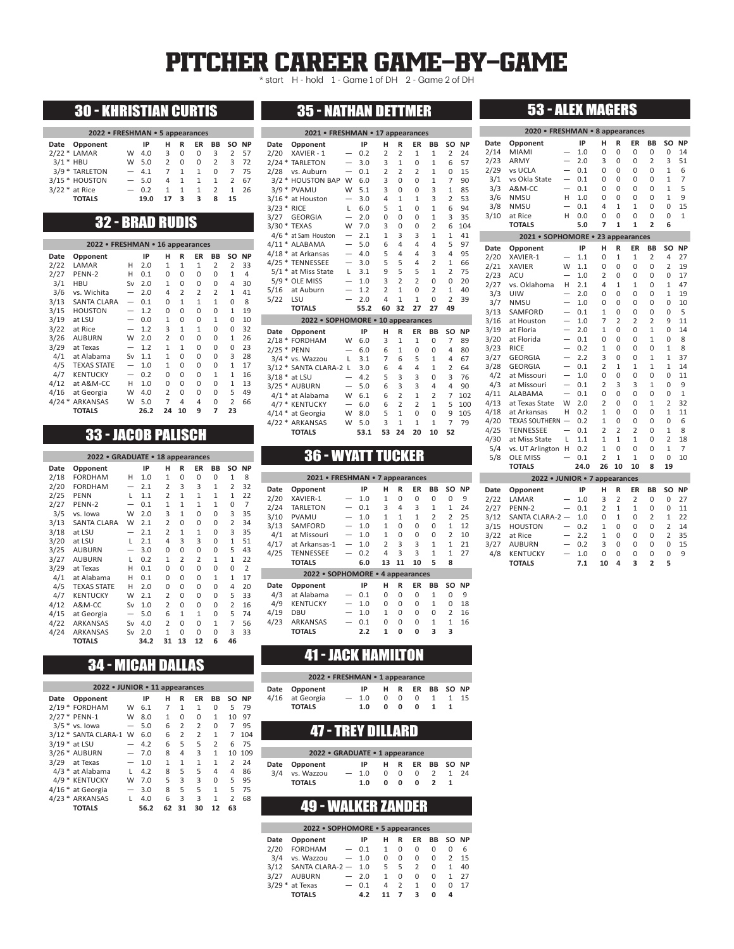## PITCHER CAREER GAME-BY-GAME

\* start H - hold 1 - Game 1 of DH 2 - Game 2 of DH

## 30 - KHRISTIAN CURTIS

| 2022 • FRESHMAN • 5 appearances |     |        |               |              |              |          |               |       |  |  |  |  |
|---------------------------------|-----|--------|---------------|--------------|--------------|----------|---------------|-------|--|--|--|--|
| Date Opponent                   |     | IP     | н             | R            | ER           | BB       |               | SO NP |  |  |  |  |
| $2/22 *$ LAMAR                  | W   | 4.0    | 3             | 0            | 0            | 3        | 2             | -57   |  |  |  |  |
| $3/1$ * HBU                     | W   | 5.0    | $\mathcal{P}$ | 0            | <sup>0</sup> | 2        | 3             | 72    |  |  |  |  |
| 3/9 * TARLETON                  |     | $-4.1$ | 7             | $\mathbf{1}$ | 1            | $\Omega$ |               | 75    |  |  |  |  |
| 3/15 * HOUSTON                  |     | $-5.0$ | 4             | $\mathbf{1}$ | 1            | 1        | $\mathcal{P}$ | 67    |  |  |  |  |
| $3/22$ * at Rice                | $-$ | 0.2    | 1             | 1            | $\mathbf{1}$ | 2        | 1             | 26    |  |  |  |  |
| <b>TOTALS</b>                   |     | 19.0   |               | ર            | з            | Զ        | 15.           |       |  |  |  |  |

## 32 - BRAD RUDIS

|         | 2022 • FRESHMAN • 16 appearances |                          |      |                |              |              |                |                |           |
|---------|----------------------------------|--------------------------|------|----------------|--------------|--------------|----------------|----------------|-----------|
| Date    | Opponent                         |                          | IP   | н              | R            | ΕR           | BB             | SΟ             | <b>NP</b> |
| 2/22    | LAMAR                            | н                        | 2.0  | $\overline{1}$ | $\mathbf{1}$ | 1            | $\overline{2}$ | 2              | 33        |
| 2/27    | PENN-2                           | н                        | 0.1  | 0              | 0            | 0            | 0              | 1              | 4         |
| 3/1     | <b>HBU</b>                       | Sv                       | 2.0  | $\mathbf{1}$   | 0            | 0            | 0              | 4              | 30        |
| 3/6     | vs. Wichita                      | $\overline{\phantom{0}}$ | 2.0  | 4              | 2            | 2            | $\overline{2}$ | 1              | 41        |
| 3/13    | <b>SANTA CLARA</b>               | $\overline{\phantom{0}}$ | 0.1  | 0              | $\mathbf{1}$ | $\mathbf{1}$ | $\mathbf{1}$   | 0              | 8         |
| 3/15    | <b>HOUSTON</b>                   |                          | 1.2  | 0              | 0            | 0            | 0              | 1              | 19        |
| 3/19    | at LSU                           |                          | 0.0  | $\mathbf{1}$   | 0            | 0            | $\mathbf{1}$   | 0              | 10        |
| 3/22    | at Rice                          |                          | 1.2  | 3              | $\mathbf{1}$ | $\mathbf{1}$ | 0              | 0              | 32        |
| 3/26    | <b>AUBURN</b>                    | W                        | 2.0  | $\overline{2}$ | 0            | 0            | 0              | 1              | 26        |
| 3/29    | at Texas                         | $\overline{\phantom{0}}$ | 1.2  | $\mathbf{1}$   | $\mathbf{1}$ | 0            | 0              | 0              | 23        |
| 4/1     | at Alabama                       | Sv                       | 1.1  | $\mathbf{1}$   | 0            | 0            | 0              | 3              | 28        |
| 4/5     | <b>TEXAS STATE</b>               | $\overline{\phantom{0}}$ | 1.0  | $\mathbf{1}$   | 0            | 0            | 0              | 1              | 17        |
| 4/7     | <b>KENTUCKY</b>                  |                          | 0.2  | 0              | 0            | 0            | 1              | 1              | 16        |
| 4/12    | at A&M-CC                        | н                        | 1.0  | 0              | 0            | 0            | 0              | 1              | 13        |
| 4/16    | at Georgia                       | W                        | 4.0  | $\overline{2}$ | 0            | 0            | 0              | 5              | 49        |
| $4/24*$ | <b>ARKANSAS</b>                  | W                        | 5.0  | 7              | 4            | 4            | 0              | $\overline{2}$ | 66        |
|         | <b>TOTALS</b>                    |                          | 26.2 | 24             | 10           | 9            | 7              | 23             |           |

## 33 - JACOB PALISCH

|      | 2022 • GRADUATE • 18 appearances |                          |      |                |              |              |              |                |           |
|------|----------------------------------|--------------------------|------|----------------|--------------|--------------|--------------|----------------|-----------|
| Date | Opponent                         |                          | IP   | н              | R            | ER           | BB           | SΟ             | <b>NP</b> |
| 2/18 | <b>FORDHAM</b>                   | н                        | 1.0  | $\mathbf{1}$   | 0            | 0            | 0            | $\mathbf{1}$   | 8         |
| 2/20 | <b>FORDHAM</b>                   |                          | 2.1  | $\overline{2}$ | 3            | 3            | 1            | $\overline{2}$ | 32        |
| 2/25 | <b>PENN</b>                      | L                        | 1.1  | $\overline{2}$ | 1            | $\mathbf{1}$ | $\mathbf{1}$ | 1              | 22        |
| 2/27 | PENN-2                           |                          | 0.1  | 1              | 1            | $\mathbf{1}$ | 1            | 0              | 7         |
| 3/5  | vs. Iowa                         | W                        | 2.0  | 3              | 1            | 0            | 0            | 3              | 35        |
| 3/13 | <b>SANTA CLARA</b>               | W                        | 2.1  | $\overline{2}$ | $\Omega$     | $\Omega$     | 0            | $\overline{2}$ | 34        |
| 3/18 | at LSU                           | $\overline{\phantom{0}}$ | 2.1  | $\overline{2}$ | 1            | 1            | 0            | 3              | 35        |
| 3/20 | at LSU                           | L                        | 2.1  | 4              | 3            | 3            | 0            | $\mathbf{1}$   | 51        |
| 3/25 | <b>AUBURN</b>                    |                          | 3.0  | 0              | 0            | $\Omega$     | 0            | 5              | 43        |
| 3/27 | <b>AUBURN</b>                    | L                        | 0.2  | $\mathbf{1}$   | 2            | 2            | $\mathbf{1}$ | $\mathbf{1}$   | 22        |
| 3/29 | at Texas                         | н                        | 0.1  | 0              | 0            | 0            | 0            | 0              | 2         |
| 4/1  | at Alabama                       | н                        | 0.1  | 0              | 0            | 0            | $\mathbf{1}$ | $\mathbf{1}$   | 17        |
| 4/5  | <b>TEXAS STATE</b>               | н                        | 2.0  | 0              | 0            | 0            | 0            | 4              | 20        |
| 4/7  | <b>KENTUCKY</b>                  | W                        | 2.1  | $\overline{2}$ | 0            | 0            | 0            | 5              | 33        |
| 4/12 | A&M-CC                           | Sv                       | 1.0  | $\overline{2}$ | 0            | 0            | 0            | $\overline{2}$ | 16        |
| 4/15 | at Georgia                       |                          | 5.0  | 6              | $\mathbf{1}$ | $\mathbf{1}$ | 0            | 5              | 74        |
| 4/22 | <b>ARKANSAS</b>                  | Sv                       | 4.0  | $\overline{2}$ | 0            | 0            | $\mathbf{1}$ | 7              | 56        |
| 4/24 | <b>ARKANSAS</b>                  | Sv                       | 2.0  | $\mathbf{1}$   | 0            | 0            | 0            | 3              | 33        |
|      | <b>TOTALS</b>                    |                          | 34.2 | 31             | 13           | 12           | 6            | 46             |           |

## 35 - NATHAN DETTMER

| 2021 • FRESHMAN • 17 appearances |                                   |                          |      |                |                |                |                |                |           |  |  |
|----------------------------------|-----------------------------------|--------------------------|------|----------------|----------------|----------------|----------------|----------------|-----------|--|--|
| Date                             | Opponent                          |                          | IP   | н              | R              | ER             | BB             | SO             | <b>NP</b> |  |  |
| 2/20                             | XAVIER - 1                        |                          | 0.2  | $\overline{2}$ | $\overline{a}$ | $\mathbf{1}$   | $\mathbf{1}$   | $\overline{2}$ | 24        |  |  |
| $2/24$ *                         | <b>TARLETON</b>                   | $\overline{\phantom{0}}$ | 3.0  | 3              | $\mathbf{1}$   | 0              | $\mathbf{1}$   | 6              | 57        |  |  |
| 2/28                             | vs. Auburn                        | $\overline{\phantom{0}}$ | 0.1  | $\overline{2}$ | $\overline{2}$ | $\overline{a}$ | $\mathbf{1}$   | 0              | 15        |  |  |
| $3/2$ *                          | <b>HOUSTON BAP</b>                | W                        | 6.0  | 3              | $\Omega$       | $\Omega$       | $\mathbf{1}$   | 7              | 90        |  |  |
|                                  | 3/9 * PVAMU                       | W                        | 5.1  | 3              | $\Omega$       | $\Omega$       | 3              | $\mathbf{1}$   | 85        |  |  |
| $3/16*$                          | at Houston                        |                          | 3.0  | 4              | $\mathbf{1}$   | $\mathbf{1}$   | 3              | $\overline{2}$ | 53        |  |  |
| $3/23$ *                         | <b>RICE</b>                       | L                        | 6.0  | 5              | 1              | $\Omega$       | $\mathbf{1}$   | 6              | 94        |  |  |
| 3/27                             | <b>GEORGIA</b>                    | $\overline{\phantom{0}}$ | 2.0  | 0              | $\Omega$       | 0              | $\mathbf{1}$   | 3              | 35        |  |  |
|                                  | 3/30 * TEXAS                      | W                        | 7.0  | 3              | $\Omega$       | 0              | $\overline{2}$ | 6              | 104       |  |  |
|                                  | 4/6 * at Sam Houston              | $\overline{\phantom{0}}$ | 2.1  | $\mathbf{1}$   | 3              | 3              | $\mathbf{1}$   | $\mathbf{1}$   | 41        |  |  |
|                                  | 4/11 * ALABAMA                    | $\overline{\phantom{0}}$ | 5.0  | 6              | $\overline{a}$ | $\overline{4}$ | 4              | 5              | 97        |  |  |
|                                  | 4/18 * at Arkansas                | $\overline{\phantom{0}}$ | 4.0  | 5              | 4              | 4              | 3              | 4              | 95        |  |  |
| $4/25$ *                         | <b>TENNESSEE</b>                  | $\overline{\phantom{0}}$ | 3.0  | 5              | 5              | 4              | $\overline{2}$ | $\mathbf{1}$   | 66        |  |  |
| $5/1*$                           | at Miss State                     | L                        | 3.1  | 9              | 5              | 5              | $\mathbf{1}$   | $\overline{2}$ | 75        |  |  |
| $5/9$ *                          | <b>OLE MISS</b>                   |                          | 1.0  | 3              | $\overline{a}$ | $\overline{a}$ | $\Omega$       | $\Omega$       | 20        |  |  |
| 5/16                             | at Auburn                         |                          | 1.2  | $\overline{a}$ | $\mathbf{1}$   | $\Omega$       | $\overline{2}$ | $\mathbf{1}$   | 40        |  |  |
| 5/22                             | LSU                               |                          | 2.0  | 4              | $\mathbf{1}$   | $\mathbf{1}$   | 0              | $\overline{2}$ | 39        |  |  |
|                                  | <b>TOTALS</b>                     |                          | 55.2 | 60             | 32             | 27             | 27             | 49             |           |  |  |
|                                  | 2022 • SOPHOMORE • 10 appearances |                          |      |                |                |                |                |                |           |  |  |
| Date                             | Opponent                          |                          | IP   | н              | R              | ER             | BB             | SO             | <b>NP</b> |  |  |
|                                  | 2/18 * FORDHAM                    | W                        | 6.0  | 3              | $\mathbf{1}$   | $\mathbf{1}$   | $\Omega$       | 7              | 89        |  |  |
|                                  | 2/25 * PENN                       |                          | 6.0  | 6              | $\mathbf{1}$   | 0              | $\Omega$       | 4              | 80        |  |  |
|                                  | 3/4 * vs. Wazzou                  | L                        | 3.1  | 7              | 6              | 5              | $\mathbf{1}$   | 4              | 67        |  |  |
| $3/12$ *                         | SANTA CLARA-2 L                   |                          | 3.0  | 6              | $\overline{a}$ | 4              | $\mathbf{1}$   | $\overline{2}$ | 64        |  |  |
|                                  | $3/18$ * at LSU                   |                          | 4.2  | 5              | 3              | 3              | $\Omega$       | 3              | 76        |  |  |
|                                  | $3/25$ * AUBURN                   | $\overline{\phantom{0}}$ | 5.0  | 6              | 3              | 3              | 4              | 4              | 90        |  |  |
|                                  | 4/1 * at Alabama                  | W                        | 6.1  | 6              | $\overline{a}$ | $\mathbf{1}$   | $\overline{2}$ | 7              | 102       |  |  |
| $4/7*$                           | <b>KENTUCKY</b>                   | $\overline{\phantom{0}}$ | 6.0  | 6              | $\overline{a}$ | $\overline{a}$ | $\mathbf{1}$   | 5              | 100       |  |  |
| $4/14$ *                         | at Georgia                        | W                        | 8.0  | 5              | $\mathbf{1}$   | 0              | $\Omega$       | 9              | 105       |  |  |
| $4/22*$                          | ARKANSAS                          | W                        | 5.0  | 3              | $\mathbf{1}$   | $\mathbf{1}$   | $\mathbf{1}$   | 7              | 79        |  |  |
|                                  | <b>TOTALS</b>                     |                          | 53.1 | 53             | 24             | 20             | 10             | 52             |           |  |  |

## 36 - WYATT TUCKER

| 2021 • FRESHMAN • 7 appearances |                                  |                          |     |                |              |              |                |                |           |  |  |  |
|---------------------------------|----------------------------------|--------------------------|-----|----------------|--------------|--------------|----------------|----------------|-----------|--|--|--|
| Date                            | Opponent                         |                          | IP  | н              | R            | ΕR           | BB             | SΟ             | <b>NP</b> |  |  |  |
| 2/20                            | XAVIER-1                         |                          | 1.0 | $\mathbf{1}$   | 0            | 0            | 0              | $\Omega$       | 9         |  |  |  |
| 2/24                            | <b>TARLETON</b>                  |                          | 0.1 | 3              | 4            | 3            | $\mathbf{1}$   | 1              | 24        |  |  |  |
| 3/10                            | <b>PVAMU</b>                     |                          | 1.0 | $\mathbf{1}$   | $\mathbf{1}$ | $\mathbf{1}$ | $\overline{2}$ | $\overline{2}$ | 25        |  |  |  |
| 3/13                            | SAMFORD                          |                          | 1.0 | $\mathbf{1}$   | 0            | 0            | 0              | 1              | 12        |  |  |  |
| 4/1                             | at Missouri                      |                          | 1.0 | 1              | 0            | 0            | 0              | $\overline{2}$ | 10        |  |  |  |
| 4/17                            | at Arkansas-1                    |                          | 1.0 | $\overline{2}$ | 3            | 3            | $\mathbf{1}$   | 1              | 21        |  |  |  |
| 4/25                            | <b>TENNESSEE</b>                 |                          | 0.2 | 4              | 3            | 3            | $\mathbf{1}$   | 1              | 27        |  |  |  |
|                                 | <b>TOTALS</b>                    |                          | 6.0 | 13             | 11           | 10           | 5              | 8              |           |  |  |  |
|                                 | 2022 • SOPHOMORE • 4 appearances |                          |     |                |              |              |                |                |           |  |  |  |
| Date                            | Opponent                         |                          | IP  | н              | R            | ER           | BB             | SO             | <b>NP</b> |  |  |  |
| 4/3                             | at Alabama                       | $\overline{\phantom{0}}$ | 0.1 | $\Omega$       | $\Omega$     | 0            | 1              | 0              | 9         |  |  |  |
| 4/9                             | <b>KENTUCKY</b>                  |                          | 1.0 | $\Omega$       | $\Omega$     | 0            | $\mathbf{1}$   | 0              | 18        |  |  |  |
| 4/19                            | DBU                              |                          | 1.0 | $\mathbf{1}$   | $\Omega$     | 0            | 0              | $\overline{2}$ | 16        |  |  |  |
| 4/23                            | <b>ARKANSAS</b>                  |                          | 0.1 | $\Omega$       | $\Omega$     | 0            | $\mathbf{1}$   | 1              | 16        |  |  |  |
|                                 | <b>TOTALS</b>                    |                          | 2.2 | $\mathbf{1}$   | 0            | ٥            | 3              | 3              |           |  |  |  |

## 41 - JACK HAMILTON

Ì

| 2022 • FRESHMAN • 1 appearance |                 |  |        |  |            |                 |              |   |    |  |  |  |
|--------------------------------|-----------------|--|--------|--|------------|-----------------|--------------|---|----|--|--|--|
|                                | Date Opponent   |  | IP     |  |            | H R ER BB SO NP |              |   |    |  |  |  |
|                                | 4/16 at Georgia |  | $-1.0$ |  | $0\quad 0$ | 0               | 1            | 1 | 15 |  |  |  |
|                                | <b>TOTALS</b>   |  | 1.0    |  | 0 O        | 0               | $\mathbf{1}$ |   |    |  |  |  |

## 47 - TREY DILLARD

| 2022 • GRADUATE • 1 appearance |  |        |  |            |                 |                |      |  |  |  |  |  |
|--------------------------------|--|--------|--|------------|-----------------|----------------|------|--|--|--|--|--|
| Date Opponent                  |  | IP     |  |            | H R ER BB SO NP |                |      |  |  |  |  |  |
| 3/4 vs. Wazzou                 |  | $-1.0$ |  | $0\quad 0$ | 0               | $\overline{2}$ | 1 24 |  |  |  |  |  |
| <b>TOTALS</b>                  |  | 1.0    |  | $0\quad 0$ | <sup>0</sup>    | $\mathbf{2}$   |      |  |  |  |  |  |

## 49 - WALKER ZANDER

|      | 2022 • SOPHOMORE • 5 appearances |                          |        |   |               |    |    |               |           |  |  |  |  |
|------|----------------------------------|--------------------------|--------|---|---------------|----|----|---------------|-----------|--|--|--|--|
| Date | Opponent                         |                          | IP     | н | R             | ER | BВ | SO.           | <b>NP</b> |  |  |  |  |
| 2/20 | <b>FORDHAM</b>                   |                          | $-0.1$ | 1 | $\Omega$      | 0  | 0  | 0             | 6         |  |  |  |  |
| 3/4  | vs. Wazzou                       |                          | $-1.0$ | Ω | 0             | 0  | 0  | $\mathcal{P}$ | 15        |  |  |  |  |
| 3/12 | SANTA CLARA-2 - 1.0              |                          |        | 5 | 5             | 2  | U  | 1             | 40        |  |  |  |  |
| 3/27 | <b>AUBURN</b>                    |                          | $-2.0$ | 1 | $\Omega$      | 0  | U  |               | 27        |  |  |  |  |
|      | $3/29$ * at Texas                | $\overline{\phantom{0}}$ | 0.1    | 4 | $\mathcal{P}$ | 1  | U  | U             | 17        |  |  |  |  |
|      | TOTALS                           |                          | 4.2    |   |               | ર  | ŋ  | Δ             |           |  |  |  |  |

| 2020 • FRESHMAN • 8 appearances |                                      |                          |            |                     |                     |                     |                |               |           |  |  |
|---------------------------------|--------------------------------------|--------------------------|------------|---------------------|---------------------|---------------------|----------------|---------------|-----------|--|--|
| Date                            | Opponent                             |                          | IP         | н                   | R                   | ER                  | BB             | SO            | <b>NP</b> |  |  |
| 2/14                            | MIAMI                                |                          | 1.0        | 0                   | 0                   | 0                   | 0              | 0             | 14        |  |  |
| 2/23                            | ARMY                                 | $\overline{\phantom{0}}$ | 2.0        | 3                   | 0                   | 0                   | $\overline{2}$ | 3             | 51        |  |  |
| 2/29                            | vs UCLA                              | $\overline{\phantom{0}}$ | 0.1        | 0                   | 0                   | 0                   | 0              | 1             | 6         |  |  |
| 3/1                             | vs Okla State                        | $\overline{\phantom{0}}$ | 0.1        | 0                   | 0                   | 0                   | 0              | $\mathbf{1}$  | 7         |  |  |
| 3/3                             | A&M-CC                               | $\overline{\phantom{0}}$ | 0.1        | 0                   | 0                   | 0                   | 0              | 1             | 5         |  |  |
| 3/6                             | <b>NMSU</b>                          | н                        | 1.0        | 0                   | 0                   | 0                   | 0              | 1             | 9         |  |  |
| 3/8                             | <b>NMSU</b>                          | $\overline{\phantom{0}}$ | 0.1        | 4                   | $\mathbf{1}$        | 1                   | 0              | 0             | 15        |  |  |
| 3/10                            | at Rice                              | н                        | 0.0        | 0                   | 0                   | 0                   | 0              | 0             | 1         |  |  |
|                                 | <b>TOTALS</b>                        |                          | 5.0        | 7                   | $\mathbf{1}$        | 1                   | $\overline{2}$ | 6             |           |  |  |
|                                 | 2021 • SOPHOMORE • 23 appearances    |                          |            |                     |                     |                     |                |               |           |  |  |
| Date                            | Opponent                             |                          | IP         | н                   | R                   | ER                  | BB             | SO            | <b>NP</b> |  |  |
| 2/20                            | XAVIER-1                             |                          | 1.1        | 0                   | 1                   | 1                   | 2              | 4             | 27        |  |  |
| 2/21                            | <b>XAVIER</b>                        | W                        | 1.1        | 0                   | 0                   | 0                   | 0              | 2             | 19        |  |  |
| 2/23                            | ACU                                  | $\overline{\phantom{0}}$ | 1.0        | $\overline{2}$      | 0                   | 0                   | 0              | 0             | 17        |  |  |
| 2/27                            | vs. Oklahoma                         | н                        | 2.1        | 4                   | $\mathbf{1}$        | $\mathbf{1}$        | 0              | 1             | 47        |  |  |
| 3/3                             | UIW                                  |                          | 2.0        | 0                   | 0                   | 0                   | 0              | 1             | 19        |  |  |
| 3/7                             | <b>NMSU</b>                          | $\overline{a}$           | 1.0        | 0                   | 0                   | 0                   | 0              | 0             | 10        |  |  |
| 3/13                            | SAMFORD                              | $\overline{\phantom{0}}$ | 0.1        | 1                   | 0                   | 0                   | 0              | 0             | 5         |  |  |
| 3/16                            | at Houston                           | $\overline{\phantom{0}}$ | 1.0        | 7                   | $\overline{2}$      | $\overline{2}$      | $\overline{2}$ | 9             | 11        |  |  |
| 3/19                            | at Floria                            | $\overline{\phantom{0}}$ | 2.0        | 1                   | $\Omega$            | 0                   | $\mathbf{1}$   | 0             | 14        |  |  |
| 3/20                            | at Florida                           | $\overline{\phantom{0}}$ | 0.1        | 0                   | 0                   | 0                   | $\mathbf{1}$   | 0             | 8         |  |  |
| 3/23                            | <b>RICE</b>                          | $\overline{\phantom{0}}$ | 0.2        | 1                   | 0                   | 0                   | 0              | 1             | 8         |  |  |
| 3/27                            | <b>GEORGIA</b>                       | $\overline{\phantom{0}}$ | 2.2        | 3                   | 0                   | 0                   | 1              | 1             | 37        |  |  |
| 3/28                            | <b>GEORGIA</b>                       | $\overline{\phantom{0}}$ | 0.1        | $\overline{2}$      | $\mathbf{1}$        | $\mathbf{1}$        | $\mathbf{1}$   | 1             | 14        |  |  |
| 4/2                             | at Missouri                          | $\overline{\phantom{0}}$ | 1.0        | 0                   | 0                   | 0                   | 0              | 0             | 11        |  |  |
| 4/3                             | at Missouri                          | $\overline{\phantom{0}}$ | 0.1        | $\overline{2}$      | 3                   | 3                   | $\mathbf{1}$   | 0             | 9         |  |  |
| 4/11                            | ALABAMA                              | $\overline{\phantom{0}}$ | 0.1        | 0                   | 0                   | 0                   | 0              | 0             | 1         |  |  |
| 4/13                            | at Texas State                       | W                        | 2.0        | $\overline{2}$      | 0                   | 0                   | $\mathbf{1}$   | 2             | 32        |  |  |
| 4/18                            | at Arkansas                          | н                        | 0.2        | 1                   | 0                   | 0                   | 0              | 1             | 11        |  |  |
| 4/20<br>4/25                    | TEXAS SOUTHERN -<br><b>TENNESSEE</b> | $\overline{a}$           | 0.2        | 1<br>$\overline{2}$ | 0<br>$\overline{2}$ | 0<br>$\overline{2}$ | 0<br>0         | 0<br>1        | 6<br>8    |  |  |
| 4/30                            | at Miss State                        | L                        | 0.1<br>1.1 | $\mathbf{1}$        | $\mathbf{1}$        | $\mathbf{1}$        | 0              | 2             | 18        |  |  |
| 5/4                             | vs. UT Arlington                     | Н                        | 0.2        | $\mathbf{1}$        | 0                   | 0                   | 0              | 1             | 7         |  |  |
| 5/8                             | <b>OLE MISS</b>                      | $\overline{\phantom{0}}$ | 0.1        | $\overline{2}$      | $\mathbf{1}$        | $\mathbf{1}$        | 0              | 0             | 10        |  |  |
|                                 | <b>TOTALS</b>                        |                          | 24.0       | 26                  | 10                  | 10                  | 8              | 19            |           |  |  |
|                                 | 2022 • JUNIOR • 7 appearances        |                          |            |                     |                     |                     |                |               |           |  |  |
| Date                            | Opponent                             |                          | IP         | н                   | R                   | ER                  | ΒB             | SO            | <b>NP</b> |  |  |
| 2/22                            | LAMAR                                |                          | 1.0        | 3                   | $\overline{2}$      | 2                   | 0              | 0             | 27        |  |  |
| 2/27                            | PENN-2                               |                          | 0.1        | 2                   | $\mathbf{1}$        | 1                   | 0              | 0             | 11        |  |  |
| 3/12                            | SANTA CLARA-2 -                      |                          | 1.0        | 0                   | $\mathbf{1}$        | 0                   | $\overline{2}$ | $\mathbf{1}$  | 22        |  |  |
| 3/15                            | <b>HOUSTON</b>                       | $\overline{\phantom{0}}$ | 0.2        | $\mathbf{1}$        | 0                   | 0                   | 0              | 2             | 14        |  |  |
| 2/22                            | $0 + D$ ico                          |                          | າາ         | 1                   | $\sqrt{2}$          | $\cap$              | $\cap$         | $\mathcal{D}$ | っこ        |  |  |

53 - ALEX MAGERS

| <b>TOTALS</b> | 7.1    |     | 10 4 3 2     |          |             |  |
|---------------|--------|-----|--------------|----------|-------------|--|
| 4/8 KENTUCKY  | $-1.0$ |     | 000009       |          |             |  |
| 3/27 AUBURN   | $-0.2$ | 300 |              | $\Omega$ | $0\quad 15$ |  |
| 3/22 at Rice  | $-2.2$ |     | 1 0 0 0 2 35 |          |             |  |
|               |        |     |              |          |             |  |

## 34 - MICAH DALLAS

| 2022 • JUNIOR • 11 appearances   |   |      |    |                |                         |                |                |       |  |  |  |  |
|----------------------------------|---|------|----|----------------|-------------------------|----------------|----------------|-------|--|--|--|--|
| Opponent<br>Date                 |   | IP   | н  | R              | ER                      | BB             |                | SO NP |  |  |  |  |
| 2/19 * FORDHAM                   | W | 6.1  | 7  | 1              | 1                       | 0              | 5              | 79    |  |  |  |  |
| 2/27 * PENN-1                    | W | 8.0  | 1  | Ω              | 0                       | 1              | 10             | 97    |  |  |  |  |
| $3/5$ * vs. lowa                 | — | 5.0  | 6  | 2              | $\overline{2}$          | 0              | 7              | 95    |  |  |  |  |
| 3/12 * SANTA CLARA-1             | W | 6.0  | 6  | $\overline{2}$ | $\overline{\mathbf{c}}$ | 1              | 7              | 104   |  |  |  |  |
| $3/19$ * at LSU                  |   | 4.2  | 6  | 5              | 5                       | $\overline{2}$ | 6              | 75    |  |  |  |  |
| 3/26 * AUBURN                    | — | 7.0  | 8  | 4              | 3                       | 1              | 10             | 109   |  |  |  |  |
| 3/29<br>at Texas                 |   | 1.0  | 1  | 1              | $\mathbf{1}$            | 1              | $\overline{2}$ | 24    |  |  |  |  |
| 4/3 * at Alabama                 | L | 4.2  | 8  | 5              | 5                       | 4              | 4              | 86    |  |  |  |  |
| <b>KENTUCKY</b><br>$\ast$<br>4/9 | W | 7.0  | 5  | 3              | 3                       | 0              | 5              | 95    |  |  |  |  |
| 4/16 * at Georgia                |   | 3.0  | 8  | 5              | 5                       | 1              | 5              | 75    |  |  |  |  |
| 4/23 * ARKANSAS                  | L | 4.0  | 6  | 3              | 3                       | 1              | 2              | 68    |  |  |  |  |
| TOTALS                           |   | 56.2 | 62 | 31             | 30                      | 12             | 63             |       |  |  |  |  |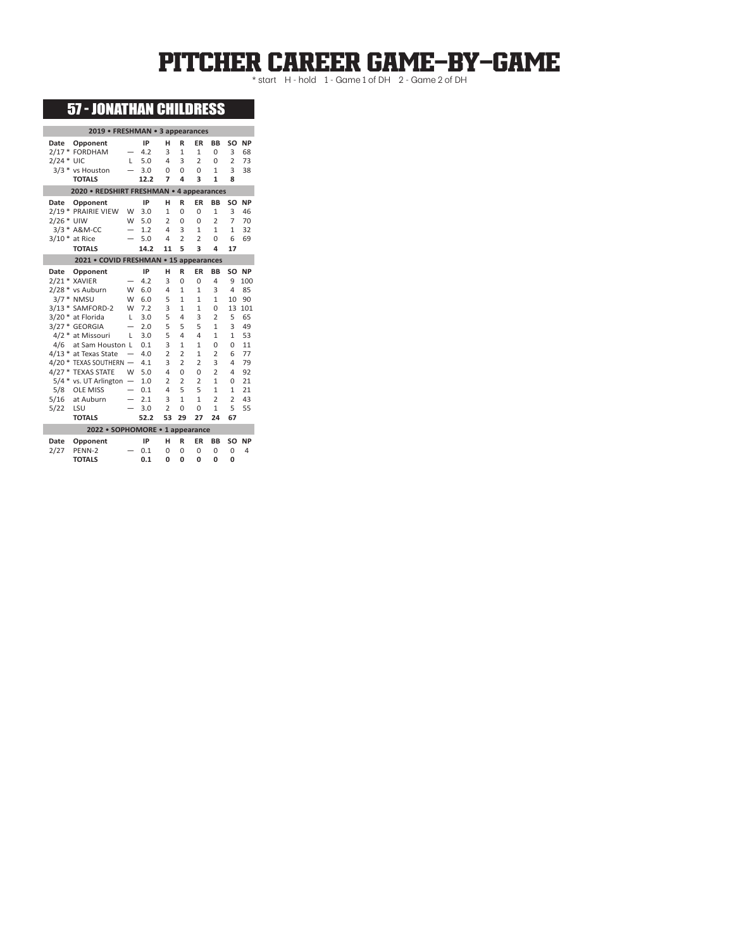# PITCHER CAREER GAME-BY-GAME

## 57 - JONATHAN CHILDRESS

| 2019 • FRESHMAN • 3 appearances               |                          |            |                     |                                  |                                |                     |                |           |
|-----------------------------------------------|--------------------------|------------|---------------------|----------------------------------|--------------------------------|---------------------|----------------|-----------|
| Date<br>Opponent                              |                          | IP         | н                   | R                                | ER                             | BB                  | SO             | <b>NP</b> |
| 2/17 * FORDHAM                                |                          | 4.2        | 3                   | $\mathbf{1}$                     | $\mathbf{1}$                   | 0                   | 3              | 68        |
| $2/24$ * UIC                                  | L                        | 5.0        | 4                   | 3                                | $\overline{a}$                 | 0                   | $\overline{2}$ | 73        |
| 3/3 * vs Houston                              |                          | 3.0        | $\Omega$            | $\Omega$                         | 0                              | $\mathbf{1}$        | 3              | 38        |
| <b>TOTALS</b>                                 |                          | 12.2       | 7                   | 4                                | 3                              | $\mathbf{1}$        | 8              |           |
| 2020 • REDSHIRT FRESHMAN • 4 appearances      |                          |            |                     |                                  |                                |                     |                |           |
| Date<br>Opponent                              |                          | IP         | н                   | R                                | ER                             | BB                  | SO             | <b>NP</b> |
| 2/19 * PRAIRIE VIEW                           | W                        | 3.0        | $\mathbf{1}$        | $\Omega$                         | $\Omega$                       | $\mathbf{1}$        | 3              | 46        |
| 2/26 * UIW                                    | W                        | 5.0        | $\overline{2}$      | $\Omega$                         | 0                              | $\overline{2}$      | 7              | 70        |
| 3/3 * A&M-CC                                  |                          | 1.2        | 4                   | 3                                | $\mathbf{1}$                   | $\mathbf{1}$        | $\mathbf{1}$   | 32        |
| $3/10*$<br>at Rice                            | $\overline{\phantom{0}}$ | 5.0        | 4                   | $\overline{2}$                   | $\overline{a}$                 | $\Omega$            | 6              | 69        |
| <b>TOTALS</b>                                 |                          | 14.2       | 11                  | 5                                | 3                              | 4                   | 17             |           |
| 2021 • COVID FRESHMAN • 15 appearances        |                          |            |                     |                                  |                                |                     |                |           |
| Date<br>Opponent                              |                          | IP         | н                   | R                                | ER                             | BB                  | SO             | <b>NP</b> |
| 2/21 * XAVIER                                 |                          | 4.2        | 3                   | $\Omega$                         | 0                              | 4                   | 9              | 100       |
| 2/28 * vs Auburn                              | W                        | 6.0        | 4                   | $\mathbf{1}$                     | $\mathbf{1}$                   | 3                   | 4              | 85        |
| $3/7*$<br><b>NMSU</b>                         | W                        | 6.0        | 5                   | $\mathbf{1}$                     | $\mathbf{1}$                   | $\mathbf{1}$        | 10             | 90        |
| $3/13*$<br>SAMFORD-2                          | W                        | 7.2        | 3                   | $\mathbf{1}$                     | $\mathbf{1}$                   | 0                   | 13             | 101       |
| $3/20*$<br>at Florida                         | L                        | 3.0        | 5                   | 4                                | 3                              | $\overline{2}$      | 5              | 65        |
| $3/27*$<br><b>GEORGIA</b>                     |                          | 2.0        | 5                   | 5                                | 5                              | $\mathbf{1}$        | 3              | 49        |
| $4/2 *$<br>at Missouri                        | L                        | 3.0        | 5                   | 4                                | 4                              | $\mathbf{1}$        | $\mathbf{1}$   | 53        |
| 4/6<br>at Sam Houston L                       |                          | 0.1        | 3                   | $\mathbf{1}$                     | $\mathbf{1}$                   | $\Omega$            | $\Omega$       | 11        |
| 4/13 * at Texas State                         |                          | 4.0<br>4.1 | $\overline{2}$<br>3 | $\overline{2}$<br>$\overline{2}$ | $\mathbf{1}$<br>$\overline{2}$ | $\overline{a}$      | 6              | 77<br>79  |
| 4/20 * TEXAS SOUTHERN -<br>4/27 * TEXAS STATE | W                        | 5.0        | 4                   | $\Omega$                         | 0                              | 3<br>$\overline{2}$ | 4<br>4         | 92        |
| 5/4 * vs. UT Arlington                        | $\overline{\phantom{a}}$ | 1.0        | $\overline{2}$      | $\overline{2}$                   | $\overline{a}$                 | $\mathbf{1}$        | $\Omega$       | 21        |
| 5/8<br><b>OLE MISS</b>                        |                          | 0.1        | 4                   | 5                                | 5                              | $\mathbf{1}$        | $\mathbf{1}$   | 21        |
| 5/16<br>at Auburn                             |                          | 2.1        | 3                   | $\overline{1}$                   | $\mathbf{1}$                   | $\overline{2}$      | $\overline{2}$ | 43        |
| 5/22<br>LSU                                   | $\overline{\phantom{0}}$ | 3.0        | $\overline{2}$      | $\Omega$                         | $\Omega$                       | $\mathbf{1}$        | 5              | 55        |
| <b>TOTALS</b>                                 |                          | 52.2       | 53                  | 29                               | 27                             | 24                  | 67             |           |
| 2022 · SOPHOMORE ·                            |                          |            |                     |                                  | 1 appearance                   |                     |                |           |
| Date<br>Opponent                              |                          | IP         | н                   | R                                | ER                             | BB                  | <b>SO</b>      | <b>NP</b> |
| 2/27<br>PENN-2                                |                          | 0.1        | $\Omega$            | $\Omega$                         | 0                              | 0                   | 0              | 4         |
| <b>TOTALS</b>                                 |                          | 0.1        | 0                   | 0                                | 0                              | O                   | 0              |           |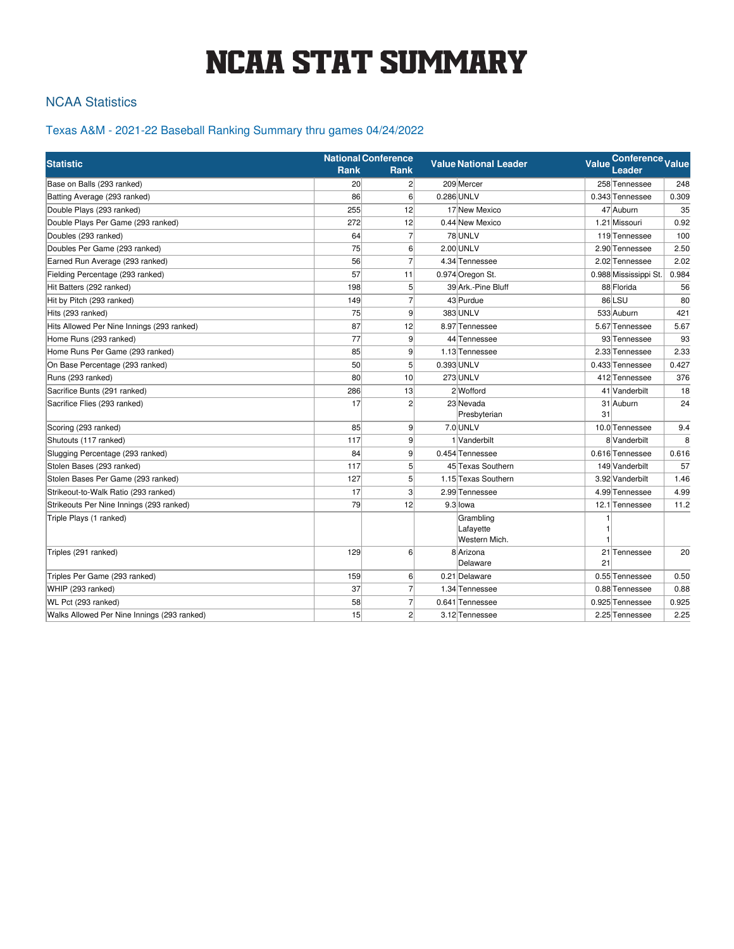# NCAA STAT SUMMARY

## NCAA Statistics

## Texas A&M - 2021-22 Baseball Ranking Summary thru games 04/24/2022

| <b>Statistic</b>                            |                 | <b>National Conference</b> | <b>Value National Leader</b> | Conference Value<br>Value |                       |       |
|---------------------------------------------|-----------------|----------------------------|------------------------------|---------------------------|-----------------------|-------|
|                                             | Rank            | Rank                       |                              |                           | Leader                |       |
| Base on Balls (293 ranked)                  | 20 <sup>1</sup> | 2 <sup>1</sup>             | 209 Mercer                   |                           | 258 Tennessee         | 248   |
| Batting Average (293 ranked)                | 86              | 6 <sup>1</sup>             | 0.286 UNLV                   |                           | 0.343 Tennessee       | 0.309 |
| Double Plays (293 ranked)                   | 255             | 12                         | 17 New Mexico                |                           | 47 Auburn             | 35    |
| Double Plays Per Game (293 ranked)          | 272             | 12                         | 0.44 New Mexico              |                           | 1.21 Missouri         | 0.92  |
| Doubles (293 ranked)                        | 64              | $\overline{7}$             | 78 UNLV                      |                           | 119 Tennessee         | 100   |
| Doubles Per Game (293 ranked)               | 75              | $6 \mid$                   | 2.00 UNLV                    |                           | 2.90 Tennessee        | 2.50  |
| Earned Run Average (293 ranked)             | 56              | $\overline{7}$             | 4.34 Tennessee               |                           | 2.02 Tennessee        | 2.02  |
| Fielding Percentage (293 ranked)            | 57              | 11                         | 0.974 Oregon St.             |                           | 0.988 Mississippi St. | 0.984 |
| Hit Batters (292 ranked)                    | 198             | 5 <sup>1</sup>             | 39 Ark.-Pine Bluff           |                           | 88 Florida            | 56    |
| Hit by Pitch (293 ranked)                   | 149             | $\overline{7}$             | 43 Purdue                    |                           | 86LSU                 | 80    |
| Hits (293 ranked)                           | 75              | 9 <sup>1</sup>             | 383 UNLV                     |                           | 533 Auburn            | 421   |
| Hits Allowed Per Nine Innings (293 ranked)  | 87              | 12                         | 8.97 Tennessee               |                           | 5.67 Tennessee        | 5.67  |
| Home Runs (293 ranked)                      | 77              | $\vert 9 \vert$            | 44 Tennessee                 |                           | 93 Tennessee          | 93    |
| Home Runs Per Game (293 ranked)             | 85              | 9 <sup>1</sup>             | 1.13 Tennessee               |                           | 2.33 Tennessee        | 2.33  |
| On Base Percentage (293 ranked)             | 50              | 5 <sup>1</sup>             | 0.393 UNLV                   |                           | 0.433 Tennessee       | 0.427 |
| Runs (293 ranked)                           | 80              | 10 <sup>1</sup>            | 273 UNLV                     |                           | 412 Tennessee         | 376   |
| Sacrifice Bunts (291 ranked)                | 286             | 13                         | 2 Wofford                    |                           | 41 Vanderbilt         | 18    |
| Sacrifice Flies (293 ranked)                | 17              | $\overline{2}$             | 23 Nevada                    |                           | 31 Auburn             | 24    |
|                                             |                 |                            | Presbyterian                 | 31                        |                       |       |
| Scoring (293 ranked)                        | 85              | 9                          | 7.0 UNLV                     |                           | 10.0 Tennessee        | 9.4   |
| Shutouts (117 ranked)                       | 117             | 9 <sup>1</sup>             | 1 Vanderbilt                 |                           | 8 Vanderbilt          | 8     |
| Slugging Percentage (293 ranked)            | 84              | 9 <sup>1</sup>             | 0.454 Tennessee              |                           | 0.616 Tennessee       | 0.616 |
| Stolen Bases (293 ranked)                   | 117             | 5 <sup>1</sup>             | 45 Texas Southern            |                           | 149 Vanderbilt        | 57    |
| Stolen Bases Per Game (293 ranked)          | 127             | 5 <sup>1</sup>             | 1.15 Texas Southern          |                           | 3.92 Vanderbilt       | 1.46  |
| Strikeout-to-Walk Ratio (293 ranked)        | 17              | 3 <sup>1</sup>             | 2.99 Tennessee               |                           | 4.99 Tennessee        | 4.99  |
| Strikeouts Per Nine Innings (293 ranked)    | 79              | 12                         | 9.3 lowa                     |                           | 12.1 Tennessee        | 11.2  |
| Triple Plays (1 ranked)                     |                 |                            | Grambling                    |                           |                       |       |
|                                             |                 |                            | Lafayette                    |                           |                       |       |
|                                             |                 |                            | Western Mich.                |                           |                       |       |
| Triples (291 ranked)                        | 129             | $6 \mid$                   | 8 Arizona<br>Delaware        | 21                        | 21 Tennessee          | 20    |
| Triples Per Game (293 ranked)               | 159             | 6                          | 0.21 Delaware                |                           | 0.55 Tennessee        | 0.50  |
| WHIP (293 ranked)                           | 37              | $\overline{7}$             | 1.34 Tennessee               |                           | 0.88 Tennessee        | 0.88  |
| WL Pct (293 ranked)                         | 58              | $\overline{7}$             | 0.641 Tennessee              |                           | 0.925 Tennessee       | 0.925 |
| Walks Allowed Per Nine Innings (293 ranked) | 15              | $\overline{2}$             | 3.12 Tennessee               |                           | 2.25 Tennessee        | 2.25  |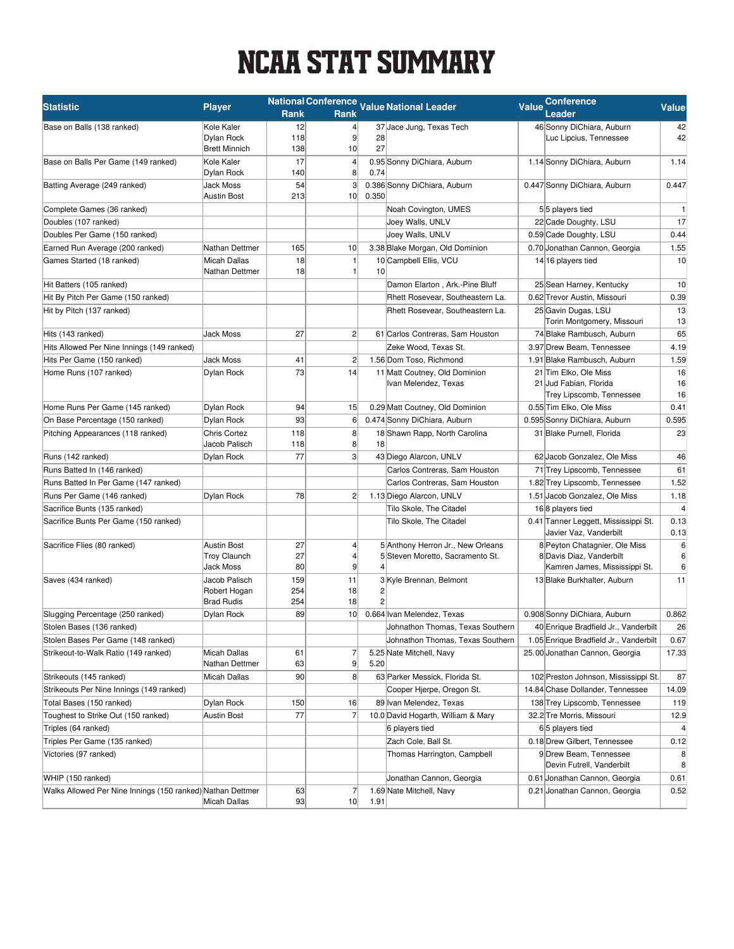# NCAA STAT SUMMARY

| <b>Statistic</b>                                           | <b>Player</b>                         |            |                                   |                 | National Conference Value National Leader             | <b>Value</b> | <b>Conference</b>                                                           | <b>Value</b>            |
|------------------------------------------------------------|---------------------------------------|------------|-----------------------------------|-----------------|-------------------------------------------------------|--------------|-----------------------------------------------------------------------------|-------------------------|
|                                                            |                                       | Rank       | Rank                              |                 |                                                       |              | Leader                                                                      |                         |
| Base on Balls (138 ranked)                                 | Kole Kaler                            | 12         | $\vert$                           |                 | 37 Jace Jung, Texas Tech                              |              | 46 Sonny DiChiara, Auburn                                                   | 42                      |
|                                                            | Dylan Rock                            | 118        | 9                                 | 28              |                                                       |              | Luc Lipcius, Tennessee                                                      | 42                      |
|                                                            | <b>Brett Minnich</b>                  | 138        | 10                                | 27              |                                                       |              |                                                                             |                         |
| Base on Balls Per Game (149 ranked)                        | Kole Kaler<br><b>Dylan Rock</b>       | 17<br>140  | $\vert$<br>8 <sup>2</sup>         | 0.74            | 0.95 Sonny DiChiara, Auburn                           |              | 1.14 Sonny DiChiara, Auburn                                                 | 1.14                    |
| Batting Average (249 ranked)                               | Jack Moss<br><b>Austin Bost</b>       | 54<br>213  | $\mathbf{3}$<br>10 <sup>1</sup>   | 0.350           | 0.386 Sonny DiChiara, Auburn                          |              | 0.447 Sonny DiChiara, Auburn                                                | 0.447                   |
| Complete Games (36 ranked)                                 |                                       |            |                                   |                 | Noah Covington, UMES                                  |              | 55 players tied                                                             | $\mathbf{1}$            |
| Doubles (107 ranked)                                       |                                       |            |                                   |                 | Joey Walls, UNLV                                      |              | 22 Cade Doughty, LSU                                                        | 17                      |
| Doubles Per Game (150 ranked)                              |                                       |            |                                   |                 | Joey Walls, UNLV                                      |              | 0.59 Cade Doughty, LSU                                                      | 0.44                    |
| Earned Run Average (200 ranked)                            | Nathan Dettmer                        | 165        | 10                                |                 | 3.38 Blake Morgan, Old Dominion                       |              | 0.70 Jonathan Cannon, Georgia                                               | 1.55                    |
| Games Started (18 ranked)                                  | <b>Micah Dallas</b><br>Nathan Dettmer | 18<br>18   | $\mathbf{1}$<br>1                 | 10 <sup>1</sup> | 10 Campbell Ellis, VCU                                |              | 14 16 players tied                                                          | 10                      |
| Hit Batters (105 ranked)                                   |                                       |            |                                   |                 | Damon Elarton, Ark.-Pine Bluff                        |              | 25 Sean Harney, Kentucky                                                    | 10                      |
| Hit By Pitch Per Game (150 ranked)                         |                                       |            |                                   |                 | Rhett Rosevear, Southeastern La.                      |              | 0.62 Trevor Austin, Missouri                                                | 0.39                    |
| Hit by Pitch (137 ranked)                                  |                                       |            |                                   |                 | Rhett Rosevear, Southeastern La.                      |              | 25 Gavin Dugas, LSU<br>Torin Montgomery, Missouri                           | 13<br>13                |
| Hits (143 ranked)                                          | <b>Jack Moss</b>                      | 27         | $\mathbf{2}$                      |                 | 61 Carlos Contreras, Sam Houston                      |              | 74 Blake Rambusch, Auburn                                                   | 65                      |
| Hits Allowed Per Nine Innings (149 ranked)                 |                                       |            |                                   |                 | Zeke Wood, Texas St.                                  |              | 3.97 Drew Beam, Tennessee                                                   | 4.19                    |
| Hits Per Game (150 ranked)                                 | <b>Jack Moss</b>                      | 41         | $\overline{2}$                    |                 | 1.56 Dom Toso, Richmond                               |              | 1.91 Blake Rambusch, Auburn                                                 | 1.59                    |
| Home Runs (107 ranked)                                     | <b>Dvlan Rock</b>                     | 73         | 14                                |                 | 11 Matt Coutney, Old Dominion<br>Ivan Melendez, Texas |              | 21 Tim Elko, Ole Miss<br>21 Jud Fabian, Florida<br>Trey Lipscomb, Tennessee | 16<br>16<br>16          |
| Home Runs Per Game (145 ranked)                            | Dylan Rock                            | 94         | 15                                |                 | 0.29 Matt Coutney, Old Dominion                       |              | 0.55 Tim Elko, Ole Miss                                                     | 0.41                    |
| On Base Percentage (150 ranked)                            | <b>Dylan Rock</b>                     | 93         | $6 \mid$                          |                 | 0.474 Sonny DiChiara, Auburn                          |              | 0.595 Sonny DiChiara, Auburn                                                | 0.595                   |
| Pitching Appearances (118 ranked)                          | <b>Chris Cortez</b>                   | 118        | 8                                 |                 | 18 Shawn Rapp, North Carolina                         |              | 31 Blake Purnell, Florida                                                   | 23                      |
|                                                            | Jacob Palisch                         | 118        | 8 <sup>1</sup>                    | 18              |                                                       |              |                                                                             |                         |
| Runs (142 ranked)                                          | Dylan Rock                            | 77         | 3                                 |                 | 43 Diego Alarcon, UNLV                                |              | 62 Jacob Gonzalez, Ole Miss                                                 | 46                      |
| Runs Batted In (146 ranked)                                |                                       |            |                                   |                 | Carlos Contreras, Sam Houston                         |              | 71 Trey Lipscomb, Tennessee                                                 | 61                      |
| Runs Batted In Per Game (147 ranked)                       |                                       |            |                                   |                 | Carlos Contreras, Sam Houston                         |              | 1.82 Trey Lipscomb, Tennessee                                               | 1.52                    |
| Runs Per Game (146 ranked)                                 | Dylan Rock                            | 78         | $\mathbf{2}$                      |                 | 1.13 Diego Alarcon, UNLV                              |              | 1.51 Jacob Gonzalez, Ole Miss                                               | 1.18                    |
| Sacrifice Bunts (135 ranked)                               |                                       |            |                                   |                 | Tilo Skole, The Citadel                               |              | 168 players tied                                                            | $\overline{\mathbf{4}}$ |
| Sacrifice Bunts Per Game (150 ranked)                      |                                       |            |                                   |                 | Tilo Skole, The Citadel                               |              | 0.41 Tanner Leggett, Mississippi St.<br>Javier Vaz, Vanderbilt              | 0.13<br>0.13            |
| Sacrifice Flies (80 ranked)                                | <b>Austin Bost</b>                    | 27         | $\vert$                           |                 | 5 Anthony Herron Jr., New Orleans                     |              | 8 Peyton Chatagnier, Ole Miss                                               | 6                       |
|                                                            | <b>Troy Claunch</b><br>Jack Moss      | 27<br>80   | $\vert 4 \vert$<br>$\overline{9}$ |                 | 5 Steven Moretto, Sacramento St.                      |              | 8 Davis Diaz, Vanderbilt<br>Kamren James, Mississippi St.                   | 6<br>6                  |
| Saves (434 ranked)                                         | Jacob Palisch                         | 159        | 11                                |                 | 3 Kyle Brennan, Belmont                               |              | 13 Blake Burkhalter, Auburn                                                 | 11                      |
|                                                            | Robert Hogan<br><b>Brad Rudis</b>     | 254<br>254 | 18<br>18                          | 2               |                                                       |              |                                                                             |                         |
| Slugging Percentage (250 ranked)                           | Dylan Rock                            | 89         | 10 <sup>1</sup>                   |                 | 0.664 Ivan Melendez, Texas                            |              | 0.908 Sonny DiChiara, Auburn                                                | 0.862                   |
| Stolen Bases (136 ranked)                                  |                                       |            |                                   |                 | Johnathon Thomas, Texas Southern                      |              | 40 Enrique Bradfield Jr., Vanderbilt                                        | 26                      |
| Stolen Bases Per Game (148 ranked)                         |                                       |            |                                   |                 | Johnathon Thomas, Texas Southern                      |              | 1.05 Enrique Bradfield Jr., Vanderbilt                                      | 0.67                    |
| Strikeout-to-Walk Ratio (149 ranked)                       | <b>Micah Dallas</b><br>Nathan Dettmer | 61<br>63   | $\overline{7}$<br>9               | 5.20            | 5.25 Nate Mitchell, Navy                              |              | 25.00 Jonathan Cannon, Georgia                                              | 17.33                   |
| Strikeouts (145 ranked)                                    | Micah Dallas                          | 90         | 8 <sup>2</sup>                    |                 | 63 Parker Messick, Florida St.                        |              | 102 Preston Johnson, Mississippi St.                                        | 87                      |
| Strikeouts Per Nine Innings (149 ranked)                   |                                       |            |                                   |                 | Cooper Hjerpe, Oregon St.                             |              | 14.84 Chase Dollander, Tennessee                                            | 14.09                   |
| Total Bases (150 ranked)                                   | Dylan Rock                            | 150        | 16                                |                 | 89 Ivan Melendez, Texas                               |              | 138 Trey Lipscomb, Tennessee                                                | 119                     |
| Toughest to Strike Out (150 ranked)                        | Austin Bost                           | 77         | $\overline{7}$                    |                 | 10.0 David Hogarth, William & Mary                    |              | 32.2 Tre Morris, Missouri                                                   | 12.9                    |
| Triples (64 ranked)                                        |                                       |            |                                   |                 | 6 players tied                                        |              | 65 players tied                                                             | $\overline{4}$          |
| Triples Per Game (135 ranked)                              |                                       |            |                                   |                 | Zach Cole, Ball St.                                   |              | 0.18 Drew Gilbert, Tennessee                                                | 0.12                    |
| Victories (97 ranked)                                      |                                       |            |                                   |                 | Thomas Harrington, Campbell                           |              | 9 Drew Beam, Tennessee<br>Devin Futrell, Vanderbilt                         | 8<br>8                  |
| WHIP (150 ranked)                                          |                                       |            |                                   |                 | Jonathan Cannon, Georgia                              |              | 0.61 Jonathan Cannon, Georgia                                               | 0.61                    |
| Walks Allowed Per Nine Innings (150 ranked) Nathan Dettmer | Micah Dallas                          | 63<br>93   | $\overline{7}$<br>10              | 1.91            | 1.69 Nate Mitchell, Navy                              |              | 0.21 Jonathan Cannon, Georgia                                               | 0.52                    |